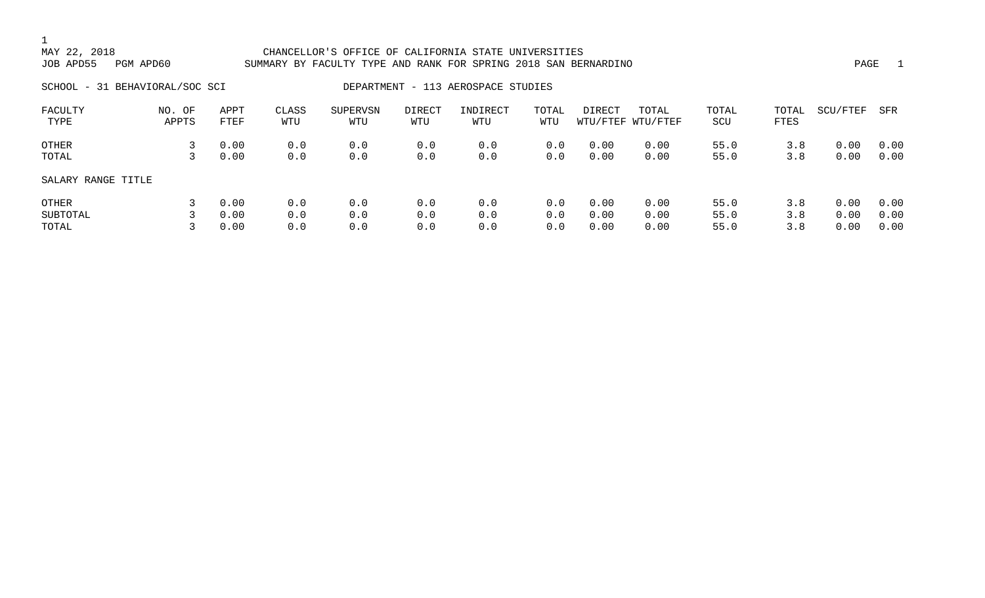### 1<br>MAY 22, 2018 CHANCELLOR'S OFFICE OF CALIFORNIA STATE UNIVERSITIES JOB APD55 PGM APD60 SUMMARY BY FACULTY TYPE AND RANK FOR SPRING 2018 SAN BERNARDINO PAGE 1 SCHOOL - 31 BEHAVIORAL/SOC SCI DEPARTMENT - 113 AEROSPACE STUDIES FACULTY NO. OF APPT CLASS SUPERVSN DIRECT INDIRECT TOTAL DIRECT TOTAL TOTAL TOTAL SCU/FTEF SFR TYPE APPTS FTEF WTU WTU WTU WTU WTU WTU/FTEF WTU/FTEF SCU FTES

| SALARY RANGE TITLE |  |
|--------------------|--|
|                    |  |

| SALARY RANGE TITLE |            |     |     |             |     |              |              |      |      |     |               |  |
|--------------------|------------|-----|-----|-------------|-----|--------------|--------------|------|------|-----|---------------|--|
| OTHER              | 3 0.00     | 0.0 | 0.0 | 0.0         | 0.0 |              | $0.0$ $0.00$ | 0.00 | 55.0 | 3.8 | 0.00 0.00     |  |
| SUBTOTAL           | 3 0.00     | 0.0 |     | $0.0$ $0.0$ | 0.0 | $0.0$ $0.00$ |              | 0.00 | 55.0 | 3.8 | $0.00$ $0.00$ |  |
| TOTAL              | $0\,.\,00$ | 0.0 | 0.0 | 0.0         | 0.0 |              | $0.0$ $0.00$ | 0.00 | 55.0 | 3.8 | $0.00$ $0.00$ |  |

OTHER 3 0.00 0.0 0.0 0.0 0.0 0.0 0.00 0.00 55.0 3.8 0.00 0.00 TOTAL 3 0.00 0.0 0.0 0.0 0.0 0.0 0.00 0.00 55.0 3.8 0.00 0.00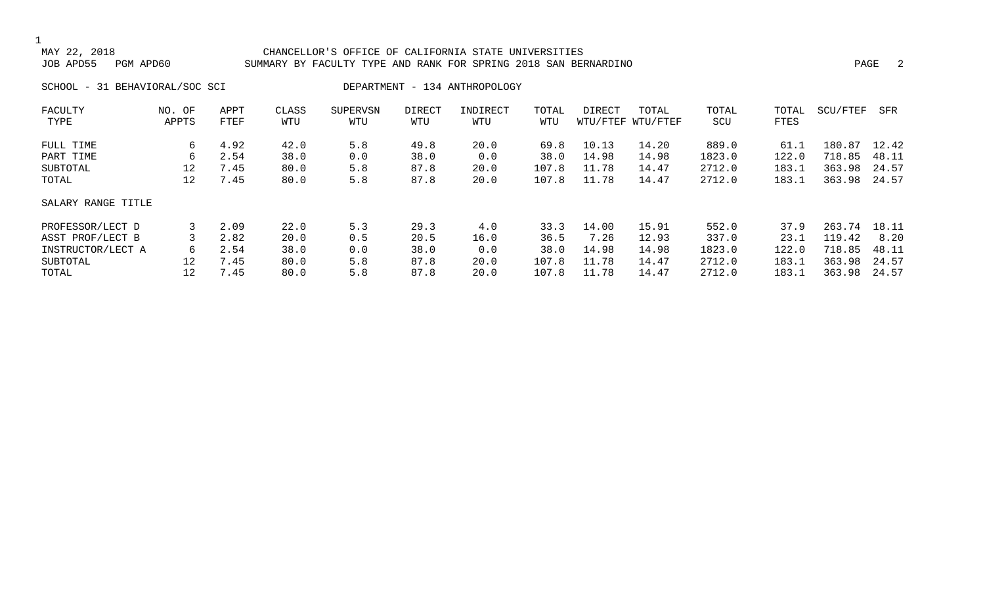#### CHANCELLOR'S OFFICE OF CALIFORNIA STATE UNIVERSITIES JOB APD55 PGM APD60 SUMMARY BY FACULTY TYPE AND RANK FOR SPRING 2018 SAN BERNARDINO PAGE 2

SCHOOL - 31 BEHAVIORAL/SOC SCI DEPARTMENT - 134 ANTHROPOLOGY

| FACULTY<br>TYPE    | NO. OF<br>APPTS | APPT<br>FTEF | CLASS<br>WTU | <b>SUPERVSN</b><br>WTU | DIRECT<br>WTU | INDIRECT<br>WTU | TOTAL<br>WTU | DIRECT | TOTAL<br>WTU/FTEF WTU/FTEF | TOTAL<br>SCU | TOTAL<br>FTES | SCU/FTEF   | SFR   |
|--------------------|-----------------|--------------|--------------|------------------------|---------------|-----------------|--------------|--------|----------------------------|--------------|---------------|------------|-------|
|                    |                 |              |              |                        |               |                 |              |        |                            |              |               |            |       |
| FULL TIME          | 6               | 4.92         | 42.0         | 5.8                    | 49.8          | 20.0            | 69.8         | 10.13  | 14.20                      | 889.0        | 61.1          | 180<br>.87 | 12.42 |
| PART TIME          | 6               | 2.54         | 38.0         | 0.0                    | 38.0          | 0.0             | 38.0         | 14.98  | 14.98                      | 1823.0       | 122.0         | 718.85     | 48.11 |
| SUBTOTAL           | 12              | 7.45         | 80.0         | 5.8                    | 87.8          | 20.0            | 107.8        | 11.78  | 14.47                      | 2712.0       | 183.1         | 363.98     | 24.57 |
| TOTAL              | 12              | 7.45         | 80.0         | 5.8                    | 87.8          | 20.0            | 107.8        | 11.78  | 14.47                      | 2712.0       | 183.1         | 363.98     | 24.57 |
| SALARY RANGE TITLE |                 |              |              |                        |               |                 |              |        |                            |              |               |            |       |
| PROFESSOR/LECT D   |                 | 2.09         | 22.0         | 5.3                    | 29.3          | 4.0             | 33.3         | 14.00  | 15.91                      | 552.0        | 37.9          | 263.74     | 18.11 |
| ASST PROF/LECT B   |                 | 2.82         | 20.0         | 0.5                    | 20.5          | 16.0            | 36.5         | 7.26   | 12.93                      | 337.0        | 23.1          | 119.42     | 8.20  |
| INSTRUCTOR/LECT A  | 6               | 2.54         | 38.0         | 0.0                    | 38.0          | 0.0             | 38.0         | 14.98  | 14.98                      | 1823.0       | 122.0         | 718.85     | 48.11 |
| SUBTOTAL           | 12              | 7.45         | 80.0         | 5.8                    | 87.8          | 20.0            | 107.8        | 11.78  | 14.47                      | 2712.0       | 183.1         | 363.98     | 24.57 |
| TOTAL              | 12              | 7.45         | 80.0         | 5.8                    | 87.8          | 20.0            | 107.8        | 11.78  | 14.47                      | 2712.0       | 183.1         | 363.98     | 24.57 |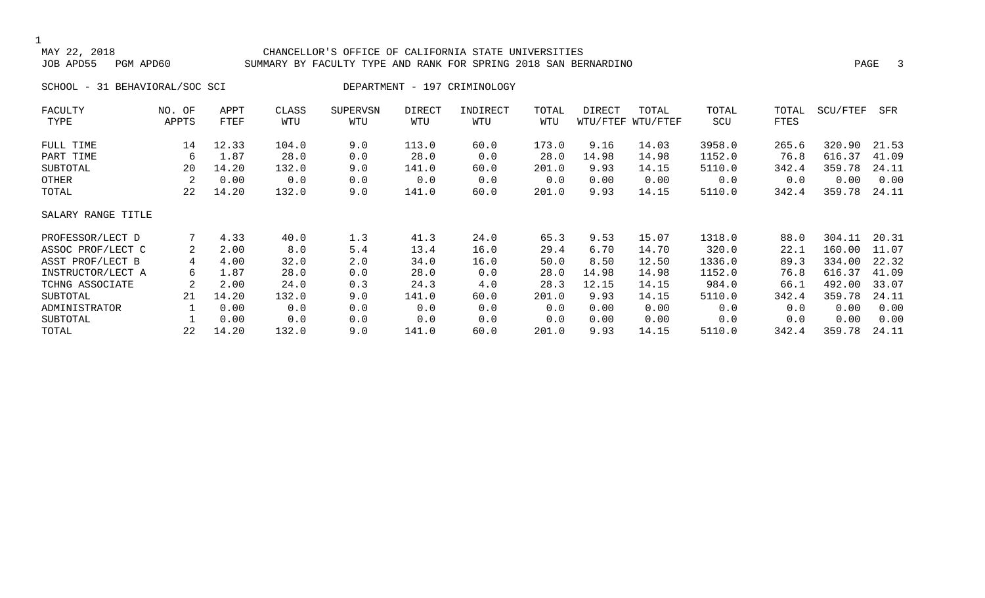#### CHANCELLOR'S OFFICE OF CALIFORNIA STATE UNIVERSITIES JOB APD55 PGM APD60 SUMMARY BY FACULTY TYPE AND RANK FOR SPRING 2018 SAN BERNARDINO PAGE 3

SCHOOL - 31 BEHAVIORAL/SOC SCI DEPARTMENT - 197 CRIMINOLOGY

| FACULTY            | NO. OF | APPT  | CLASS | <b>SUPERVSN</b> | DIRECT | INDIRECT | TOTAL | DIRECT | TOTAL             | TOTAL  | TOTAL | SCU/FTEF | SFR   |
|--------------------|--------|-------|-------|-----------------|--------|----------|-------|--------|-------------------|--------|-------|----------|-------|
| TYPE               | APPTS  | FTEF  | WTU   | WTU             | WTU    | WTU      | WTU   |        | WTU/FTEF WTU/FTEF | SCU    | FTES  |          |       |
| FULL TIME          | 14     | 12.33 | 104.0 | 9.0             | 113.0  | 60.0     | 173.0 | 9.16   | 14.03             | 3958.0 | 265.6 | 320.90   | 21.53 |
| PART TIME          | 6      | 1.87  | 28.0  | 0.0             | 28.0   | 0.0      | 28.0  | 14.98  | 14.98             | 1152.0 | 76.8  | 616.37   | 41.09 |
| SUBTOTAL           | 20     | 14.20 | 132.0 | 9.0             | 141.0  | 60.0     | 201.0 | 9.93   | 14.15             | 5110.0 | 342.4 | 359.78   | 24.11 |
| OTHER              | 2      | 0.00  | 0.0   | 0.0             | 0.0    | 0.0      | 0.0   | 0.00   | 0.00              | 0.0    | 0.0   | 0.00     | 0.00  |
| TOTAL              | 22     | 14.20 | 132.0 | 9.0             | 141.0  | 60.0     | 201.0 | 9.93   | 14.15             | 5110.0 | 342.4 | 359.78   | 24.11 |
| SALARY RANGE TITLE |        |       |       |                 |        |          |       |        |                   |        |       |          |       |
| PROFESSOR/LECT D   |        | 4.33  | 40.0  | 1.3             | 41.3   | 24.0     | 65.3  | 9.53   | 15.07             | 1318.0 | 88.0  | 304.11   | 20.31 |
| ASSOC PROF/LECT C  | 2      | 2.00  | 8.0   | 5.4             | 13.4   | 16.0     | 29.4  | 6.70   | 14.70             | 320.0  | 22.1  | 160.00   | 11.07 |
| ASST PROF/LECT B   | 4      | 4.00  | 32.0  | 2.0             | 34.0   | 16.0     | 50.0  | 8.50   | 12.50             | 1336.0 | 89.3  | 334.00   | 22.32 |
| INSTRUCTOR/LECT A  | 6      | 1.87  | 28.0  | 0.0             | 28.0   | 0.0      | 28.0  | 14.98  | 14.98             | 1152.0 | 76.8  | 616.37   | 41.09 |
| TCHNG ASSOCIATE    |        | 2.00  | 24.0  | 0.3             | 24.3   | 4.0      | 28.3  | 12.15  | 14.15             | 984.0  | 66.1  | 492.00   | 33.07 |
| SUBTOTAL           | 21     | 14.20 | 132.0 | 9.0             | 141.0  | 60.0     | 201.0 | 9.93   | 14.15             | 5110.0 | 342.4 | 359.78   | 24.11 |
| ADMINISTRATOR      |        | 0.00  | 0.0   | 0.0             | 0.0    | 0.0      | 0.0   | 0.00   | 0.00              | 0.0    | 0.0   | 0.00     | 0.00  |
| SUBTOTAL           |        | 0.00  | 0.0   | 0.0             | 0.0    | 0.0      | 0.0   | 0.00   | 0.00              | 0.0    | 0.0   | 0.00     | 0.00  |
| TOTAL              | 22     | 14.20 | 132.0 | 9.0             | 141.0  | 60.0     | 201.0 | 9.93   | 14.15             | 5110.0 | 342.4 | 359.78   | 24.11 |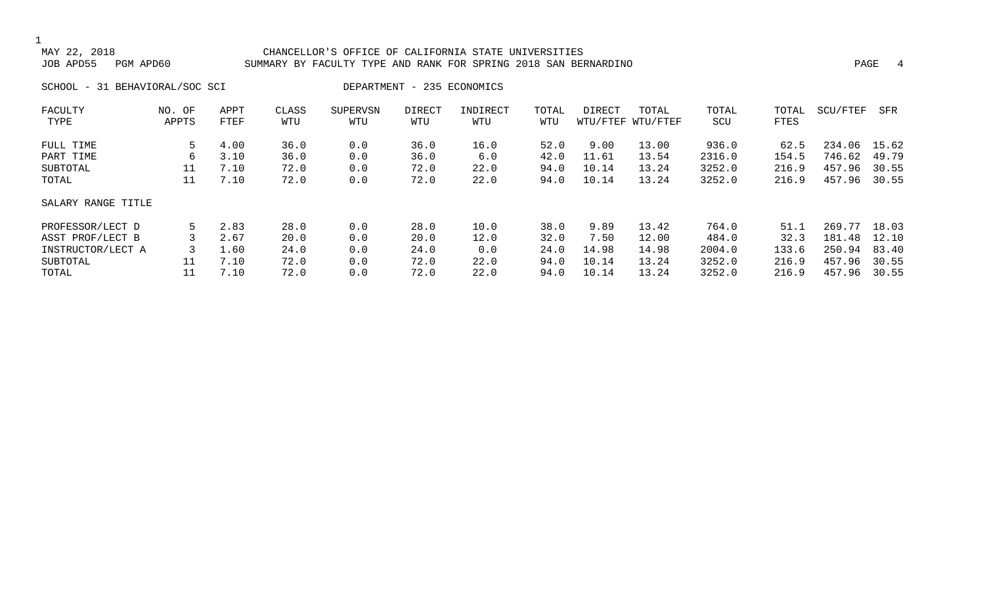#### CHANCELLOR'S OFFICE OF CALIFORNIA STATE UNIVERSITIES JOB APD55 PGM APD60 SUMMARY BY FACULTY TYPE AND RANK FOR SPRING 2018 SAN BERNARDINO PAGE 4

SCHOOL - 31 BEHAVIORAL/SOC SCI DEPARTMENT - 235 ECONOMICS

| FACULTY            | NO. OF | APPT | CLASS | SUPERVSN | <b>DIRECT</b> | INDIRECT | TOTAL | DIRECT | TOTAL             | TOTAL  | TOTAL | SCU/FTEF | SFR   |
|--------------------|--------|------|-------|----------|---------------|----------|-------|--------|-------------------|--------|-------|----------|-------|
| TYPE               | APPTS  | FTEF | WTU   | WTU      | WTU           | WTU      | WTU   |        | WTU/FTEF WTU/FTEF | SCU    | FTES  |          |       |
| FULL TIME          | 5      | 4.00 | 36.0  | 0.0      | 36.0          | 16.0     | 52.0  | 9.00   | 13.00             | 936.0  | 62.5  | 234.06   | 15.62 |
| PART TIME          | 6      | 3.10 | 36.0  | 0.0      | 36.0          | 6.0      | 42.0  | 11.61  | 13.54             | 2316.0 | 154.5 | 746.62   | 49.79 |
| SUBTOTAL           | 11     | 7.10 | 72.0  | 0.0      | 72.0          | 22.0     | 94.0  | 10.14  | 13.24             | 3252.0 | 216.9 | 457.96   | 30.55 |
| TOTAL              | 11     | 7.10 | 72.0  | 0.0      | 72.0          | 22.0     | 94.0  | 10.14  | 13.24             | 3252.0 | 216.9 | 457.96   | 30.55 |
| SALARY RANGE TITLE |        |      |       |          |               |          |       |        |                   |        |       |          |       |
| PROFESSOR/LECT D   | 5      | 2.83 | 28.0  | 0.0      | 28.0          | 10.0     | 38.0  | 9.89   | 13.42             | 764.0  | 51.1  | 269.77   | 18.03 |
| ASST PROF/LECT B   |        | 2.67 | 20.0  | 0.0      | 20.0          | 12.0     | 32.0  | 7.50   | 12.00             | 484.0  | 32.3  | 181.48   | 12.10 |
| INSTRUCTOR/LECT A  | 3      | 1.60 | 24.0  | 0.0      | 24.0          | 0.0      | 24.0  | 14.98  | 14.98             | 2004.0 | 133.6 | 250.94   | 83.40 |
| SUBTOTAL           | 11     | 7.10 | 72.0  | 0.0      | 72.0          | 22.0     | 94.0  | 10.14  | 13.24             | 3252.0 | 216.9 | 457.96   | 30.55 |
| TOTAL              | 11     | 7.10 | 72.0  | 0.0      | 72.0          | 22.0     | 94.0  | 10.14  | 13.24             | 3252.0 | 216.9 | 457.96   | 30.55 |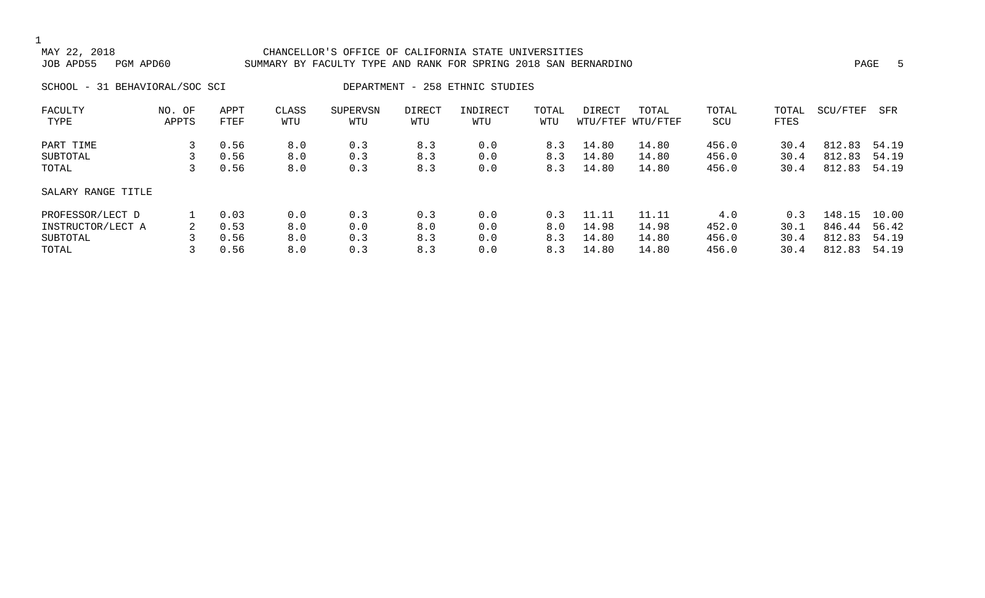#### CHANCELLOR'S OFFICE OF CALIFORNIA STATE UNIVERSITIES JOB APD55 PGM APD60 SUMMARY BY FACULTY TYPE AND RANK FOR SPRING 2018 SAN BERNARDINO PAGE 5

SCHOOL - 31 BEHAVIORAL/SOC SCI DEPARTMENT - 258 ETHNIC STUDIES

| FACULTY            | OF<br>NO. | APPT | CLASS | SUPERVSN | <b>DIRECT</b> | INDIRECT | TOTAL | DIRECT | TOTAL             | TOTAL | TOTAL | SCU/FTEF | SFR   |
|--------------------|-----------|------|-------|----------|---------------|----------|-------|--------|-------------------|-------|-------|----------|-------|
| TYPE               | APPTS     | FTEF | WTU   | WTU      | WTU           | WTU      | WTU   |        | WTU/FTEF WTU/FTEF | SCU   | FTES  |          |       |
| PART TIME          |           | 0.56 | 8.0   | 0.3      | 8.3           | 0.0      | 8.3   | 14.80  | 14.80             | 456.0 | 30.4  | 812.83   | 54.19 |
| SUBTOTAL           |           | 0.56 | 8.0   | 0.3      | 8.3           | 0.0      | 8.3   | 14.80  | 14.80             | 456.0 | 30.4  | 812.83   | 54.19 |
| TOTAL              |           | 0.56 | 8.0   | 0.3      | 8.3           | 0.0      | 8.3   | 14.80  | 14.80             | 456.0 | 30.4  | 812.83   | 54.19 |
| SALARY RANGE TITLE |           |      |       |          |               |          |       |        |                   |       |       |          |       |
| PROFESSOR/LECT D   |           | 0.03 | 0.0   | 0.3      | 0.3           | 0.0      | 0.3   | 11.11  | 11.11             | 4.0   | 0.3   | 148.15   | 10.00 |
| INSTRUCTOR/LECT A  | 2         | 0.53 | 8.0   | 0.0      | 8.0           | 0.0      | 8.0   | 14.98  | 14.98             | 452.0 | 30.1  | 846.44   | 56.42 |
| SUBTOTAL           |           | 0.56 | 8.0   | 0.3      | 8.3           | 0.0      | 8.3   | 14.80  | 14.80             | 456.0 | 30.4  | 812.83   | 54.19 |
| TOTAL              |           | 0.56 | 8.0   | 0.3      | 8.3           | 0.0      | 8.3   | 14.80  | 14.80             | 456.0 | 30.4  | 812.83   | 54.19 |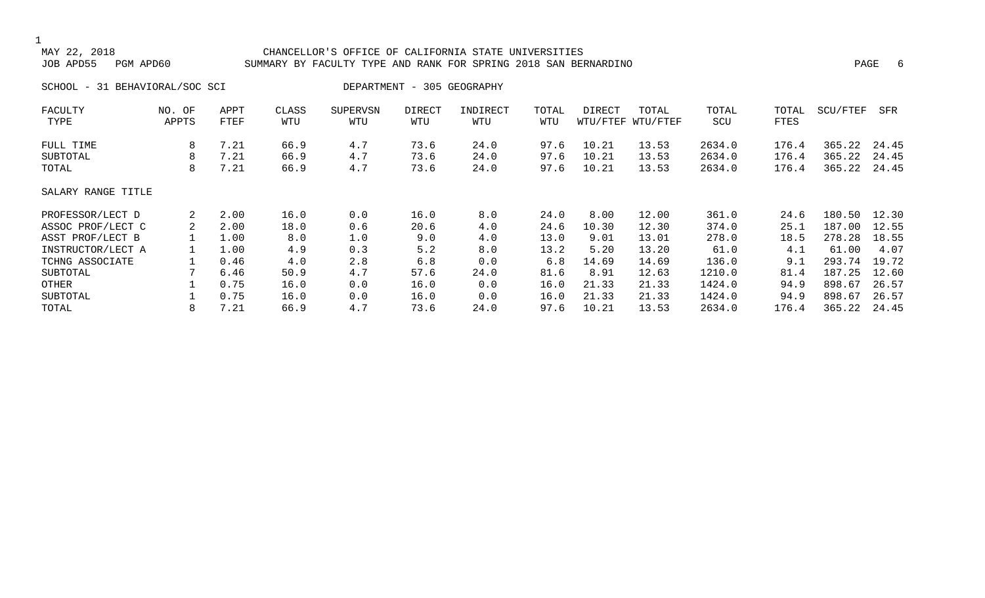#### MAY 22, 2018 CHANCELLOR'S OFFICE OF CALIFORNIA STATE UNIVERSITIES SUMMARY BY FACULTY TYPE AND RANK FOR SPRING 2018 SAN BERNARDINO PART AND RANK FOR SPRING 2018 SAN BERNARDINO

SCHOOL - 31 BEHAVIORAL/SOC SCI DEPARTMENT - 305 GEOGRAPHY

| FACULTY            | NO. OF | APPT | CLASS | <b>SUPERVSN</b> | DIRECT | INDIRECT | TOTAL | DIRECT | TOTAL             | TOTAL  | TOTAL | SCU/FTEF | SFR   |
|--------------------|--------|------|-------|-----------------|--------|----------|-------|--------|-------------------|--------|-------|----------|-------|
| TYPE               | APPTS  | FTEF | WTU   | WTU             | WTU    | WTU      | WTU   |        | WTU/FTEF WTU/FTEF | SCU    | FTES  |          |       |
| FULL TIME          | 8      | 7.21 | 66.9  | 4.7             | 73.6   | 24.0     | 97.6  | 10.21  | 13.53             | 2634.0 | 176.4 | 365.22   | 24.45 |
| SUBTOTAL           | 8      | 7.21 | 66.9  | 4.7             | 73.6   | 24.0     | 97.6  | 10.21  | 13.53             | 2634.0 | 176.4 | 365.22   | 24.45 |
| TOTAL              | 8      | 7.21 | 66.9  | 4.7             | 73.6   | 24.0     | 97.6  | 10.21  | 13.53             | 2634.0 | 176.4 | 365.22   | 24.45 |
| SALARY RANGE TITLE |        |      |       |                 |        |          |       |        |                   |        |       |          |       |
| PROFESSOR/LECT D   | 2      | 2.00 | 16.0  | 0.0             | 16.0   | 8.0      | 24.0  | 8.00   | 12.00             | 361.0  | 24.6  | 180.50   | 12.30 |
| ASSOC PROF/LECT C  | 2      | 2.00 | 18.0  | 0.6             | 20.6   | 4.0      | 24.6  | 10.30  | 12.30             | 374.0  | 25.1  | 187.00   | 12.55 |
| ASST PROF/LECT B   |        | 1.00 | 8.0   | 1.0             | 9.0    | 4.0      | 13.0  | 9.01   | 13.01             | 278.0  | 18.5  | 278.28   | 18.55 |
| INSTRUCTOR/LECT A  |        | 1.00 | 4.9   | 0.3             | 5.2    | 8.0      | 13.2  | 5.20   | 13.20             | 61.0   | 4.1   | 61.00    | 4.07  |
| TCHNG ASSOCIATE    |        | 0.46 | 4.0   | 2.8             | 6.8    | 0.0      | 6.8   | 14.69  | 14.69             | 136.0  | 9.1   | 293.74   | 19.72 |
| SUBTOTAL           |        | 6.46 | 50.9  | 4.7             | 57.6   | 24.0     | 81.6  | 8.91   | 12.63             | 1210.0 | 81.4  | 187.25   | 12.60 |
| OTHER              |        | 0.75 | 16.0  | 0.0             | 16.0   | 0.0      | 16.0  | 21.33  | 21.33             | 1424.0 | 94.9  | 898.67   | 26.57 |
| SUBTOTAL           |        | 0.75 | 16.0  | 0.0             | 16.0   | 0.0      | 16.0  | 21.33  | 21.33             | 1424.0 | 94.9  | 898.67   | 26.57 |
| TOTAL              | 8      | 7.21 | 66.9  | 4.7             | 73.6   | 24.0     | 97.6  | 10.21  | 13.53             | 2634.0 | 176.4 | 365.22   | 24.45 |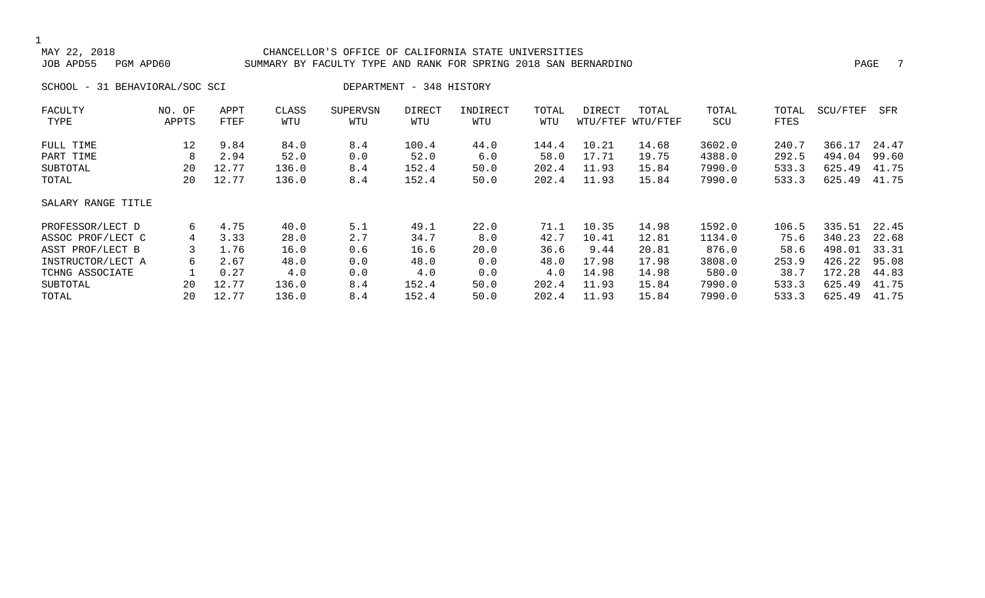#### CHANCELLOR'S OFFICE OF CALIFORNIA STATE UNIVERSITIES JOB APD55 PGM APD60 SUMMARY BY FACULTY TYPE AND RANK FOR SPRING 2018 SAN BERNARDINO PAGE 7

SCHOOL - 31 BEHAVIORAL/SOC SCI DEPARTMENT - 348 HISTORY

| FACULTY            | NO. OF | APPT  | CLASS | <b>SUPERVSN</b> | <b>DIRECT</b> | INDIRECT | TOTAL | DIRECT | TOTAL             | TOTAL  | TOTAL | SCU/FTEF | SFR   |
|--------------------|--------|-------|-------|-----------------|---------------|----------|-------|--------|-------------------|--------|-------|----------|-------|
| TYPE               | APPTS  | FTEF  | WTU   | WTU             | WTU           | WTU      | WTU   |        | WTU/FTEF WTU/FTEF | SCU    | FTES  |          |       |
| FULL TIME          | 12     | 9.84  | 84.0  | 8.4             | 100.4         | 44.0     | 144.4 | 10.21  | 14.68             | 3602.0 | 240.7 | 366.17   | 24.47 |
| PART TIME          | 8      | 2.94  | 52.0  | 0.0             | 52.0          | 6.0      | 58.0  | 17.71  | 19.75             | 4388.0 | 292.5 | 494.04   | 99.60 |
| SUBTOTAL           | 20     | 12.77 | 136.0 | 8.4             | 152.4         | 50.0     | 202.4 | 11.93  | 15.84             | 7990.0 | 533.3 | 625.49   | 41.75 |
| TOTAL              | 20     | 12.77 | 136.0 | 8.4             | 152.4         | 50.0     | 202.4 | 11.93  | 15.84             | 7990.0 | 533.3 | 625.49   | 41.75 |
| SALARY RANGE TITLE |        |       |       |                 |               |          |       |        |                   |        |       |          |       |
| PROFESSOR/LECT D   | 6      | 4.75  | 40.0  | 5.1             | 49.1          | 22.0     | 71.1  | 10.35  | 14.98             | 1592.0 | 106.5 | 335.51   | 22.45 |
| ASSOC PROF/LECT C  | 4      | 3.33  | 28.0  | 2.7             | 34.7          | 8.0      | 42.7  | 10.41  | 12.81             | 1134.0 | 75.6  | 340.23   | 22.68 |
| ASST PROF/LECT B   |        | 1.76  | 16.0  | 0.6             | 16.6          | 20.0     | 36.6  | 9.44   | 20.81             | 876.0  | 58.6  | 498.01   | 33.31 |
| INSTRUCTOR/LECT A  | 6      | 2.67  | 48.0  | 0.0             | 48.0          | 0.0      | 48.0  | 17.98  | 17.98             | 3808.0 | 253.9 | 426.22   | 95.08 |
| TCHNG ASSOCIATE    |        | 0.27  | 4.0   | 0.0             | 4.0           | 0.0      | 4.0   | 14.98  | 14.98             | 580.0  | 38.7  | 172.28   | 44.83 |
| SUBTOTAL           | 20     | 12.77 | 136.0 | 8.4             | 152.4         | 50.0     | 202.4 | 11.93  | 15.84             | 7990.0 | 533.3 | 625.49   | 41.75 |
| TOTAL              | 20     | 12.77 | 136.0 | 8.4             | 152.4         | 50.0     | 202.4 | 11.93  | 15.84             | 7990.0 | 533.3 | 625.49   | 41.75 |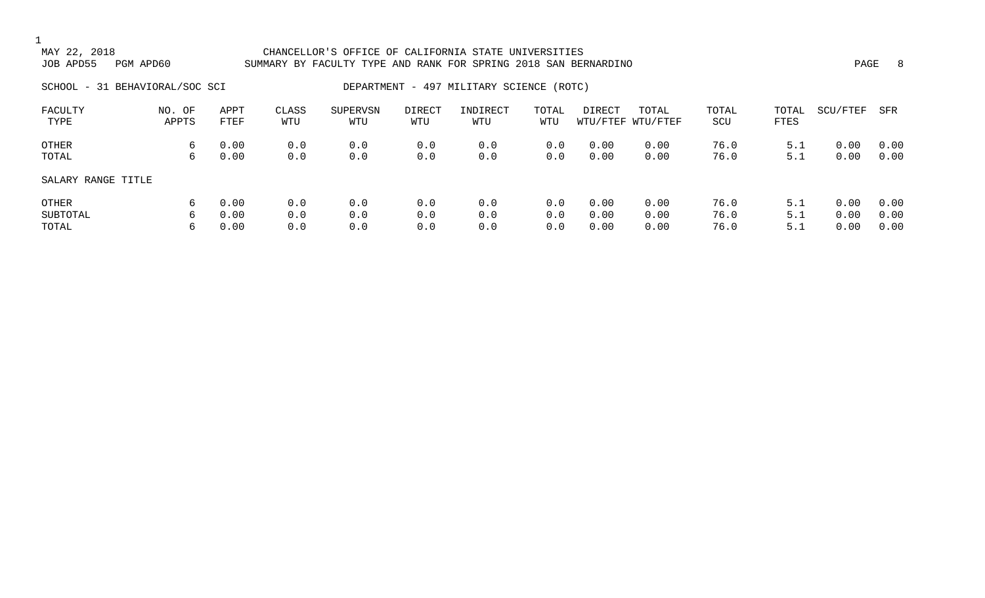### 1<br>MAY 22, 2018 MAY 22, 2018 CHANCELLOR'S OFFICE OF CALIFORNIA STATE UNIVERSITIES SUMMARY BY FACULTY TYPE AND RANK FOR SPRING 2018 SAN BERNARDINO **PAGE 19** PAGE 8 SCHOOL - 31 BEHAVIORAL/SOC SCI DEPARTMENT - 497 MILITARY SCIENCE (ROTC) FACULTY NO. OF APPT CLASS SUPERVSN DIRECT INDIRECT TOTAL DIRECT TOTAL TOTAL TOTAL SCU/FTEF SFR TYPE APPTS FTEF WTU WTU WTU WTU WTU WTU/FTEF WTU/FTEF SCU FTES OTHER 6 0.00 0.0 0.0 0.0 0.0 0.0 0.00 0.00 76.0 5.1 0.00 0.00 TOTAL 6 0.00 0.0 0.0 0.0 0.0 0.0 0.00 0.00 76.0 5.1 0.00 0.00 SALARY RANGE TITLE

| OTHER    | 0.00   | 0.0 | 0.0               | 0.0 | 0.0 | $0.0$ $0.00$ $0.00$ | 76.0    | 5.1 | $0.00$ $0.00$ |  |
|----------|--------|-----|-------------------|-----|-----|---------------------|---------|-----|---------------|--|
| SUBTOTAL | 6 0.00 |     | $0.0$ $0.0$ $0.0$ |     | 0.0 | $0.0$ $0.00$ $0.00$ | 76.0    | 5.1 | 0.00 0.00     |  |
| TOTAL    | 0.00   | 0.0 | 0.0               | 0.0 | 0.0 | $0.0$ $0.00$ $0.00$ | 76.0 20 | 5.1 | 0.00 0.00     |  |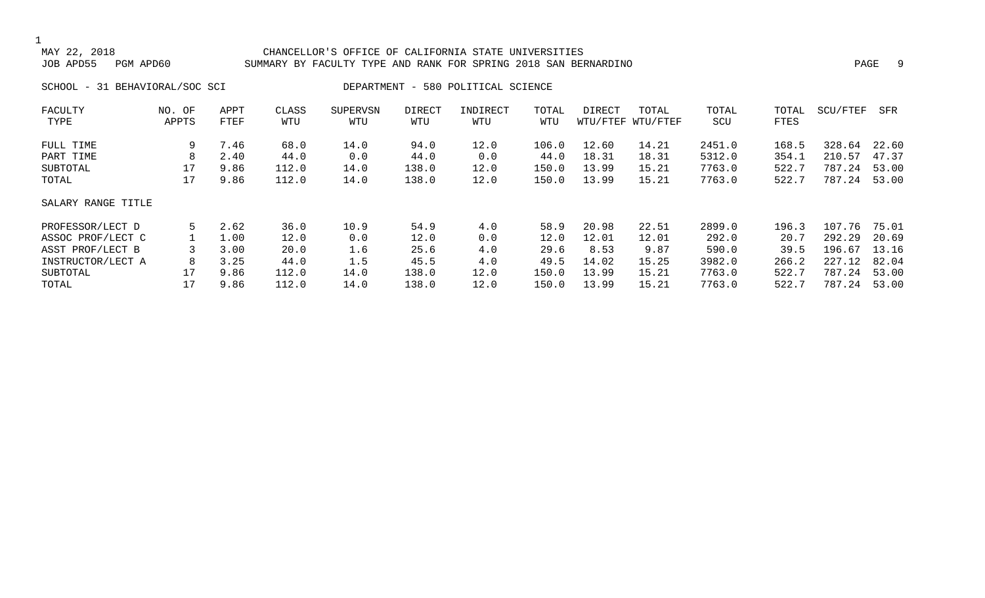#### CHANCELLOR'S OFFICE OF CALIFORNIA STATE UNIVERSITIES JOB APD55 PGM APD60 SUMMARY BY FACULTY TYPE AND RANK FOR SPRING 2018 SAN BERNARDINO PAGE 9

SCHOOL - 31 BEHAVIORAL/SOC SCI DEPARTMENT - 580 POLITICAL SCIENCE

| FACULTY            | NO. OF | APPT | CLASS | <b>SUPERVSN</b> | <b>DIRECT</b> | INDIRECT | TOTAL | DIRECT | TOTAL             | TOTAL  | TOTAL | SCU/FTEF | SFR   |
|--------------------|--------|------|-------|-----------------|---------------|----------|-------|--------|-------------------|--------|-------|----------|-------|
| TYPE               | APPTS  | FTEF | WTU   | WTU             | WTU           | WTU      | WTU   |        | WTU/FTEF WTU/FTEF | SCU    | FTES  |          |       |
| FULL TIME          | 9      | 7.46 | 68.0  | 14.0            | 94.0          | 12.0     | 106.0 | 12.60  | 14.21             | 2451.0 | 168.5 | 328.64   | 22.60 |
| PART TIME          | 8      | 2.40 | 44.0  | 0.0             | 44.0          | 0.0      | 44.0  | 18.31  | 18.31             | 5312.0 | 354.1 | 210.57   | 47.37 |
| SUBTOTAL           | 17     | 9.86 | 112.0 | 14.0            | 138.0         | 12.0     | 150.0 | 13.99  | 15.21             | 7763.0 | 522.7 | 787.24   | 53.00 |
| TOTAL              | 17     | 9.86 | 112.0 | 14.0            | 138.0         | 12.0     | 150.0 | 13.99  | 15.21             | 7763.0 | 522.7 | 787.24   | 53.00 |
| SALARY RANGE TITLE |        |      |       |                 |               |          |       |        |                   |        |       |          |       |
| PROFESSOR/LECT D   | 5      | 2.62 | 36.0  | 10.9            | 54.9          | 4.0      | 58.9  | 20.98  | 22.51             | 2899.0 | 196.3 | 107.76   | 75.01 |
| ASSOC PROF/LECT C  |        | 1.00 | 12.0  | 0.0             | 12.0          | 0.0      | 12.0  | 12.01  | 12.01             | 292.0  | 20.7  | 292.29   | 20.69 |
| ASST PROF/LECT B   |        | 3.00 | 20.0  | 1.6             | 25.6          | 4.0      | 29.6  | 8.53   | 9.87              | 590.0  | 39.5  | 196.67   | 13.16 |
| INSTRUCTOR/LECT A  | 8      | 3.25 | 44.0  | 1.5             | 45.5          | 4.0      | 49.5  | 14.02  | 15.25             | 3982.0 | 266.2 | 227.12   | 82.04 |
| SUBTOTAL           | 17     | 9.86 | 112.0 | 14.0            | 138.0         | 12.0     | 150.0 | 13.99  | 15.21             | 7763.0 | 522.7 | 787.24   | 53.00 |
| TOTAL              | 17     | 9.86 | 112.0 | 14.0            | 138.0         | 12.0     | 150.0 | 13.99  | 15.21             | 7763.0 | 522.7 | 787.24   | 53.00 |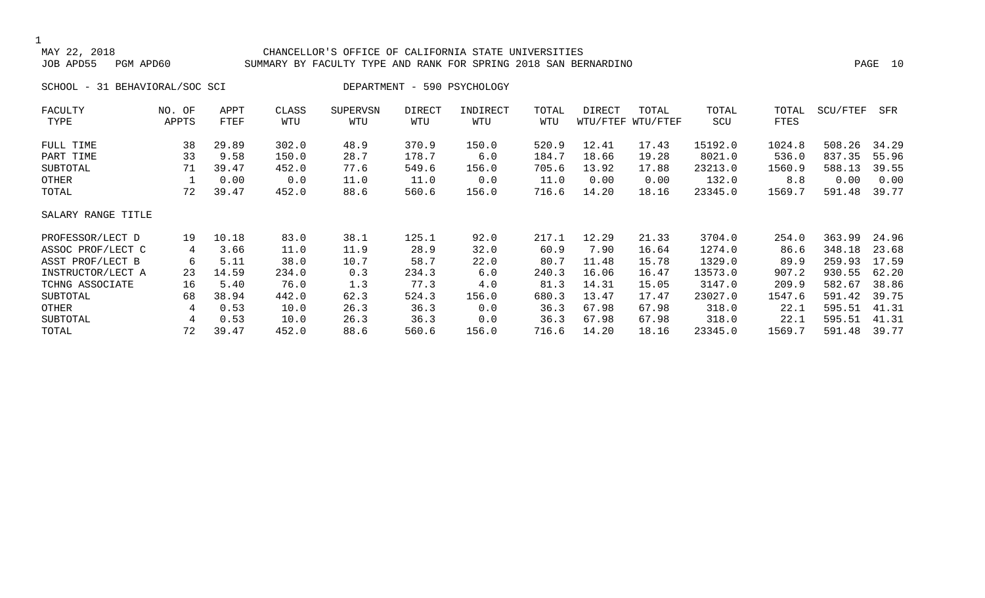#### CHANCELLOR'S OFFICE OF CALIFORNIA STATE UNIVERSITIES JOB APD55 PGM APD60 SUMMARY BY FACULTY TYPE AND RANK FOR SPRING 2018 SAN BERNARDINO PAGE 10

SCHOOL - 31 BEHAVIORAL/SOC SCI DEPARTMENT - 590 PSYCHOLOGY

| FACULTY            | NO. OF | APPT  | CLASS | <b>SUPERVSN</b> | <b>DIRECT</b> | INDIRECT | TOTAL | DIRECT | TOTAL             | TOTAL   | TOTAL  | SCU/FTEF | SFR   |
|--------------------|--------|-------|-------|-----------------|---------------|----------|-------|--------|-------------------|---------|--------|----------|-------|
| TYPE               | APPTS  | FTEF  | WTU   | WTU             | WTU           | WTU      | WTU   |        | WTU/FTEF WTU/FTEF | SCU     | FTES   |          |       |
| FULL TIME          | 38     | 29.89 | 302.0 | 48.9            | 370.9         | 150.0    | 520.9 | 12.41  | 17.43             | 15192.0 | 1024.8 | 508.26   | 34.29 |
| PART TIME          | 33     | 9.58  | 150.0 | 28.7            | 178.7         | 6.0      | 184.7 | 18.66  | 19.28             | 8021.0  | 536.0  | 837.35   | 55.96 |
| SUBTOTAL           | 71     | 39.47 | 452.0 | 77.6            | 549.6         | 156.0    | 705.6 | 13.92  | 17.88             | 23213.0 | 1560.9 | 588.13   | 39.55 |
| OTHER              |        | 0.00  | 0.0   | 11.0            | 11.0          | 0.0      | 11.0  | 0.00   | 0.00              | 132.0   | 8.8    | 0.00     | 0.00  |
| TOTAL              | 72     | 39.47 | 452.0 | 88.6            | 560.6         | 156.0    | 716.6 | 14.20  | 18.16             | 23345.0 | 1569.7 | 591.48   | 39.77 |
| SALARY RANGE TITLE |        |       |       |                 |               |          |       |        |                   |         |        |          |       |
| PROFESSOR/LECT D   | 19     | 10.18 | 83.0  | 38.1            | 125.1         | 92.0     | 217.1 | 12.29  | 21.33             | 3704.0  | 254.0  | 363.99   | 24.96 |
| ASSOC PROF/LECT C  | 4      | 3.66  | 11.0  | 11.9            | 28.9          | 32.0     | 60.9  | 7.90   | 16.64             | 1274.0  | 86.6   | 348.18   | 23.68 |
| ASST PROF/LECT B   | 6      | 5.11  | 38.0  | 10.7            | 58.7          | 22.0     | 80.7  | 11.48  | 15.78             | 1329.0  | 89.9   | 259.93   | 17.59 |
| INSTRUCTOR/LECT A  | 23     | 14.59 | 234.0 | 0.3             | 234.3         | 6.0      | 240.3 | 16.06  | 16.47             | 13573.0 | 907.2  | 930.55   | 62.20 |
| TCHNG ASSOCIATE    | 16     | 5.40  | 76.0  | 1.3             | 77.3          | 4.0      | 81.3  | 14.31  | 15.05             | 3147.0  | 209.9  | 582.67   | 38.86 |
| SUBTOTAL           | 68     | 38.94 | 442.0 | 62.3            | 524.3         | 156.0    | 680.3 | 13.47  | 17.47             | 23027.0 | 1547.6 | 591.42   | 39.75 |
| OTHER              | 4      | 0.53  | 10.0  | 26.3            | 36.3          | 0.0      | 36.3  | 67.98  | 67.98             | 318.0   | 22.1   | 595.51   | 41.31 |
| SUBTOTAL           | 4      | 0.53  | 10.0  | 26.3            | 36.3          | 0.0      | 36.3  | 67.98  | 67.98             | 318.0   | 22.1   | 595.51   | 41.31 |
| TOTAL              | 72     | 39.47 | 452.0 | 88.6            | 560.6         | 156.0    | 716.6 | 14.20  | 18.16             | 23345.0 | 1569.7 | 591.48   | 39.77 |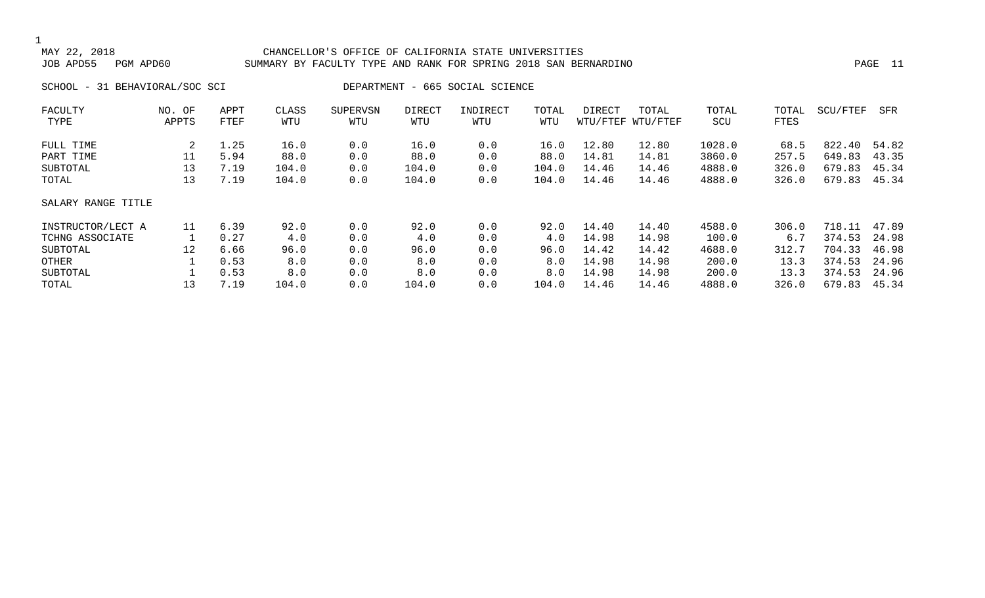#### CHANCELLOR'S OFFICE OF CALIFORNIA STATE UNIVERSITIES JOB APD55 PGM APD60 SUMMARY BY FACULTY TYPE AND RANK FOR SPRING 2018 SAN BERNARDINO PAGE 11

SCHOOL - 31 BEHAVIORAL/SOC SCI DEPARTMENT - 665 SOCIAL SCIENCE

| FACULTY            | NO. OF  | APPT | CLASS | <b>SUPERVSN</b> | DIRECT | INDIRECT | TOTAL | DIRECT | TOTAL             | TOTAL  | TOTAL | SCU/FTEF | SFR   |
|--------------------|---------|------|-------|-----------------|--------|----------|-------|--------|-------------------|--------|-------|----------|-------|
| TYPE               | APPTS   | FTEF | WTU   | WTU             | WTU    | WTU      | WTU   |        | WTU/FTEF WTU/FTEF | SCU    | FTES  |          |       |
| FULL TIME          | 2       | 1.25 | 16.0  | 0.0             | 16.0   | 0.0      | 16.0  | 12.80  | 12.80             | 1028.0 | 68.5  | 822.40   | 54.82 |
| PART TIME          | 11      | 5.94 | 88.0  | 0.0             | 88.0   | 0.0      | 88.0  | 14.81  | 14.81             | 3860.0 | 257.5 | 649.83   | 43.35 |
| SUBTOTAL           | 13      | 7.19 | 104.0 | 0.0             | 104.0  | 0.0      | 104.0 | 14.46  | 14.46             | 4888.0 | 326.0 | 679.83   | 45.34 |
| TOTAL              | 13      | 7.19 | 104.0 | 0.0             | 104.0  | 0.0      | 104.0 | 14.46  | 14.46             | 4888.0 | 326.0 | 679.83   | 45.34 |
| SALARY RANGE TITLE |         |      |       |                 |        |          |       |        |                   |        |       |          |       |
| INSTRUCTOR/LECT A  | 11      | 6.39 | 92.0  | 0.0             | 92.0   | 0.0      | 92.0  | 14.40  | 14.40             | 4588.0 | 306.0 | 718.11   | 47.89 |
| TCHNG ASSOCIATE    |         | 0.27 | 4.0   | 0.0             | 4.0    | 0.0      | 4.0   | 14.98  | 14.98             | 100.0  | 6.7   | 374.53   | 24.98 |
| SUBTOTAL           | $12 \,$ | 6.66 | 96.0  | 0.0             | 96.0   | 0.0      | 96.0  | 14.42  | 14.42             | 4688.0 | 312.7 | 704.33   | 46.98 |
| OTHER              |         | 0.53 | 8.0   | 0.0             | 8.0    | 0.0      | 8.0   | 14.98  | 14.98             | 200.0  | 13.3  | 374.53   | 24.96 |
| SUBTOTAL           |         | 0.53 | 8.0   | 0.0             | 8.0    | 0.0      | 8.0   | 14.98  | 14.98             | 200.0  | 13.3  | 374.53   | 24.96 |
| TOTAL              | 13      | 7.19 | 104.0 | 0.0             | 104.0  | 0.0      | 104.0 | 14.46  | 14.46             | 4888.0 | 326.0 | 679.83   | 45.34 |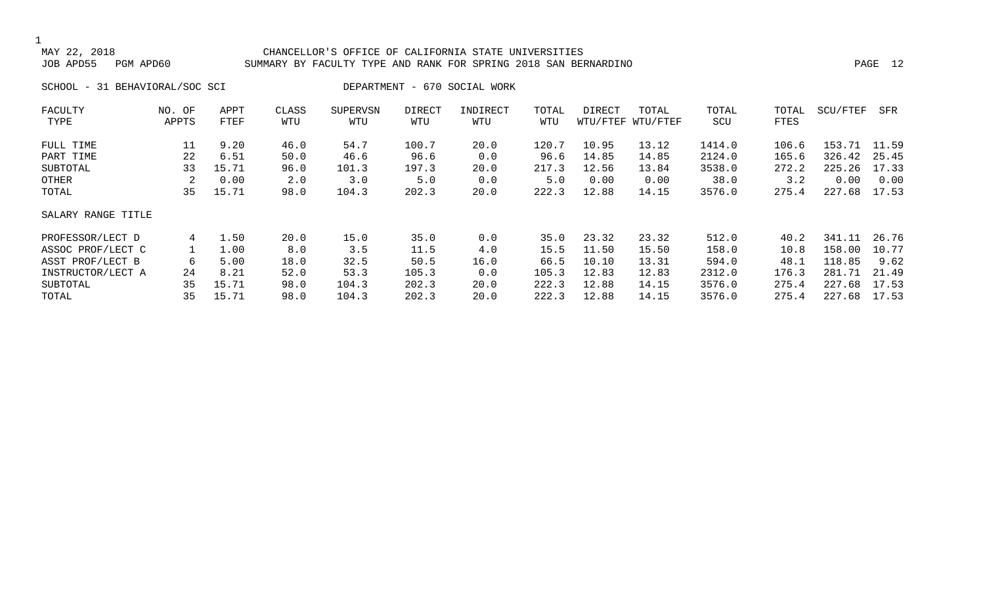#### CHANCELLOR'S OFFICE OF CALIFORNIA STATE UNIVERSITIES JOB APD55 PGM APD60 SUMMARY BY FACULTY TYPE AND RANK FOR SPRING 2018 SAN BERNARDINO PAGE 12

SCHOOL - 31 BEHAVIORAL/SOC SCI DEPARTMENT - 670 SOCIAL WORK

| NO. OF             | APPT  | CLASS | <b>SUPERVSN</b> | <b>DIRECT</b> | INDIRECT | TOTAL | DIRECT | TOTAL | TOTAL                | TOTAL |        | SFR      |
|--------------------|-------|-------|-----------------|---------------|----------|-------|--------|-------|----------------------|-------|--------|----------|
| APPTS              | FTEF  | WTU   | WTU             | WTU           | WTU      | WTU   |        |       | SCU                  | FTES  |        |          |
| 11                 | 9.20  | 46.0  | 54.7            | 100.7         | 20.0     | 120.7 | 10.95  | 13.12 | 1414.0               | 106.6 | 153.71 | 11.59    |
| 22                 | 6.51  | 50.0  | 46.6            | 96.6          | 0.0      | 96.6  | 14.85  | 14.85 | 2124.0               | 165.6 | 326.42 | 25.45    |
| 33                 | 15.71 | 96.0  | 101.3           | 197.3         | 20.0     | 217.3 | 12.56  | 13.84 | 3538.0               | 272.2 | 225.26 | 17.33    |
| 2                  | 0.00  | 2.0   | 3.0             | 5.0           | 0.0      | 5.0   | 0.00   | 0.00  | 38.0                 | 3.2   | 0.00   | 0.00     |
| 35                 | 15.71 | 98.0  | 104.3           | 202.3         | 20.0     | 222.3 | 12.88  | 14.15 | 3576.0               | 275.4 | 227.68 | 17.53    |
| SALARY RANGE TITLE |       |       |                 |               |          |       |        |       |                      |       |        |          |
| 4                  | 1.50  | 20.0  | 15.0            | 35.0          | 0.0      | 35.0  | 23.32  | 23.32 | 512.0                | 40.2  | 341.11 | 26.76    |
|                    | 1.00  | 8.0   | 3.5             | 11.5          | 4.0      | 15.5  | 11.50  | 15.50 | 158.0                | 10.8  | 158.00 | 10.77    |
| 6                  | 5.00  | 18.0  | 32.5            | 50.5          | 16.0     | 66.5  | 10.10  | 13.31 | 594.0                | 48.1  | 118.85 | 9.62     |
| 24                 | 8.21  | 52.0  | 53.3            | 105.3         | 0.0      | 105.3 | 12.83  | 12.83 | 2312.0               | 176.3 | 281.71 | 21.49    |
| 35                 | 15.71 | 98.0  | 104.3           | 202.3         | 20.0     | 222.3 | 12.88  | 14.15 | 3576.0               | 275.4 | 227.68 | 17.53    |
| 35                 | 15.71 | 98.0  | 104.3           | 202.3         | 20.0     | 222.3 | 12.88  | 14.15 | 3576.0               | 275.4 | 227.68 | 17.53    |
|                    |       |       |                 |               |          |       |        |       | WTU/FTEF<br>WTU/FTEF |       |        | SCU/FTEF |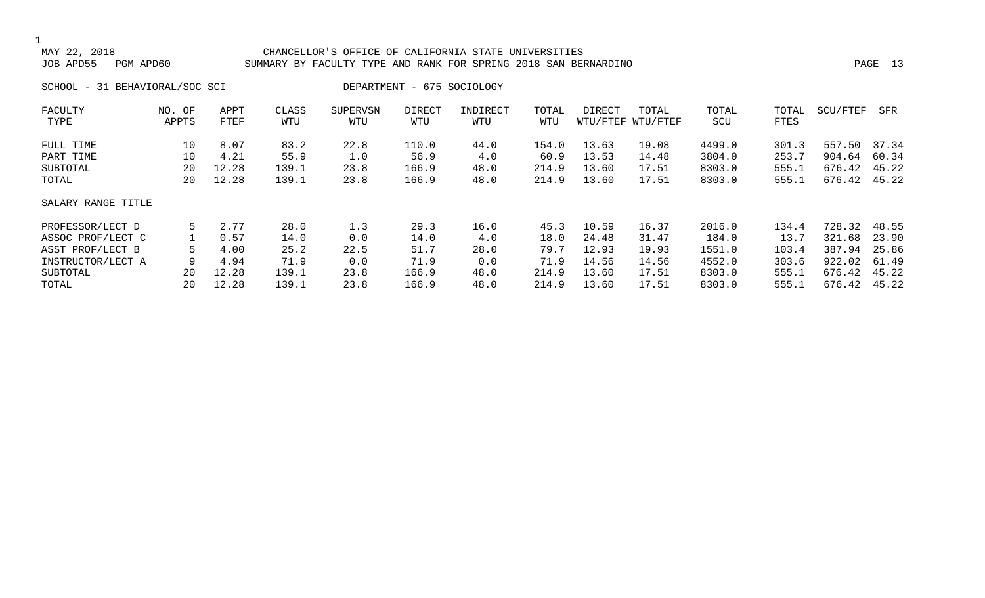#### CHANCELLOR'S OFFICE OF CALIFORNIA STATE UNIVERSITIES JOB APD55 PGM APD60 SUMMARY BY FACULTY TYPE AND RANK FOR SPRING 2018 SAN BERNARDINO PAGE 13

SCHOOL - 31 BEHAVIORAL/SOC SCI DEPARTMENT - 675 SOCIOLOGY

| FACULTY            | NO. OF | APPT  | CLASS | <b>SUPERVSN</b> | <b>DIRECT</b> | INDIRECT | TOTAL | DIRECT | TOTAL             | TOTAL  | TOTAL | SCU/FTEF | SFR   |
|--------------------|--------|-------|-------|-----------------|---------------|----------|-------|--------|-------------------|--------|-------|----------|-------|
| TYPE               | APPTS  | FTEF  | WTU   | WTU             | WTU           | WTU      | WTU   |        | WTU/FTEF WTU/FTEF | SCU    | FTES  |          |       |
| FULL TIME          | 10     | 8.07  | 83.2  | 22.8            | 110.0         | 44.0     | 154.0 | 13.63  | 19.08             | 4499.0 | 301.3 | 557.50   | 37.34 |
| PART TIME          | 10     | 4.21  | 55.9  | 1.0             | 56.9          | 4.0      | 60.9  | 13.53  | 14.48             | 3804.0 | 253.7 | 904.64   | 60.34 |
| SUBTOTAL           | 20     | 12.28 | 139.1 | 23.8            | 166.9         | 48.0     | 214.9 | 13.60  | 17.51             | 8303.0 | 555.1 | 676.42   | 45.22 |
| TOTAL              | 20     | 12.28 | 139.1 | 23.8            | 166.9         | 48.0     | 214.9 | 13.60  | 17.51             | 8303.0 | 555.1 | 676.42   | 45.22 |
| SALARY RANGE TITLE |        |       |       |                 |               |          |       |        |                   |        |       |          |       |
| PROFESSOR/LECT D   | 5      | 2.77  | 28.0  | 1.3             | 29.3          | 16.0     | 45.3  | 10.59  | 16.37             | 2016.0 | 134.4 | 728.32   | 48.55 |
| ASSOC PROF/LECT C  |        | 0.57  | 14.0  | 0.0             | 14.0          | 4.0      | 18.0  | 24.48  | 31.47             | 184.0  | 13.7  | 321.68   | 23.90 |
| ASST PROF/LECT B   | 5      | 4.00  | 25.2  | 22.5            | 51.7          | 28.0     | 79.7  | 12.93  | 19.93             | 1551.0 | 103.4 | 387.94   | 25.86 |
| INSTRUCTOR/LECT A  | 9      | 4.94  | 71.9  | 0.0             | 71.9          | 0.0      | 71.9  | 14.56  | 14.56             | 4552.0 | 303.6 | 922.02   | 61.49 |
| SUBTOTAL           | 20     | 12.28 | 139.1 | 23.8            | 166.9         | 48.0     | 214.9 | 13.60  | 17.51             | 8303.0 | 555.1 | 676.42   | 45.22 |
| TOTAL              | 20     | 12.28 | 139.1 | 23.8            | 166.9         | 48.0     | 214.9 | 13.60  | 17.51             | 8303.0 | 555.1 | 676.42   | 45.22 |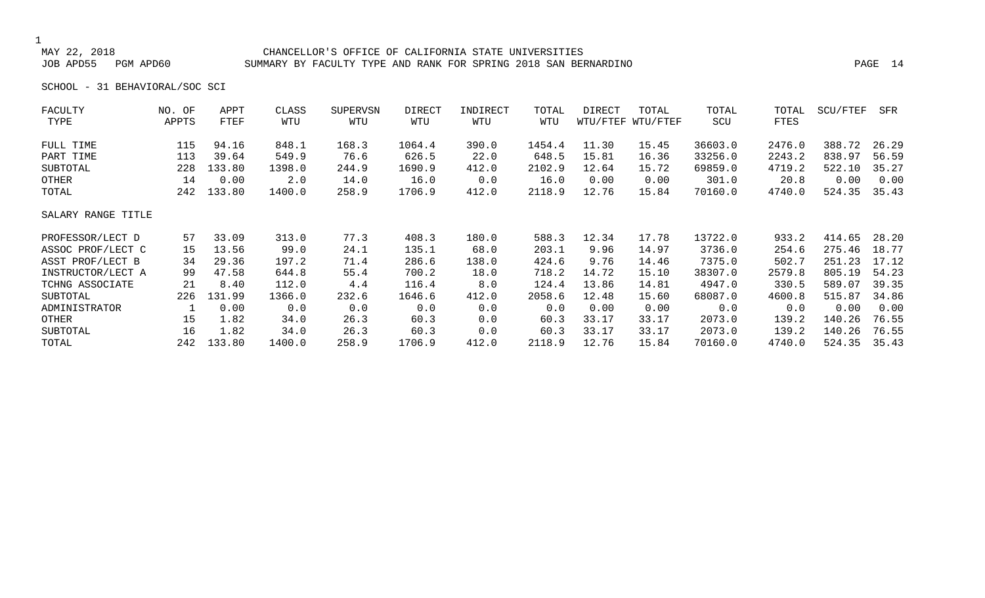#### CHANCELLOR'S OFFICE OF CALIFORNIA STATE UNIVERSITIES JOB APD55 PGM APD60 SUMMARY BY FACULTY TYPE AND RANK FOR SPRING 2018 SAN BERNARDINO PAGE 14

SCHOOL - 31 BEHAVIORAL/SOC SCI

| FACULTY            | NO. OF | APPT   | CLASS  | SUPERVSN | DIRECT | INDIRECT | TOTAL  | DIRECT   | TOTAL    | TOTAL   | TOTAL  | SCU/FTEF | SFR   |
|--------------------|--------|--------|--------|----------|--------|----------|--------|----------|----------|---------|--------|----------|-------|
| TYPE               | APPTS  | FTEF   | WTU    | WTU      | WTU    | WTU      | WTU    | WTU/FTEF | WTU/FTEF | SCU     | FTES   |          |       |
| FULL TIME          | 115    | 94.16  | 848.1  | 168.3    | 1064.4 | 390.0    | 1454.4 | 11.30    | 15.45    | 36603.0 | 2476.0 | 388.72   | 26.29 |
| PART TIME          | 113    | 39.64  | 549.9  | 76.6     | 626.5  | 22.0     | 648.5  | 15.81    | 16.36    | 33256.0 | 2243.2 | 838.97   | 56.59 |
| SUBTOTAL           | 228    | 133.80 | 1398.0 | 244.9    | 1690.9 | 412.0    | 2102.9 | 12.64    | 15.72    | 69859.0 | 4719.2 | 522.10   | 35.27 |
| OTHER              | 14     | 0.00   | 2.0    | 14.0     | 16.0   | 0.0      | 16.0   | 0.00     | 0.00     | 301.0   | 20.8   | 0.00     | 0.00  |
| TOTAL              | 242    | 133.80 | 1400.0 | 258.9    | 1706.9 | 412.0    | 2118.9 | 12.76    | 15.84    | 70160.0 | 4740.0 | 524.35   | 35.43 |
| SALARY RANGE TITLE |        |        |        |          |        |          |        |          |          |         |        |          |       |
| PROFESSOR/LECT D   | 57     | 33.09  | 313.0  | 77.3     | 408.3  | 180.0    | 588.3  | 12.34    | 17.78    | 13722.0 | 933.2  | 414.65   | 28.20 |
| ASSOC PROF/LECT C  | 15     | 13.56  | 99.0   | 24.1     | 135.1  | 68.0     | 203.1  | 9.96     | 14.97    | 3736.0  | 254.6  | 275.46   | 18.77 |
| ASST PROF/LECT B   | 34     | 29.36  | 197.2  | 71.4     | 286.6  | 138.0    | 424.6  | 9.76     | 14.46    | 7375.0  | 502.7  | 251.23   | 17.12 |
| INSTRUCTOR/LECT A  | 99     | 47.58  | 644.8  | 55.4     | 700.2  | 18.0     | 718.2  | 14.72    | 15.10    | 38307.0 | 2579.8 | 805.19   | 54.23 |
| TCHNG ASSOCIATE    | 21     | 8.40   | 112.0  | 4.4      | 116.4  | 8.0      | 124.4  | 13.86    | 14.81    | 4947.0  | 330.5  | 589.07   | 39.35 |
| SUBTOTAL           | 226    | 131.99 | 1366.0 | 232.6    | 1646.6 | 412.0    | 2058.6 | 12.48    | 15.60    | 68087.0 | 4600.8 | 515.87   | 34.86 |
| ADMINISTRATOR      |        | 0.00   | 0.0    | 0.0      | 0.0    | 0.0      | 0.0    | 0.00     | 0.00     | 0.0     | 0.0    | 0.00     | 0.00  |
| OTHER              | 15     | 1.82   | 34.0   | 26.3     | 60.3   | 0.0      | 60.3   | 33.17    | 33.17    | 2073.0  | 139.2  | 140.26   | 76.55 |
| SUBTOTAL           | 16     | 1.82   | 34.0   | 26.3     | 60.3   | 0.0      | 60.3   | 33.17    | 33.17    | 2073.0  | 139.2  | 140.26   | 76.55 |
| TOTAL              | 242    | 133.80 | 1400.0 | 258.9    | 1706.9 | 412.0    | 2118.9 | 12.76    | 15.84    | 70160.0 | 4740.0 | 524.35   | 35.43 |
|                    |        |        |        |          |        |          |        |          |          |         |        |          |       |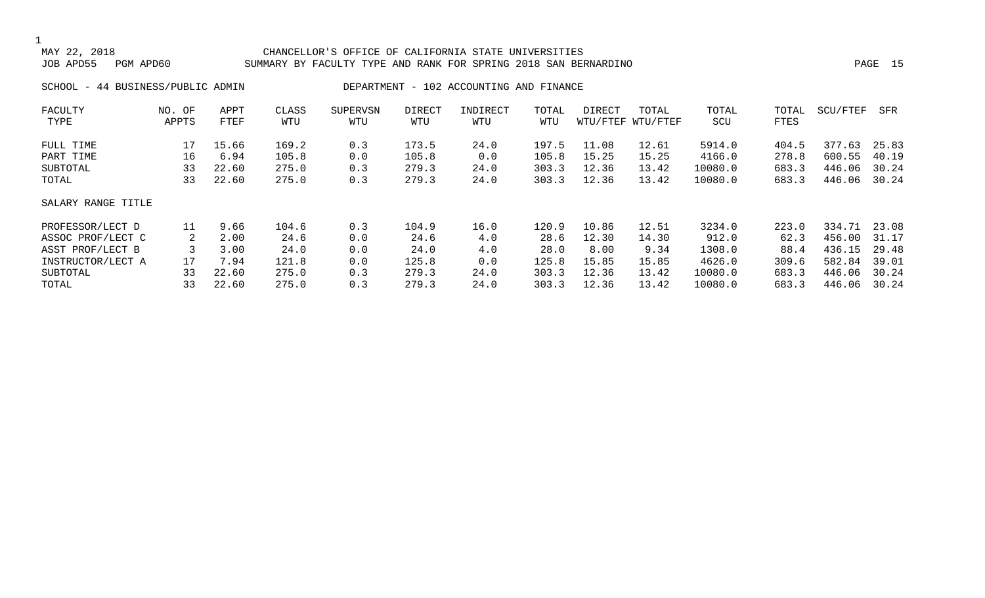#### 1<br>MAY 22, 2018 CHANCELLOR'S OFFICE OF CALIFORNIA STATE UNIVERSITIES JOB APD55 PGM APD60 SUMMARY BY FACULTY TYPE AND RANK FOR SPRING 2018 SAN BERNARDINO PAGE 15

SCHOOL - 44 BUSINESS/PUBLIC ADMIN DEPARTMENT - 102 ACCOUNTING AND FINANCE

| FACULTY            | NO. OF | APPT  | CLASS | <b>SUPERVSN</b> | <b>DIRECT</b> | INDIRECT | TOTAL | DIRECT | TOTAL             | TOTAL   | TOTAL | SCU/FTEF | SFR   |
|--------------------|--------|-------|-------|-----------------|---------------|----------|-------|--------|-------------------|---------|-------|----------|-------|
| TYPE               | APPTS  | FTEF  | WTU   | WTU             | WTU           | WTU      | WTU   |        | WTU/FTEF WTU/FTEF | SCU     | FTES  |          |       |
| FULL TIME          | 17     | 15.66 | 169.2 | 0.3             | 173.5         | 24.0     | 197.5 | 11.08  | 12.61             | 5914.0  | 404.5 | 377.63   | 25.83 |
| PART TIME          | 16     | 6.94  | 105.8 | 0.0             | 105.8         | 0.0      | 105.8 | 15.25  | 15.25             | 4166.0  | 278.8 | 600.55   | 40.19 |
| SUBTOTAL           | 33     | 22.60 | 275.0 | 0.3             | 279.3         | 24.0     | 303.3 | 12.36  | 13.42             | 10080.0 | 683.3 | 446.06   | 30.24 |
| TOTAL              | 33     | 22.60 | 275.0 | 0.3             | 279.3         | 24.0     | 303.3 | 12.36  | 13.42             | 10080.0 | 683.3 | 446.06   | 30.24 |
| SALARY RANGE TITLE |        |       |       |                 |               |          |       |        |                   |         |       |          |       |
| PROFESSOR/LECT D   | 11     | 9.66  | 104.6 | 0.3             | 104.9         | 16.0     | 120.9 | 10.86  | 12.51             | 3234.0  | 223.0 | 334.71   | 23.08 |
| ASSOC PROF/LECT C  | 2      | 2.00  | 24.6  | 0.0             | 24.6          | 4.0      | 28.6  | 12.30  | 14.30             | 912.0   | 62.3  | 456.00   | 31.17 |
| ASST PROF/LECT B   |        | 3.00  | 24.0  | 0.0             | 24.0          | 4.0      | 28.0  | 8.00   | 9.34              | 1308.0  | 88.4  | 436.15   | 29.48 |
| INSTRUCTOR/LECT A  | 17     | 7.94  | 121.8 | 0.0             | 125.8         | 0.0      | 125.8 | 15.85  | 15.85             | 4626.0  | 309.6 | 582.84   | 39.01 |
| SUBTOTAL           | 33     | 22.60 | 275.0 | 0.3             | 279.3         | 24.0     | 303.3 | 12.36  | 13.42             | 10080.0 | 683.3 | 446.06   | 30.24 |
| TOTAL              | 33     | 22.60 | 275.0 | 0.3             | 279.3         | 24.0     | 303.3 | 12.36  | 13.42             | 10080.0 | 683.3 | 446.06   | 30.24 |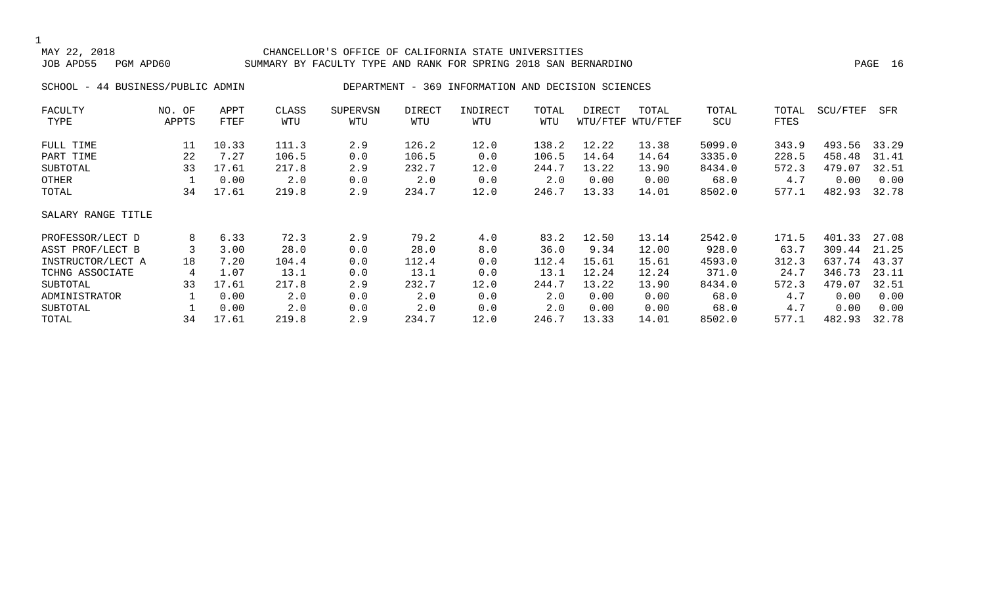#### CHANCELLOR'S OFFICE OF CALIFORNIA STATE UNIVERSITIES JOB APD55 PGM APD60 SUMMARY BY FACULTY TYPE AND RANK FOR SPRING 2018 SAN BERNARDINO PAGE 16

SCHOOL - 44 BUSINESS/PUBLIC ADMIN DEPARTMENT - 369 INFORMATION AND DECISION SCIENCES

| FACULTY            | NO. OF | APPT  | CLASS | <b>SUPERVSN</b> | <b>DIRECT</b> | INDIRECT | TOTAL | DIRECT | TOTAL             | TOTAL  | TOTAL | SCU/FTEF | SFR   |
|--------------------|--------|-------|-------|-----------------|---------------|----------|-------|--------|-------------------|--------|-------|----------|-------|
| TYPE               | APPTS  | FTEF  | WTU   | WTU             | WTU           | WTU      | WTU   |        | WTU/FTEF WTU/FTEF | SCU    | FTES  |          |       |
| FULL TIME          | 11     | 10.33 | 111.3 | 2.9             | 126.2         | 12.0     | 138.2 | 12.22  | 13.38             | 5099.0 | 343.9 | 493.56   | 33.29 |
| PART TIME          | 22     | 7.27  | 106.5 | 0.0             | 106.5         | 0.0      | 106.5 | 14.64  | 14.64             | 3335.0 | 228.5 | 458.48   | 31.41 |
| SUBTOTAL           | 33     | 17.61 | 217.8 | 2.9             | 232.7         | 12.0     | 244.7 | 13.22  | 13.90             | 8434.0 | 572.3 | 479.07   | 32.51 |
| OTHER              |        | 0.00  | 2.0   | 0.0             | 2.0           | 0.0      | 2.0   | 0.00   | 0.00              | 68.0   | 4.7   | 0.00     | 0.00  |
| TOTAL              | 34     | 17.61 | 219.8 | 2.9             | 234.7         | 12.0     | 246.7 | 13.33  | 14.01             | 8502.0 | 577.1 | 482.93   | 32.78 |
| SALARY RANGE TITLE |        |       |       |                 |               |          |       |        |                   |        |       |          |       |
| PROFESSOR/LECT D   | 8      | 6.33  | 72.3  | 2.9             | 79.2          | 4.0      | 83.2  | 12.50  | 13.14             | 2542.0 | 171.5 | 401.33   | 27.08 |
| ASST PROF/LECT B   |        | 3.00  | 28.0  | 0.0             | 28.0          | 8.0      | 36.0  | 9.34   | 12.00             | 928.0  | 63.7  | 309.44   | 21.25 |
| INSTRUCTOR/LECT A  | 18     | 7.20  | 104.4 | 0.0             | 112.4         | 0.0      | 112.4 | 15.61  | 15.61             | 4593.0 | 312.3 | 637.74   | 43.37 |
| TCHNG ASSOCIATE    | 4      | 1.07  | 13.1  | 0.0             | 13.1          | 0.0      | 13.1  | 12.24  | 12.24             | 371.0  | 24.7  | 346.73   | 23.11 |
| SUBTOTAL           | 33     | 17.61 | 217.8 | 2.9             | 232.7         | 12.0     | 244.7 | 13.22  | 13.90             | 8434.0 | 572.3 | 479.07   | 32.51 |
| ADMINISTRATOR      |        | 0.00  | 2.0   | 0.0             | 2.0           | 0.0      | 2.0   | 0.00   | 0.00              | 68.0   | 4.7   | 0.00     | 0.00  |
| SUBTOTAL           |        | 0.00  | 2.0   | 0.0             | 2.0           | 0.0      | 2.0   | 0.00   | 0.00              | 68.0   | 4.7   | 0.00     | 0.00  |
| TOTAL              | 34     | 17.61 | 219.8 | 2.9             | 234.7         | 12.0     | 246.7 | 13.33  | 14.01             | 8502.0 | 577.1 | 482.93   | 32.78 |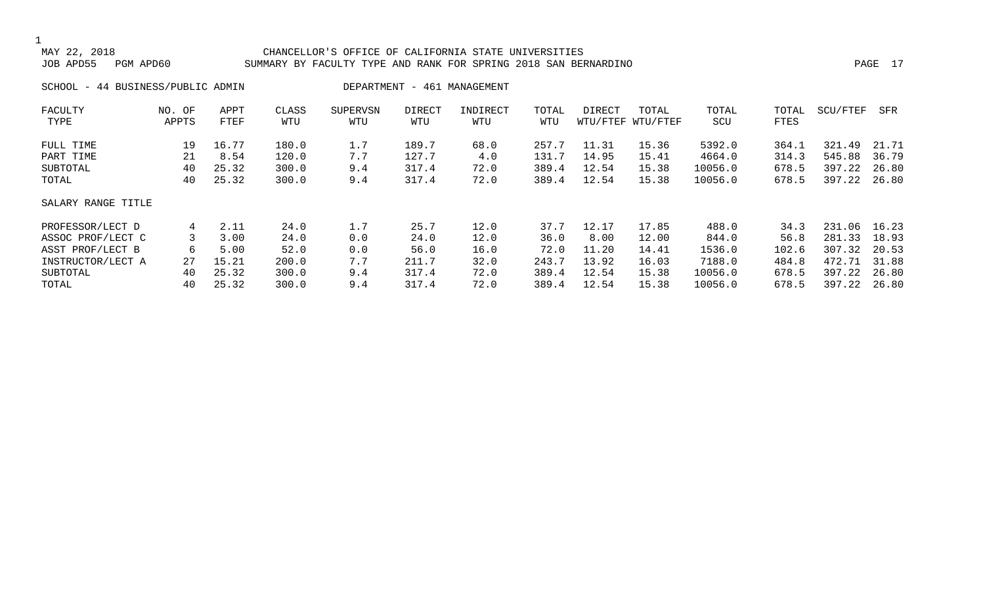#### CHANCELLOR'S OFFICE OF CALIFORNIA STATE UNIVERSITIES JOB APD55 PGM APD60 SUMMARY BY FACULTY TYPE AND RANK FOR SPRING 2018 SAN BERNARDINO PAGE 17

### SCHOOL - 44 BUSINESS/PUBLIC ADMIN DEPARTMENT - 461 MANAGEMENT

| FACULTY            | NO. OF | APPT  | CLASS | SUPERVSN | DIRECT | INDIRECT | TOTAL | DIRECT | TOTAL             | TOTAL   | TOTAL | SCU/FTEF | SFR   |
|--------------------|--------|-------|-------|----------|--------|----------|-------|--------|-------------------|---------|-------|----------|-------|
| TYPE               | APPTS  | FTEF  | WTU   | WTU      | WTU    | WTU      | WTU   |        | WTU/FTEF WTU/FTEF | SCU     | FTES  |          |       |
| FULL TIME          | 19     | 16.77 | 180.0 | 1.7      | 189.7  | 68.0     | 257.7 | 11.31  | 15.36             | 5392.0  | 364.1 | 321.49   | 21.71 |
| PART TIME          | 21     | 8.54  | 120.0 | 7.7      | 127.7  | 4.0      | 131.7 | 14.95  | 15.41             | 4664.0  | 314.3 | 545.88   | 36.79 |
| SUBTOTAL           | 40     | 25.32 | 300.0 | 9.4      | 317.4  | 72.0     | 389.4 | 12.54  | 15.38             | 10056.0 | 678.5 | 397.22   | 26.80 |
| TOTAL              | 40     | 25.32 | 300.0 | 9.4      | 317.4  | 72.0     | 389.4 | 12.54  | 15.38             | 10056.0 | 678.5 | 397.22   | 26.80 |
| SALARY RANGE TITLE |        |       |       |          |        |          |       |        |                   |         |       |          |       |
| PROFESSOR/LECT D   | 4      | 2.11  | 24.0  | 1.7      | 25.7   | 12.0     | 37.7  | 12.17  | 17.85             | 488.0   | 34.3  | 231.06   | 16.23 |
| ASSOC PROF/LECT C  | 3      | 3.00  | 24.0  | 0.0      | 24.0   | 12.0     | 36.0  | 8.00   | 12.00             | 844.0   | 56.8  | 281.33   | 18.93 |
| ASST PROF/LECT B   | 6      | 5.00  | 52.0  | 0.0      | 56.0   | 16.0     | 72.0  | 11.20  | 14.41             | 1536.0  | 102.6 | 307.32   | 20.53 |
| INSTRUCTOR/LECT A  | 27     | 15.21 | 200.0 | 7.7      | 211.7  | 32.0     | 243.7 | 13.92  | 16.03             | 7188.0  | 484.8 | 472.71   | 31.88 |
| SUBTOTAL           | 40     | 25.32 | 300.0 | 9.4      | 317.4  | 72.0     | 389.4 | 12.54  | 15.38             | 10056.0 | 678.5 | 397.22   | 26.80 |
| TOTAL              | 40     | 25.32 | 300.0 | 9.4      | 317.4  | 72.0     | 389.4 | 12.54  | 15.38             | 10056.0 | 678.5 | 397.22   | 26.80 |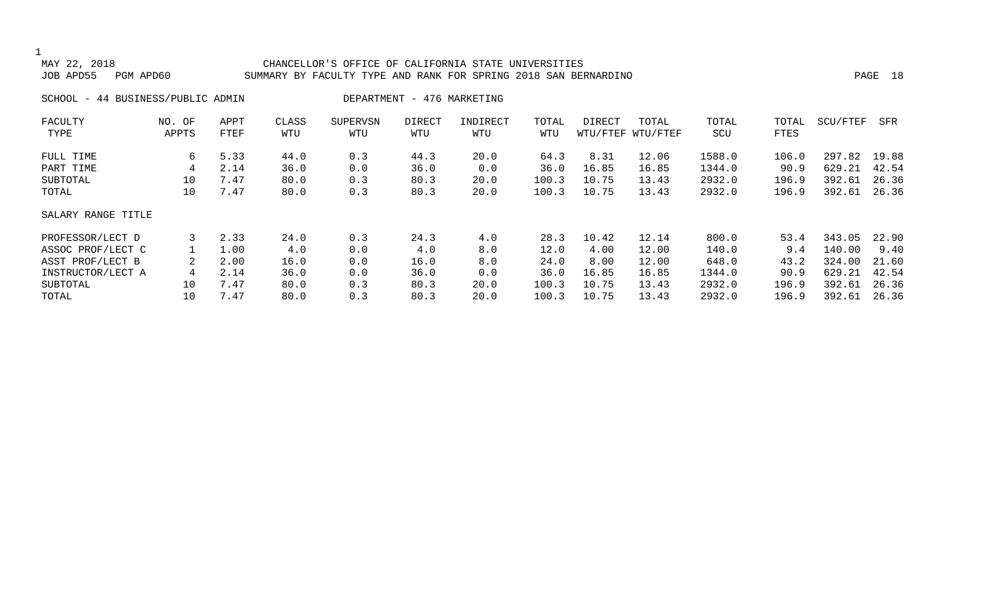| MAY 22, 2018<br>JOB APD55<br>PGM APD60 |                 |              |              | CHANCELLOR'S OFFICE OF CALIFORNIA STATE UNIVERSITIES<br>SUMMARY BY FACULTY TYPE AND RANK FOR SPRING 2018 SAN BERNARDINO |                            |                 |              |        |                            |              |               |          | PAGE 18 |
|----------------------------------------|-----------------|--------------|--------------|-------------------------------------------------------------------------------------------------------------------------|----------------------------|-----------------|--------------|--------|----------------------------|--------------|---------------|----------|---------|
| SCHOOL - 44 BUSINESS/PUBLIC ADMIN      |                 |              |              |                                                                                                                         | DEPARTMENT - 476 MARKETING |                 |              |        |                            |              |               |          |         |
| FACULTY<br>TYPE                        | NO. OF<br>APPTS | APPT<br>FTEF | CLASS<br>WTU | SUPERVSN<br>WTU                                                                                                         | DIRECT<br>WTU              | INDIRECT<br>WTU | TOTAL<br>WTU | DIRECT | TOTAL<br>WTU/FTEF WTU/FTEF | TOTAL<br>SCU | TOTAL<br>FTES | SCU/FTEF | SFR     |
| FULL TIME                              | 6               | 5.33         | 44.0         | 0.3                                                                                                                     | 44.3                       | 20.0            | 64.3         | 8.31   | 12.06                      | 1588.0       | 106.0         | 297.82   | 19.88   |
| PART TIME                              |                 | 2.14         | 36.0         | 0.0                                                                                                                     | 36.0                       | 0.0             | 36.0         | 16.85  | 16.85                      | 1344.0       | 90.9          | 629.21   | 42.54   |
| SUBTOTAL                               | 10              | 7.47         | 80.0         | 0.3                                                                                                                     | 80.3                       | 20.0            | 100.3        | 10.75  | 13.43                      | 2932.0       | 196.9         | 392.61   | 26.36   |
| TOTAL                                  | 10              | 7.47         | 80.0         | 0.3                                                                                                                     | 80.3                       | 20.0            | 100.3        | 10.75  | 13.43                      | 2932.0       | 196.9         | 392.61   | 26.36   |
| SALARY RANGE TITLE                     |                 |              |              |                                                                                                                         |                            |                 |              |        |                            |              |               |          |         |
| PROFESSOR/LECT D                       | 3               | 2.33         | 24.0         | 0.3                                                                                                                     | 24.3                       | 4.0             | 28.3         | 10.42  | 12.14                      | 800.0        | 53.4          | 343.05   | 22.90   |
| ASSOC PROF/LECT C                      |                 | 1.00         | 4.0          | 0.0                                                                                                                     | 4.0                        | 8.0             | 12.0         | 4.00   | 12.00                      | 140.0        | 9.4           | 140.00   | 9.40    |
| ASST PROF/LECT B                       |                 | 2.00         | 16.0         | 0.0                                                                                                                     | 16.0                       | 8.0             | 24.0         | 8.00   | 12.00                      | 648.0        | 43.2          | 324.00   | 21.60   |
| INSTRUCTOR/LECT A                      | 4               | 2.14         | 36.0         | 0.0                                                                                                                     | 36.0                       | 0.0             | 36.0         | 16.85  | 16.85                      | 1344.0       | 90.9          | 629.21   | 42.54   |
| SUBTOTAL                               | 10              | 7.47         | 80.0         | 0.3                                                                                                                     | 80.3                       | 20.0            | 100.3        | 10.75  | 13.43                      | 2932.0       | 196.9         | 392.61   | 26.36   |
| TOTAL                                  | 10              | 7.47         | 80.0         | 0.3                                                                                                                     | 80.3                       | 20.0            | 100.3        | 10.75  | 13.43                      | 2932.0       | 196.9         | 392.61   | 26.36   |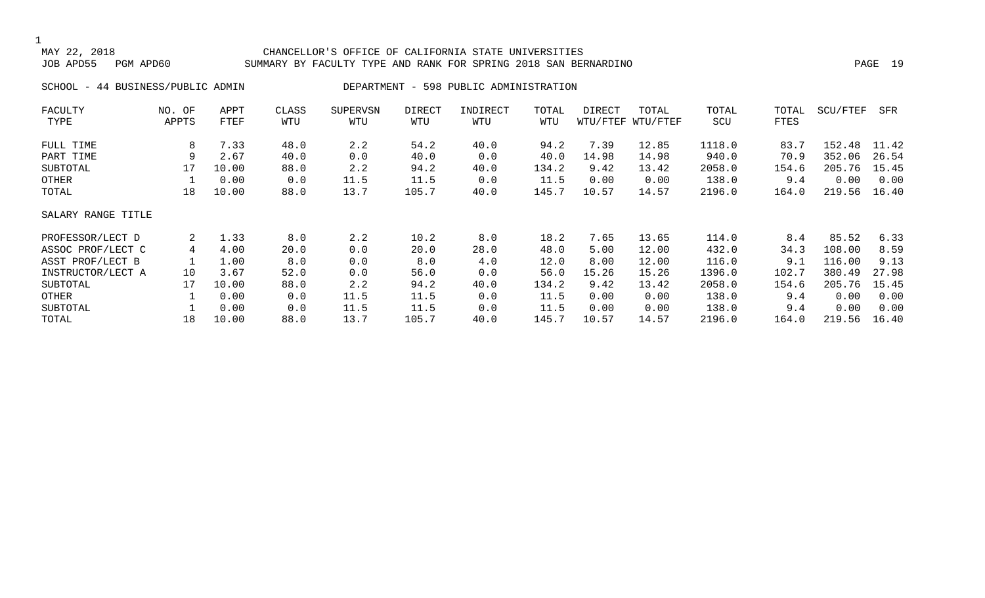#### CHANCELLOR'S OFFICE OF CALIFORNIA STATE UNIVERSITIES JOB APD55 PGM APD60 SUMMARY BY FACULTY TYPE AND RANK FOR SPRING 2018 SAN BERNARDINO PAGE 19

SCHOOL - 44 BUSINESS/PUBLIC ADMIN DEPARTMENT - 598 PUBLIC ADMINISTRATION

| FACULTY            | NO. OF | APPT  | CLASS | <b>SUPERVSN</b> | DIRECT | INDIRECT | TOTAL | DIRECT | TOTAL             | TOTAL  | TOTAL | SCU/FTEF | SFR   |
|--------------------|--------|-------|-------|-----------------|--------|----------|-------|--------|-------------------|--------|-------|----------|-------|
| TYPE               | APPTS  | FTEF  | WTU   | WTU             | WTU    | WTU      | WTU   |        | WTU/FTEF WTU/FTEF | SCU    | FTES  |          |       |
| FULL TIME          | 8      | 7.33  | 48.0  | 2.2             | 54.2   | 40.0     | 94.2  | 7.39   | 12.85             | 1118.0 | 83.7  | 152.48   | 11.42 |
| PART TIME          | 9      | 2.67  | 40.0  | 0.0             | 40.0   | 0.0      | 40.0  | 14.98  | 14.98             | 940.0  | 70.9  | 352.06   | 26.54 |
| SUBTOTAL           | 17     | 10.00 | 88.0  | 2.2             | 94.2   | 40.0     | 134.2 | 9.42   | 13.42             | 2058.0 | 154.6 | 205.76   | 15.45 |
| OTHER              |        | 0.00  | 0.0   | 11.5            | 11.5   | 0.0      | 11.5  | 0.00   | 0.00              | 138.0  | 9.4   | 0.00     | 0.00  |
| TOTAL              | 18     | 10.00 | 88.0  | 13.7            | 105.7  | 40.0     | 145.7 | 10.57  | 14.57             | 2196.0 | 164.0 | 219.56   | 16.40 |
| SALARY RANGE TITLE |        |       |       |                 |        |          |       |        |                   |        |       |          |       |
| PROFESSOR/LECT D   | 2      | 1.33  | 8.0   | 2.2             | 10.2   | 8.0      | 18.2  | 7.65   | 13.65             | 114.0  | 8.4   | 85.52    | 6.33  |
| ASSOC PROF/LECT C  | 4      | 4.00  | 20.0  | 0.0             | 20.0   | 28.0     | 48.0  | 5.00   | 12.00             | 432.0  | 34.3  | 108.00   | 8.59  |
| ASST PROF/LECT B   |        | 1.00  | 8.0   | 0.0             | 8.0    | 4.0      | 12.0  | 8.00   | 12.00             | 116.0  | 9.1   | 116.00   | 9.13  |
| INSTRUCTOR/LECT A  | 10     | 3.67  | 52.0  | 0.0             | 56.0   | 0.0      | 56.0  | 15.26  | 15.26             | 1396.0 | 102.7 | 380.49   | 27.98 |
| SUBTOTAL           | 17     | 10.00 | 88.0  | 2.2             | 94.2   | 40.0     | 134.2 | 9.42   | 13.42             | 2058.0 | 154.6 | 205.76   | 15.45 |
| OTHER              |        | 0.00  | 0.0   | 11.5            | 11.5   | 0.0      | 11.5  | 0.00   | 0.00              | 138.0  | 9.4   | 0.00     | 0.00  |
| SUBTOTAL           |        | 0.00  | 0.0   | 11.5            | 11.5   | 0.0      | 11.5  | 0.00   | 0.00              | 138.0  | 9.4   | 0.00     | 0.00  |
| TOTAL              | 18     | 10.00 | 88.0  | 13.7            | 105.7  | 40.0     | 145.7 | 10.57  | 14.57             | 2196.0 | 164.0 | 219.56   | 16.40 |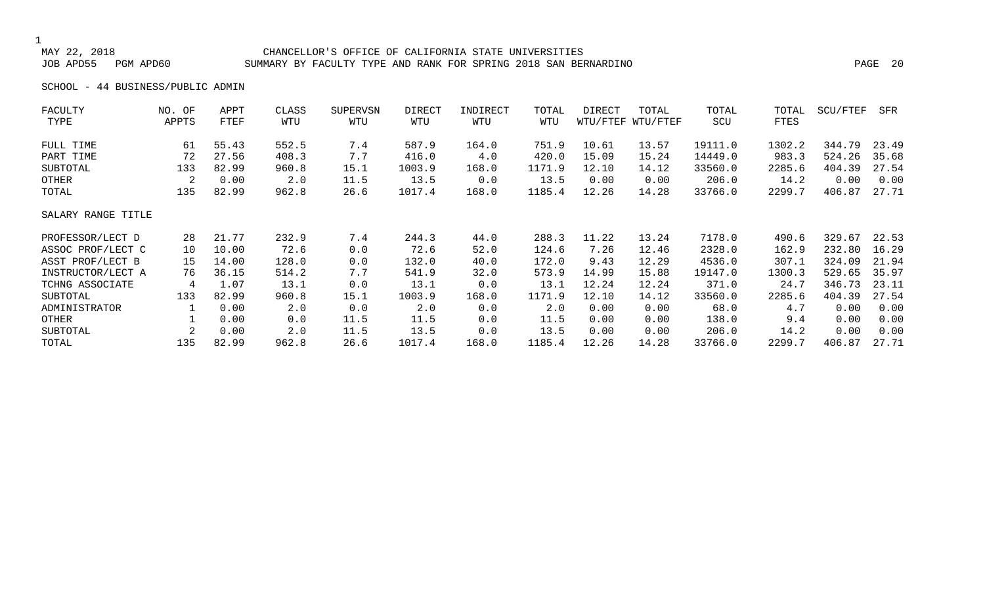#### CHANCELLOR'S OFFICE OF CALIFORNIA STATE UNIVERSITIES JOB APD55 PGM APD60 SUMMARY BY FACULTY TYPE AND RANK FOR SPRING 2018 SAN BERNARDINO PAGE 20

SCHOOL - 44 BUSINESS/PUBLIC ADMIN

| NO. OF             | APPT  | CLASS | <b>SUPERVSN</b> | DIRECT | INDIRECT | TOTAL  | DIRECT | TOTAL    | TOTAL    | TOTAL  | SCU/FTEF | SFR   |
|--------------------|-------|-------|-----------------|--------|----------|--------|--------|----------|----------|--------|----------|-------|
| APPTS              | FTEF  | WTU   | WTU             | WTU    | WTU      | WTU    |        | WTU/FTEF | SCU      | FTES   |          |       |
| 61                 | 55.43 | 552.5 | 7.4             | 587.9  | 164.0    | 751.9  | 10.61  | 13.57    | 19111.0  | 1302.2 | 344.79   | 23.49 |
| 72                 | 27.56 | 408.3 | 7.7             | 416.0  | 4.0      | 420.0  | 15.09  | 15.24    | 14449.0  | 983.3  | 524.26   | 35.68 |
| 133                | 82.99 | 960.8 | 15.1            | 1003.9 | 168.0    | 1171.9 | 12.10  | 14.12    | 33560.0  | 2285.6 | 404.39   | 27.54 |
| 2                  | 0.00  | 2.0   | 11.5            | 13.5   | 0.0      | 13.5   | 0.00   | 0.00     | 206.0    | 14.2   | 0.00     | 0.00  |
| 135                | 82.99 | 962.8 | 26.6            | 1017.4 | 168.0    | 1185.4 | 12.26  | 14.28    | 33766.0  | 2299.7 | 406.87   | 27.71 |
| SALARY RANGE TITLE |       |       |                 |        |          |        |        |          |          |        |          |       |
| 28                 | 21.77 | 232.9 | 7.4             | 244.3  | 44.0     | 288.3  | 11.22  | 13.24    | 7178.0   | 490.6  | 329.67   | 22.53 |
| 10                 | 10.00 | 72.6  | 0.0             | 72.6   | 52.0     | 124.6  | 7.26   | 12.46    | 2328.0   | 162.9  | 232.80   | 16.29 |
| 15                 | 14.00 | 128.0 | 0.0             | 132.0  | 40.0     | 172.0  | 9.43   | 12.29    | 4536.0   | 307.1  | 324.09   | 21.94 |
| 76                 | 36.15 | 514.2 | 7.7             | 541.9  | 32.0     | 573.9  | 14.99  | 15.88    | 19147.0  | 1300.3 | 529.65   | 35.97 |
| 4                  | 1.07  | 13.1  | 0.0             | 13.1   | 0.0      | 13.1   | 12.24  | 12.24    | 371.0    | 24.7   | 346.73   | 23.11 |
| 133                | 82.99 | 960.8 | 15.1            | 1003.9 | 168.0    | 1171.9 | 12.10  | 14.12    | 33560.0  | 2285.6 | 404.39   | 27.54 |
|                    | 0.00  | 2.0   | 0.0             | 2.0    | 0.0      | 2.0    | 0.00   | 0.00     | 68.0     | 4.7    | 0.00     | 0.00  |
|                    | 0.00  | 0.0   | 11.5            | 11.5   | 0.0      | 11.5   | 0.00   | 0.00     | 138.0    | 9.4    | 0.00     | 0.00  |
| 2                  | 0.00  | 2.0   | 11.5            | 13.5   | 0.0      | 13.5   | 0.00   | 0.00     | 206.0    | 14.2   | 0.00     | 0.00  |
| 135                | 82.99 | 962.8 | 26.6            | 1017.4 | 168.0    | 1185.4 | 12.26  | 14.28    | 33766.0  | 2299.7 | 406.87   | 27.71 |
|                    |       |       |                 |        |          |        |        |          | WTU/FTEF |        |          |       |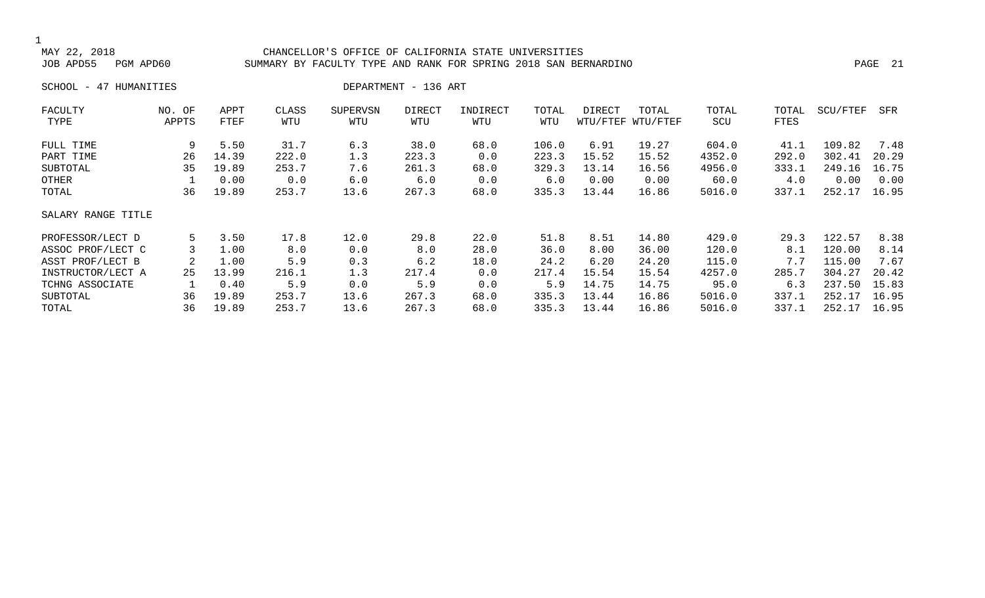#### MAY 22, 2018 CHANCELLOR'S OFFICE OF CALIFORNIA STATE UNIVERSITIES SUMMARY BY FACULTY TYPE AND RANK FOR SPRING 2018 SAN BERNARDINO PAGE 2018 PAGE 21

SCHOOL - 47 HUMANITIES DEPARTMENT - 136 ART

| FACULTY            | NO. OF | APPT  | CLASS | <b>SUPERVSN</b> | <b>DIRECT</b> | INDIRECT | TOTAL | DIRECT | TOTAL             | TOTAL  | TOTAL | SCU/FTEF | SFR   |
|--------------------|--------|-------|-------|-----------------|---------------|----------|-------|--------|-------------------|--------|-------|----------|-------|
| TYPE               | APPTS  | FTEF  | WTU   | WTU             | WTU           | WTU      | WTU   |        | WTU/FTEF WTU/FTEF | SCU    | FTES  |          |       |
| FULL TIME          | 9      | 5.50  | 31.7  | 6.3             | 38.0          | 68.0     | 106.0 | 6.91   | 19.27             | 604.0  | 41.1  | 109.82   | 7.48  |
| PART TIME          | 26     | 14.39 | 222.0 | 1.3             | 223.3         | 0.0      | 223.3 | 15.52  | 15.52             | 4352.0 | 292.0 | 302.41   | 20.29 |
| SUBTOTAL           | 35     | 19.89 | 253.7 | 7.6             | 261.3         | 68.0     | 329.3 | 13.14  | 16.56             | 4956.0 | 333.1 | 249.16   | 16.75 |
| OTHER              |        | 0.00  | 0.0   | 6.0             | 6.0           | 0.0      | 6.0   | 0.00   | 0.00              | 60.0   | 4.0   | 0.00     | 0.00  |
| TOTAL              | 36     | 19.89 | 253.7 | 13.6            | 267.3         | 68.0     | 335.3 | 13.44  | 16.86             | 5016.0 | 337.1 | 252.17   | 16.95 |
| SALARY RANGE TITLE |        |       |       |                 |               |          |       |        |                   |        |       |          |       |
| PROFESSOR/LECT D   | 5      | 3.50  | 17.8  | 12.0            | 29.8          | 22.0     | 51.8  | 8.51   | 14.80             | 429.0  | 29.3  | 122.57   | 8.38  |
| ASSOC PROF/LECT C  |        | 1.00  | 8.0   | 0.0             | 8.0           | 28.0     | 36.0  | 8.00   | 36.00             | 120.0  | 8.1   | 120.00   | 8.14  |
| ASST PROF/LECT B   |        | 1.00  | 5.9   | 0.3             | 6.2           | 18.0     | 24.2  | 6.20   | 24.20             | 115.0  | 7.7   | 115.00   | 7.67  |
| INSTRUCTOR/LECT A  | 25     | 13.99 | 216.1 | 1.3             | 217.4         | 0.0      | 217.4 | 15.54  | 15.54             | 4257.0 | 285.7 | 304.27   | 20.42 |
| TCHNG ASSOCIATE    |        | 0.40  | 5.9   | 0.0             | 5.9           | 0.0      | 5.9   | 14.75  | 14.75             | 95.0   | 6.3   | 237.50   | 15.83 |
| SUBTOTAL           | 36     | 19.89 | 253.7 | 13.6            | 267.3         | 68.0     | 335.3 | 13.44  | 16.86             | 5016.0 | 337.1 | 252.17   | 16.95 |
| TOTAL              | 36     | 19.89 | 253.7 | 13.6            | 267.3         | 68.0     | 335.3 | 13.44  | 16.86             | 5016.0 | 337.1 | 252.17   | 16.95 |
|                    |        |       |       |                 |               |          |       |        |                   |        |       |          |       |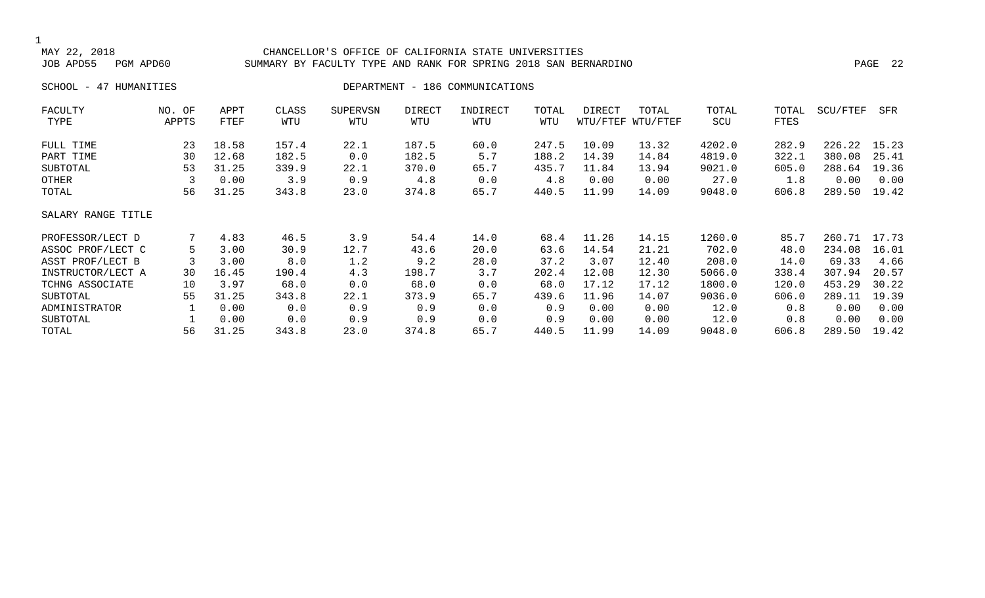### 1<br>MAY 22, 2018 MAY 22, 2018 CHANCELLOR'S OFFICE OF CALIFORNIA STATE UNIVERSITIES SUMMARY BY FACULTY TYPE AND RANK FOR SPRING 2018 SAN BERNARDINO PART AND RANK 22 PAGE 22 SCHOOL - 47 HUMANITIES DEPARTMENT - 186 COMMUNICATIONS

| FACULTY            | NO. OF | APPT  | CLASS | <b>SUPERVSN</b> | DIRECT | INDIRECT | TOTAL | DIRECT | TOTAL             | TOTAL  | TOTAL | SCU/FTEF | SFR   |
|--------------------|--------|-------|-------|-----------------|--------|----------|-------|--------|-------------------|--------|-------|----------|-------|
| TYPE               | APPTS  | FTEF  | WTU   | WTU             | WTU    | WTU      | WTU   |        | WTU/FTEF WTU/FTEF | SCU    | FTES  |          |       |
| FULL TIME          | 23     | 18.58 | 157.4 | 22.1            | 187.5  | 60.0     | 247.5 | 10.09  | 13.32             | 4202.0 | 282.9 | 226.22   | 15.23 |
| PART TIME          | 30     | 12.68 | 182.5 | 0.0             | 182.5  | 5.7      | 188.2 | 14.39  | 14.84             | 4819.0 | 322.1 | 380.08   | 25.41 |
| SUBTOTAL           | 53     | 31.25 | 339.9 | 22.1            | 370.0  | 65.7     | 435.7 | 11.84  | 13.94             | 9021.0 | 605.0 | 288.64   | 19.36 |
| OTHER              |        | 0.00  | 3.9   | 0.9             | 4.8    | 0.0      | 4.8   | 0.00   | 0.00              | 27.0   | 1.8   | 0.00     | 0.00  |
| TOTAL              | 56     | 31.25 | 343.8 | 23.0            | 374.8  | 65.7     | 440.5 | 11.99  | 14.09             | 9048.0 | 606.8 | 289.50   | 19.42 |
| SALARY RANGE TITLE |        |       |       |                 |        |          |       |        |                   |        |       |          |       |
| PROFESSOR/LECT D   |        | 4.83  | 46.5  | 3.9             | 54.4   | 14.0     | 68.4  | 11.26  | 14.15             | 1260.0 | 85.7  | 260.71   | 17.73 |
| ASSOC PROF/LECT C  | 5      | 3.00  | 30.9  | 12.7            | 43.6   | 20.0     | 63.6  | 14.54  | 21.21             | 702.0  | 48.0  | 234.08   | 16.01 |
| ASST PROF/LECT B   |        | 3.00  | 8.0   | 1.2             | 9.2    | 28.0     | 37.2  | 3.07   | 12.40             | 208.0  | 14.0  | 69.33    | 4.66  |
| INSTRUCTOR/LECT A  | 30     | 16.45 | 190.4 | 4.3             | 198.7  | 3.7      | 202.4 | 12.08  | 12.30             | 5066.0 | 338.4 | 307.94   | 20.57 |
| TCHNG ASSOCIATE    | 10     | 3.97  | 68.0  | 0.0             | 68.0   | 0.0      | 68.0  | 17.12  | 17.12             | 1800.0 | 120.0 | 453.29   | 30.22 |
| SUBTOTAL           | 55     | 31.25 | 343.8 | 22.1            | 373.9  | 65.7     | 439.6 | 11.96  | 14.07             | 9036.0 | 606.0 | 289.11   | 19.39 |
| ADMINISTRATOR      |        | 0.00  | 0.0   | 0.9             | 0.9    | 0.0      | 0.9   | 0.00   | 0.00              | 12.0   | 0.8   | 0.00     | 0.00  |
| SUBTOTAL           |        | 0.00  | 0.0   | 0.9             | 0.9    | 0.0      | 0.9   | 0.00   | 0.00              | 12.0   | 0.8   | 0.00     | 0.00  |
| TOTAL              | 56     | 31.25 | 343.8 | 23.0            | 374.8  | 65.7     | 440.5 | 11.99  | 14.09             | 9048.0 | 606.8 | 289.50   | 19.42 |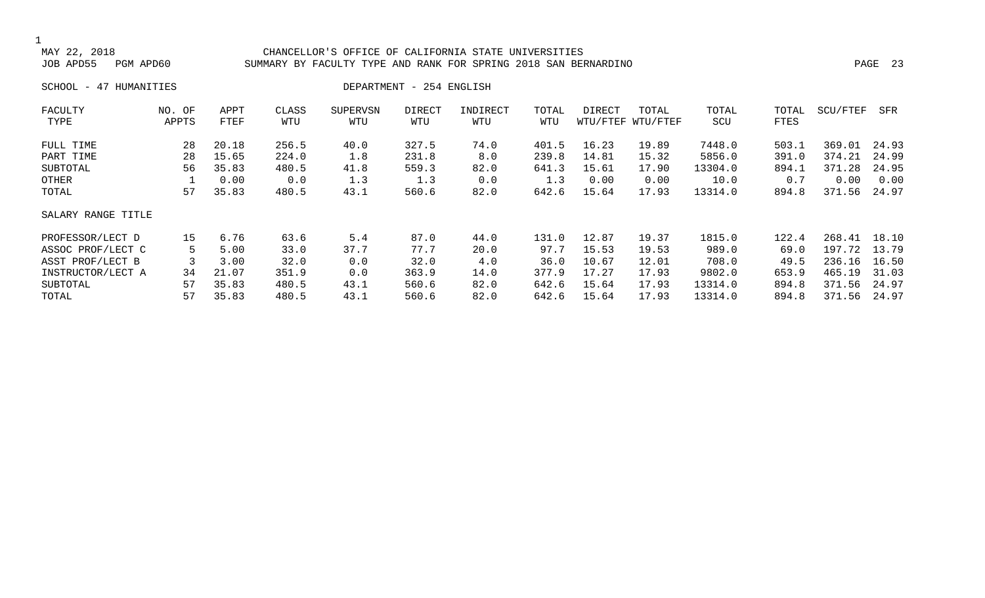#### MAY 22, 2018 CHANCELLOR'S OFFICE OF CALIFORNIA STATE UNIVERSITIES SUMMARY BY FACULTY TYPE AND RANK FOR SPRING 2018 SAN BERNARDINO **PAGE 23**

SCHOOL - 47 HUMANITIES DEPARTMENT - 254 ENGLISH

| FACULTY            | NO. OF | APPT  | CLASS | <b>SUPERVSN</b> | <b>DIRECT</b> | INDIRECT | TOTAL | DIRECT | TOTAL             | TOTAL   | TOTAL | SCU/FTEF | SFR   |
|--------------------|--------|-------|-------|-----------------|---------------|----------|-------|--------|-------------------|---------|-------|----------|-------|
| TYPE               | APPTS  | FTEF  | WTU   | WTU             | WTU           | WTU      | WTU   |        | WTU/FTEF WTU/FTEF | SCU     | FTES  |          |       |
| FULL TIME          | 28     | 20.18 | 256.5 | 40.0            | 327.5         | 74.0     | 401.5 | 16.23  | 19.89             | 7448.0  | 503.1 | 369.01   | 24.93 |
| PART TIME          | 28     | 15.65 | 224.0 | 1.8             | 231.8         | 8.0      | 239.8 | 14.81  | 15.32             | 5856.0  | 391.0 | 374.21   | 24.99 |
| SUBTOTAL           | 56     | 35.83 | 480.5 | 41.8            | 559.3         | 82.0     | 641.3 | 15.61  | 17.90             | 13304.0 | 894.1 | 371.28   | 24.95 |
| OTHER              |        | 0.00  | 0.0   | 1.3             | 1.3           | 0.0      | 1.3   | 0.00   | 0.00              | 10.0    | 0.7   | 0.00     | 0.00  |
| TOTAL              | 57     | 35.83 | 480.5 | 43.1            | 560.6         | 82.0     | 642.6 | 15.64  | 17.93             | 13314.0 | 894.8 | 371.56   | 24.97 |
| SALARY RANGE TITLE |        |       |       |                 |               |          |       |        |                   |         |       |          |       |
| PROFESSOR/LECT D   | 15     | 6.76  | 63.6  | 5.4             | 87.0          | 44.0     | 131.0 | 12.87  | 19.37             | 1815.0  | 122.4 | 268.41   | 18.10 |
| ASSOC PROF/LECT C  |        | 5.00  | 33.0  | 37.7            | 77.7          | 20.0     | 97.7  | 15.53  | 19.53             | 989.0   | 69.0  | 197.72   | 13.79 |
| ASST PROF/LECT B   |        | 3.00  | 32.0  | 0.0             | 32.0          | 4.0      | 36.0  | 10.67  | 12.01             | 708.0   | 49.5  | 236.16   | 16.50 |
| INSTRUCTOR/LECT A  | 34     | 21.07 | 351.9 | 0.0             | 363.9         | 14.0     | 377.9 | 17.27  | 17.93             | 9802.0  | 653.9 | 465.19   | 31.03 |
| SUBTOTAL           | 57     | 35.83 | 480.5 | 43.1            | 560.6         | 82.0     | 642.6 | 15.64  | 17.93             | 13314.0 | 894.8 | 371.56   | 24.97 |
| TOTAL              | 57     | 35.83 | 480.5 | 43.1            | 560.6         | 82.0     | 642.6 | 15.64  | 17.93             | 13314.0 | 894.8 | 371.56   | 24.97 |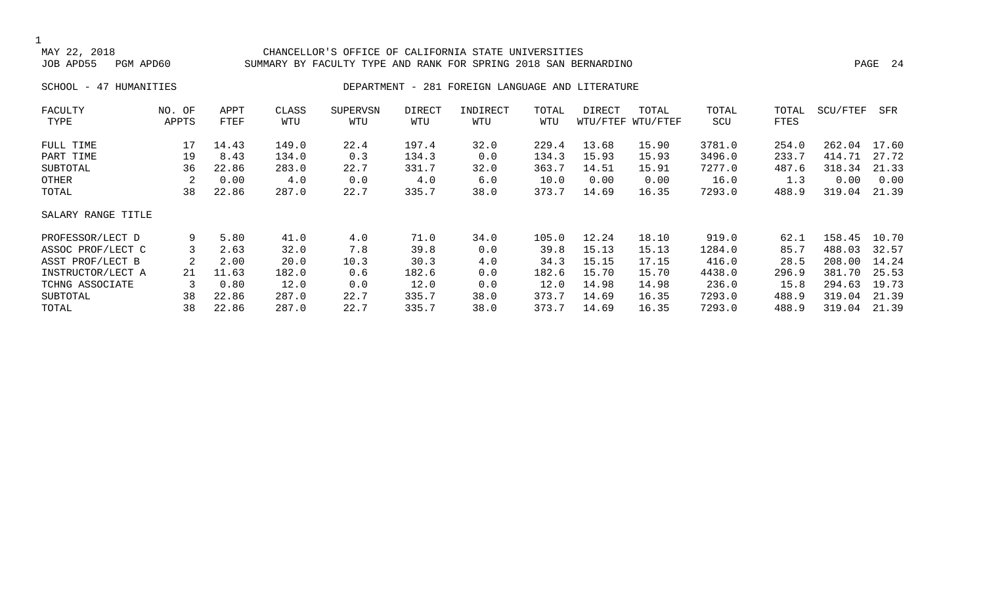#### MAY 22, 2018 CHANCELLOR'S OFFICE OF CALIFORNIA STATE UNIVERSITIES SUMMARY BY FACULTY TYPE AND RANK FOR SPRING 2018 SAN BERNARDINO **PAGE 24**

#### SCHOOL - 47 HUMANITIES **DEPARTMENT - 281 FOREIGN LANGUAGE AND LITERATURE**

| FACULTY            | NO. OF | APPT  | CLASS | <b>SUPERVSN</b> | DIRECT | INDIRECT | TOTAL | DIRECT | TOTAL             | TOTAL  | TOTAL | SCU/FTEF | SFR   |
|--------------------|--------|-------|-------|-----------------|--------|----------|-------|--------|-------------------|--------|-------|----------|-------|
| TYPE               | APPTS  | FTEF  | WTU   | WTU             | WTU    | WTU      | WTU   |        | WTU/FTEF WTU/FTEF | SCU    | FTES  |          |       |
| FULL TIME          | 17     | 14.43 | 149.0 | 22.4            | 197.4  | 32.0     | 229.4 | 13.68  | 15.90             | 3781.0 | 254.0 | 262.04   | 17.60 |
| PART TIME          | 19     | 8.43  | 134.0 | 0.3             | 134.3  | 0.0      | 134.3 | 15.93  | 15.93             | 3496.0 | 233.7 | 414.71   | 27.72 |
| SUBTOTAL           | 36     | 22.86 | 283.0 | 22.7            | 331.7  | 32.0     | 363.7 | 14.51  | 15.91             | 7277.0 | 487.6 | 318.34   | 21.33 |
| OTHER              | 2      | 0.00  | 4.0   | 0.0             | 4.0    | 6.0      | 10.0  | 0.00   | 0.00              | 16.0   | 1.3   | 0.00     | 0.00  |
| TOTAL              | 38     | 22.86 | 287.0 | 22.7            | 335.7  | 38.0     | 373.7 | 14.69  | 16.35             | 7293.0 | 488.9 | 319.04   | 21.39 |
| SALARY RANGE TITLE |        |       |       |                 |        |          |       |        |                   |        |       |          |       |
| PROFESSOR/LECT D   | 9      | 5.80  | 41.0  | 4.0             | 71.0   | 34.0     | 105.0 | 12.24  | 18.10             | 919.0  | 62.1  | 158.45   | 10.70 |
| ASSOC PROF/LECT C  |        | 2.63  | 32.0  | 7.8             | 39.8   | 0.0      | 39.8  | 15.13  | 15.13             | 1284.0 | 85.7  | 488.03   | 32.57 |
| ASST PROF/LECT B   | 2      | 2.00  | 20.0  | 10.3            | 30.3   | 4.0      | 34.3  | 15.15  | 17.15             | 416.0  | 28.5  | 208.00   | 14.24 |
| INSTRUCTOR/LECT A  | 21     | 11.63 | 182.0 | 0.6             | 182.6  | 0.0      | 182.6 | 15.70  | 15.70             | 4438.0 | 296.9 | 381.70   | 25.53 |
| TCHNG ASSOCIATE    |        | 0.80  | 12.0  | 0.0             | 12.0   | 0.0      | 12.0  | 14.98  | 14.98             | 236.0  | 15.8  | 294.63   | 19.73 |
| SUBTOTAL           | 38     | 22.86 | 287.0 | 22.7            | 335.7  | 38.0     | 373.7 | 14.69  | 16.35             | 7293.0 | 488.9 | 319.04   | 21.39 |
| TOTAL              | 38     | 22.86 | 287.0 | 22.7            | 335.7  | 38.0     | 373.7 | 14.69  | 16.35             | 7293.0 | 488.9 | 319.04   | 21.39 |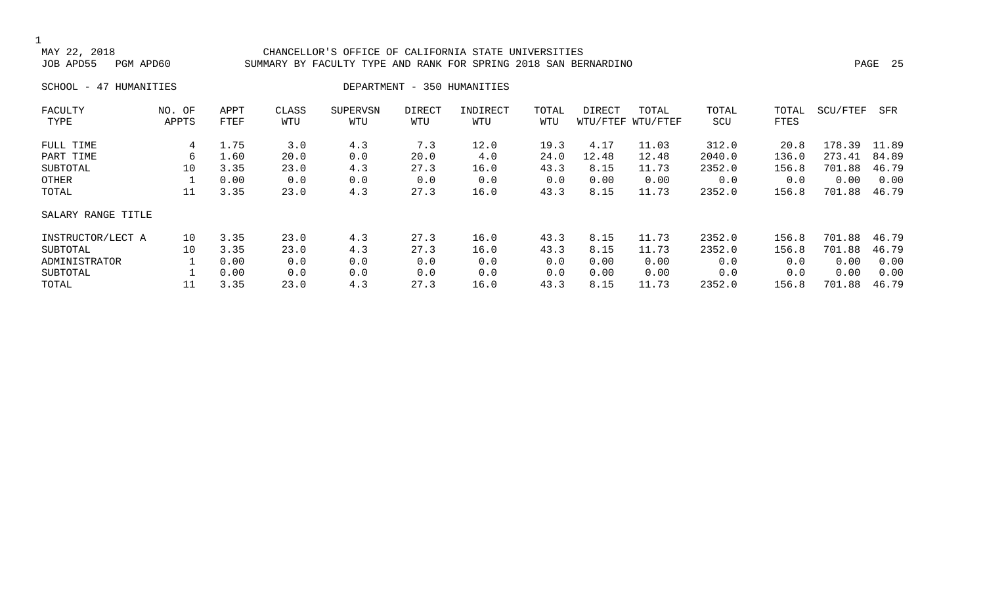#### MAY 22, 2018 CHANCELLOR'S OFFICE OF CALIFORNIA STATE UNIVERSITIES SUMMARY BY FACULTY TYPE AND RANK FOR SPRING 2018 SAN BERNARDINO PAGE 25 PAGE 25

SCHOOL - 47 HUMANITIES DEPARTMENT - 350 HUMANITIES

| FACULTY            | NO. OF | APPT | CLASS | <b>SUPERVSN</b> | DIRECT | INDIRECT | TOTAL | DIRECT | TOTAL             | TOTAL  | TOTAL | SCU/FTEF | SFR   |
|--------------------|--------|------|-------|-----------------|--------|----------|-------|--------|-------------------|--------|-------|----------|-------|
| TYPE               | APPTS  | FTEF | WTU   | WTU             | WTU    | WTU      | WTU   |        | WTU/FTEF WTU/FTEF | SCU    | FTES  |          |       |
| FULL TIME          | 4      | 1.75 | 3.0   | 4.3             | 7.3    | 12.0     | 19.3  | 4.17   | 11.03             | 312.0  | 20.8  | 178.39   | 11.89 |
| PART TIME          | 6      | 1.60 | 20.0  | 0.0             | 20.0   | 4.0      | 24.0  | 12.48  | 12.48             | 2040.0 | 136.0 | 273.41   | 84.89 |
| SUBTOTAL           | 10     | 3.35 | 23.0  | 4.3             | 27.3   | 16.0     | 43.3  | 8.15   | 11.73             | 2352.0 | 156.8 | 701.88   | 46.79 |
| OTHER              |        | 0.00 | 0.0   | 0.0             | 0.0    | 0.0      | 0.0   | 0.00   | 0.00              | 0.0    | 0.0   | 0.00     | 0.00  |
| TOTAL              | 11     | 3.35 | 23.0  | 4.3             | 27.3   | 16.0     | 43.3  | 8.15   | 11.73             | 2352.0 | 156.8 | 701.88   | 46.79 |
| SALARY RANGE TITLE |        |      |       |                 |        |          |       |        |                   |        |       |          |       |
| INSTRUCTOR/LECT A  | 10     | 3.35 | 23.0  | 4.3             | 27.3   | 16.0     | 43.3  | 8.15   | 11.73             | 2352.0 | 156.8 | 701.88   | 46.79 |
| SUBTOTAL           | 10     | 3.35 | 23.0  | 4.3             | 27.3   | 16.0     | 43.3  | 8.15   | 11.73             | 2352.0 | 156.8 | 701.88   | 46.79 |
| ADMINISTRATOR      |        | 0.00 | 0.0   | 0.0             | 0.0    | 0.0      | 0.0   | 0.00   | 0.00              | 0.0    | 0.0   | 0.00     | 0.00  |
| SUBTOTAL           |        | 0.00 | 0.0   | 0.0             | 0.0    | 0.0      | 0.0   | 0.00   | 0.00              | 0.0    | 0.0   | 0.00     | 0.00  |
| TOTAL              | 11     | 3.35 | 23.0  | 4.3             | 27.3   | 16.0     | 43.3  | 8.15   | 11.73             | 2352.0 | 156.8 | 701.88   | 46.79 |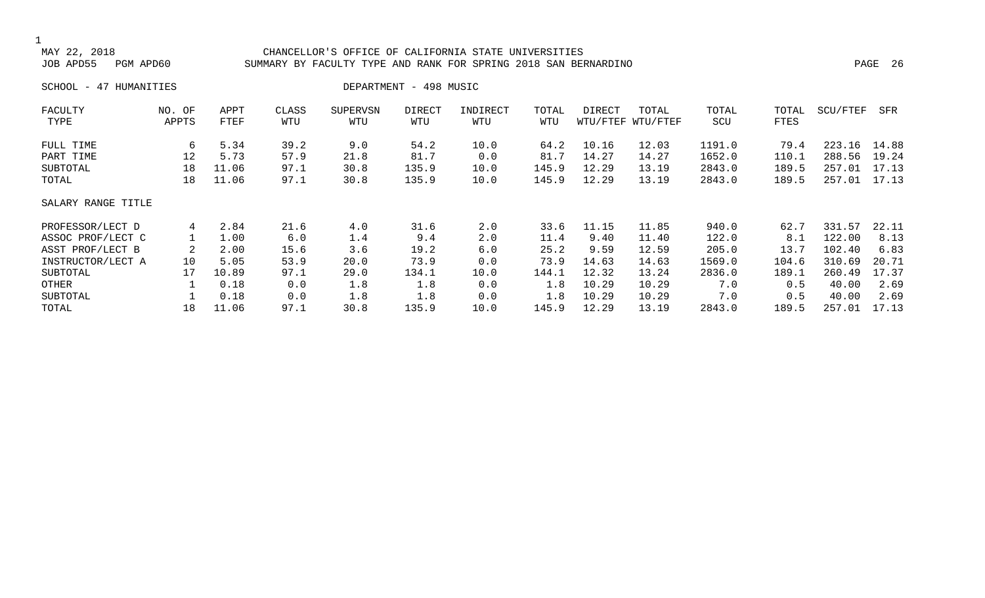#### MAY 22, 2018 CHANCELLOR'S OFFICE OF CALIFORNIA STATE UNIVERSITIES SUMMARY BY FACULTY TYPE AND RANK FOR SPRING 2018 SAN BERNARDINO **PAGE 26** PAGE 26

SCHOOL - 47 HUMANITIES DEPARTMENT - 498 MUSIC

| FACULTY            | NO. OF | APPT  | CLASS | <b>SUPERVSN</b> | DIRECT | INDIRECT | TOTAL | DIRECT | TOTAL             | TOTAL  | TOTAL | SCU/FTEF | SFR   |
|--------------------|--------|-------|-------|-----------------|--------|----------|-------|--------|-------------------|--------|-------|----------|-------|
| TYPE               | APPTS  | FTEF  | WTU   | WTU             | WTU    | WTU      | WTU   |        | WTU/FTEF WTU/FTEF | SCU    | FTES  |          |       |
| FULL TIME          | 6      | 5.34  | 39.2  | 9.0             | 54.2   | 10.0     | 64.2  | 10.16  | 12.03             | 1191.0 | 79.4  | 223.16   | 14.88 |
| PART TIME          | 12     | 5.73  | 57.9  | 21.8            | 81.7   | 0.0      | 81.7  | 14.27  | 14.27             | 1652.0 | 110.1 | 288.56   | 19.24 |
| SUBTOTAL           | 18     | 11.06 | 97.1  | 30.8            | 135.9  | 10.0     | 145.9 | 12.29  | 13.19             | 2843.0 | 189.5 | 257.01   | 17.13 |
| TOTAL              | 18     | 11.06 | 97.1  | 30.8            | 135.9  | 10.0     | 145.9 | 12.29  | 13.19             | 2843.0 | 189.5 | 257.01   | 17.13 |
| SALARY RANGE TITLE |        |       |       |                 |        |          |       |        |                   |        |       |          |       |
| PROFESSOR/LECT D   | 4      | 2.84  | 21.6  | 4.0             | 31.6   | 2.0      | 33.6  | 11.15  | 11.85             | 940.0  | 62.7  | 331.57   | 22.11 |
| ASSOC PROF/LECT C  |        | 1.00  | 6.0   | 1.4             | 9.4    | 2.0      | 11.4  | 9.40   | 11.40             | 122.0  | 8.1   | 122.00   | 8.13  |
| ASST PROF/LECT B   |        | 2.00  | 15.6  | 3.6             | 19.2   | 6.0      | 25.2  | 9.59   | 12.59             | 205.0  | 13.7  | 102.40   | 6.83  |
| INSTRUCTOR/LECT A  | 10     | 5.05  | 53.9  | 20.0            | 73.9   | 0.0      | 73.9  | 14.63  | 14.63             | 1569.0 | 104.6 | 310.69   | 20.71 |
| SUBTOTAL           | 17     | 10.89 | 97.1  | 29.0            | 134.1  | 10.0     | 144.1 | 12.32  | 13.24             | 2836.0 | 189.1 | 260.49   | 17.37 |
| OTHER              |        | 0.18  | 0.0   | 1.8             | 1.8    | 0.0      | 1.8   | 10.29  | 10.29             | 7.0    | 0.5   | 40.00    | 2.69  |
| SUBTOTAL           |        | 0.18  | 0.0   | 1.8             | 1.8    | 0.0      | 1.8   | 10.29  | 10.29             | 7.0    | 0.5   | 40.00    | 2.69  |
| TOTAL              | 18     | 11.06 | 97.1  | 30.8            | 135.9  | 10.0     | 145.9 | 12.29  | 13.19             | 2843.0 | 189.5 | 257.01   | 17.13 |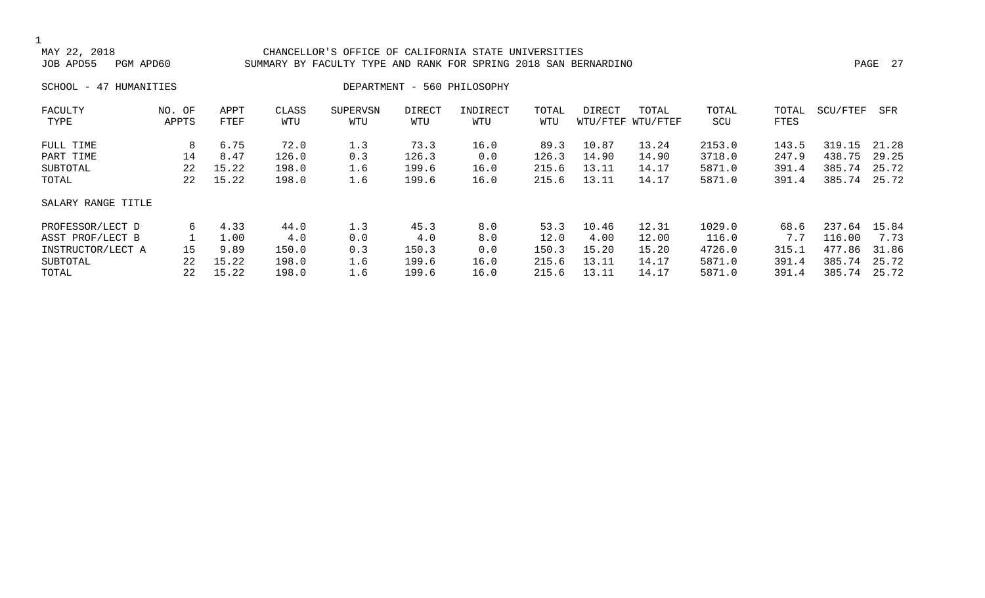#### MAY 22, 2018 CHANCELLOR'S OFFICE OF CALIFORNIA STATE UNIVERSITIES SUMMARY BY FACULTY TYPE AND RANK FOR SPRING 2018 SAN BERNARDINO PAGE 2018 - PAGE 27

SCHOOL - 47 HUMANITIES DEPARTMENT - 560 PHILOSOPHY

| FACULTY            | NO. OF | APPT  | CLASS | <b>SUPERVSN</b> | DIRECT | INDIRECT | TOTAL | DIRECT | TOTAL             | TOTAL  | TOTAL | SCU/FTEF | SFR   |
|--------------------|--------|-------|-------|-----------------|--------|----------|-------|--------|-------------------|--------|-------|----------|-------|
| TYPE               | APPTS  | FTEF  | WTU   | WTU             | WTU    | WTU      | WTU   |        | WTU/FTEF WTU/FTEF | SCU    | FTES  |          |       |
| FULL TIME          | 8      | 6.75  | 72.0  | 1.3             | 73.3   | 16.0     | 89.3  | 10.87  | 13.24             | 2153.0 | 143.5 | 319.15   | 21.28 |
| PART TIME          | 14     | 8.47  | 126.0 | 0.3             | 126.3  | 0.0      | 126.3 | 14.90  | 14.90             | 3718.0 | 247.9 | 438.75   | 29.25 |
| SUBTOTAL           | 22     | 15.22 | 198.0 | 1.6             | 199.6  | 16.0     | 215.6 | 13.11  | 14.17             | 5871.0 | 391.4 | 385.74   | 25.72 |
| TOTAL              | 22     | 15.22 | 198.0 | 1.6             | 199.6  | 16.0     | 215.6 | 13.11  | 14.17             | 5871.0 | 391.4 | 385.74   | 25.72 |
| SALARY RANGE TITLE |        |       |       |                 |        |          |       |        |                   |        |       |          |       |
| PROFESSOR/LECT D   | 6      | 4.33  | 44.0  | 1.3             | 45.3   | 8.0      | 53.3  | 10.46  | 12.31             | 1029.0 | 68.6  | 237.64   | 15.84 |
| ASST PROF/LECT B   |        | 1.00  | 4.0   | 0.0             | 4.0    | 8.0      | 12.0  | 4.00   | 12.00             | 116.0  | 7.7   | 116.00   | 7.73  |
| INSTRUCTOR/LECT A  | 15     | 9.89  | 150.0 | 0.3             | 150.3  | 0.0      | 150.3 | 15.20  | 15.20             | 4726.0 | 315.1 | 477.86   | 31.86 |
| SUBTOTAL           | 22     | 15.22 | 198.0 | 1.6             | 199.6  | 16.0     | 215.6 | 13.11  | 14.17             | 5871.0 | 391.4 | 385.74   | 25.72 |
| TOTAL              | 22     | 15.22 | 198.0 | 1.6             | 199.6  | 16.0     | 215.6 | 13.11  | 14.17             | 5871.0 | 391.4 | 385.74   | 25.72 |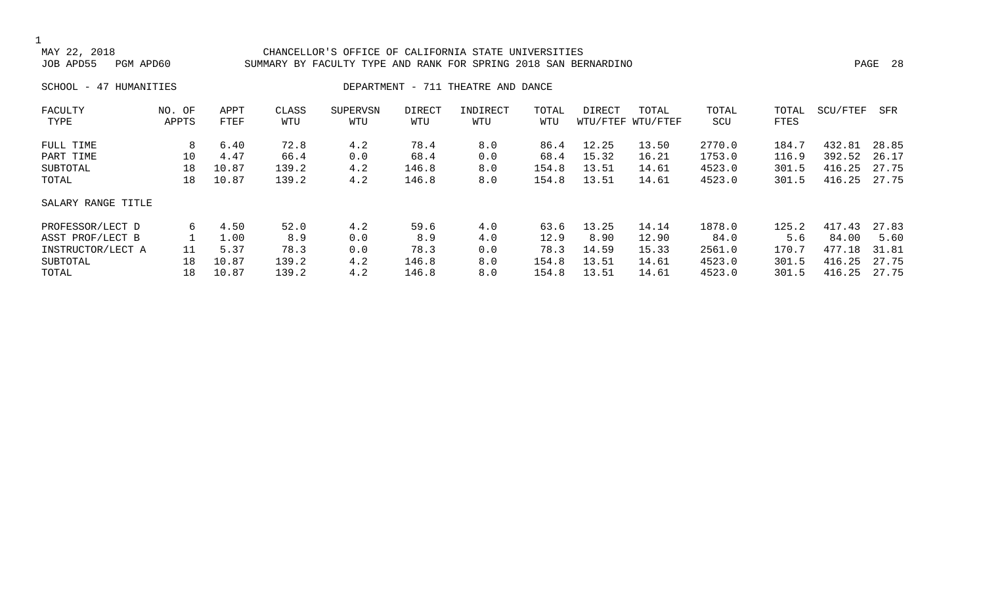### 1<br>MAY 22, 2018 MAY 22, 2018 CHANCELLOR'S OFFICE OF CALIFORNIA STATE UNIVERSITIES SUMMARY BY FACULTY TYPE AND RANK FOR SPRING 2018 SAN BERNARDINO **PAGE 28** 28 SCHOOL - 47 HUMANITIES **DEPARTMENT - 711 THEATRE AND DANCE** FACULTY NO. OF APPT CLASS SUPERVSN DIRECT INDIRECT TOTAL DIRECT TOTAL TOTAL TOTAL SCU/FTEF SFR

| TYPE               | APPTS | FTEF  | WTU   | WTU | WTU   | WTU | WTU   |       | WTU/FTEF WTU/FTEF | SCU    | FTES  |        |       |
|--------------------|-------|-------|-------|-----|-------|-----|-------|-------|-------------------|--------|-------|--------|-------|
| FULL TIME          | 8     | 6.40  | 72.8  | 4.2 | 78.4  | 8.0 | 86.4  | 12.25 | 13.50             | 2770.0 | 184.7 | 432.81 | 28.85 |
| PART TIME          | 10    | 4.47  | 66.4  | 0.0 | 68.4  | 0.0 | 68.4  | 15.32 | 16.21             | 1753.0 | 116.9 | 392.52 | 26.17 |
| SUBTOTAL           | 18    | 10.87 | 139.2 | 4.2 | 146.8 | 8.0 | 154.8 | 13.51 | 14.61             | 4523.0 | 301.5 | 416.25 | 27.75 |
| TOTAL              | 18    | 10.87 | 139.2 | 4.2 | 146.8 | 8.0 | 154.8 | 13.51 | 14.61             | 4523.0 | 301.5 | 416.25 | 27.75 |
| SALARY RANGE TITLE |       |       |       |     |       |     |       |       |                   |        |       |        |       |
| PROFESSOR/LECT D   | 6     | 4.50  | 52.0  | 4.2 | 59.6  | 4.0 | 63.6  | 13.25 | 14.14             | 1878.0 | 125.2 | 417.43 | 27.83 |
| ASST PROF/LECT B   |       | 1.00  | 8.9   | 0.0 | 8.9   | 4.0 | 12.9  | 8.90  | 12.90             | 84.0   | 5.6   | 84.00  | 5.60  |
| INSTRUCTOR/LECT A  | 11    | 5.37  | 78.3  | 0.0 | 78.3  | 0.0 | 78.3  | 14.59 | 15.33             | 2561.0 | 170.7 | 477.18 | 31.81 |
| SUBTOTAL           | 18    | 10.87 | 139.2 | 4.2 | 146.8 | 8.0 | 154.8 | 13.51 | 14.61             | 4523.0 | 301.5 | 416.25 | 27.75 |
| TOTAL              | 18    | 10.87 | 139.2 | 4.2 | 146.8 | 8.0 | 154.8 | 13.51 | 14.61             | 4523.0 | 301.5 | 416.25 | 27.75 |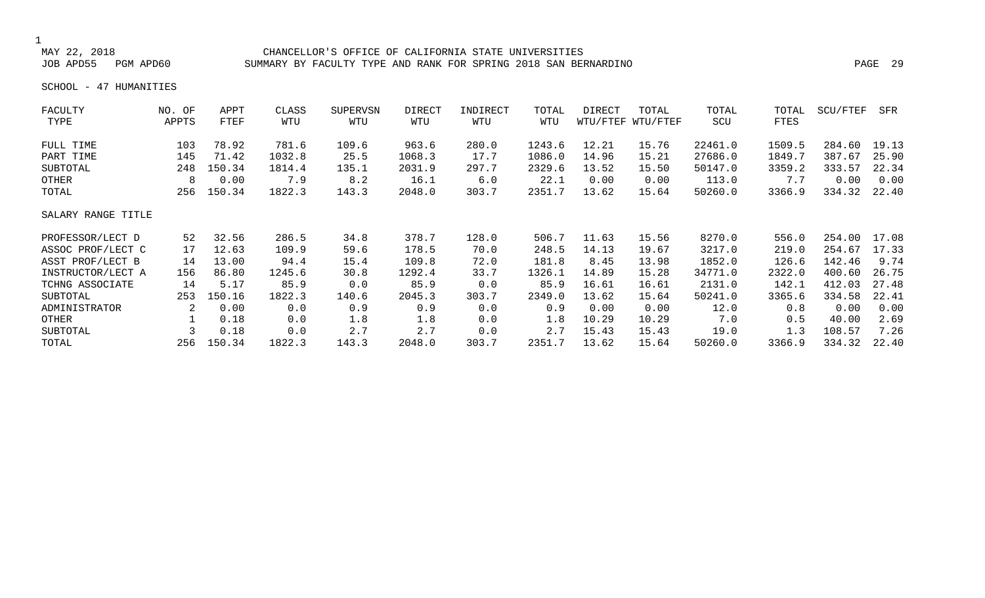#### MAY 22, 2018 CHANCELLOR'S OFFICE OF CALIFORNIA STATE UNIVERSITIES SUMMARY BY FACULTY TYPE AND RANK FOR SPRING 2018 SAN BERNARDINO PAGE 29

SCHOOL - 47 HUMANITIES

| FACULTY            | NO. OF | APPT   | CLASS  | <b>SUPERVSN</b> | DIRECT | INDIRECT | TOTAL  | DIRECT   | TOTAL    | TOTAL   | TOTAL  | SCU/FTEF | SFR   |
|--------------------|--------|--------|--------|-----------------|--------|----------|--------|----------|----------|---------|--------|----------|-------|
| TYPE               | APPTS  | FTEF   | WTU    | WTU             | WTU    | WTU      | WTU    | WTU/FTEF | WTU/FTEF | SCU     | FTES   |          |       |
| FULL TIME          | 103    | 78.92  | 781.6  | 109.6           | 963.6  | 280.0    | 1243.6 | 12.21    | 15.76    | 22461.0 | 1509.5 | 284.60   | 19.13 |
| PART TIME          | 145    | 71.42  | 1032.8 | 25.5            | 1068.3 | 17.7     | 1086.0 | 14.96    | 15.21    | 27686.0 | 1849.7 | 387.67   | 25.90 |
| SUBTOTAL           | 248    | 150.34 | 1814.4 | 135.1           | 2031.9 | 297.7    | 2329.6 | 13.52    | 15.50    | 50147.0 | 3359.2 | 333.57   | 22.34 |
| OTHER              | 8      | 0.00   | 7.9    | 8.2             | 16.1   | 6.0      | 22.1   | 0.00     | 0.00     | 113.0   | 7.7    | 0.00     | 0.00  |
| TOTAL              | 256    | 150.34 | 1822.3 | 143.3           | 2048.0 | 303.7    | 2351.7 | 13.62    | 15.64    | 50260.0 | 3366.9 | 334.32   | 22.40 |
| SALARY RANGE TITLE |        |        |        |                 |        |          |        |          |          |         |        |          |       |
| PROFESSOR/LECT D   | 52     | 32.56  | 286.5  | 34.8            | 378.7  | 128.0    | 506.7  | 11.63    | 15.56    | 8270.0  | 556.0  | 254.00   | 17.08 |
| ASSOC PROF/LECT C  | 17     | 12.63  | 109.9  | 59.6            | 178.5  | 70.0     | 248.5  | 14.13    | 19.67    | 3217.0  | 219.0  | 254.67   | 17.33 |
| ASST PROF/LECT B   | 14     | 13.00  | 94.4   | 15.4            | 109.8  | 72.0     | 181.8  | 8.45     | 13.98    | 1852.0  | 126.6  | 142.46   | 9.74  |
| INSTRUCTOR/LECT A  | 156    | 86.80  | 1245.6 | 30.8            | 1292.4 | 33.7     | 1326.1 | 14.89    | 15.28    | 34771.0 | 2322.0 | 400.60   | 26.75 |
| TCHNG ASSOCIATE    | 14     | 5.17   | 85.9   | 0.0             | 85.9   | 0.0      | 85.9   | 16.61    | 16.61    | 2131.0  | 142.1  | 412.03   | 27.48 |
| SUBTOTAL           | 253    | 150.16 | 1822.3 | 140.6           | 2045.3 | 303.7    | 2349.0 | 13.62    | 15.64    | 50241.0 | 3365.6 | 334.58   | 22.41 |
| ADMINISTRATOR      | 2      | 0.00   | 0.0    | 0.9             | 0.9    | 0.0      | 0.9    | 0.00     | 0.00     | 12.0    | 0.8    | 0.00     | 0.00  |
| OTHER              |        | 0.18   | 0.0    | 1.8             | 1.8    | 0.0      | 1.8    | 10.29    | 10.29    | 7.0     | 0.5    | 40.00    | 2.69  |
| SUBTOTAL           |        | 0.18   | 0.0    | 2.7             | 2.7    | 0.0      | 2.7    | 15.43    | 15.43    | 19.0    | 1.3    | 108.57   | 7.26  |
| TOTAL              | 256    | 150.34 | 1822.3 | 143.3           | 2048.0 | 303.7    | 2351.7 | 13.62    | 15.64    | 50260.0 | 3366.9 | 334.32   | 22.40 |
|                    |        |        |        |                 |        |          |        |          |          |         |        |          |       |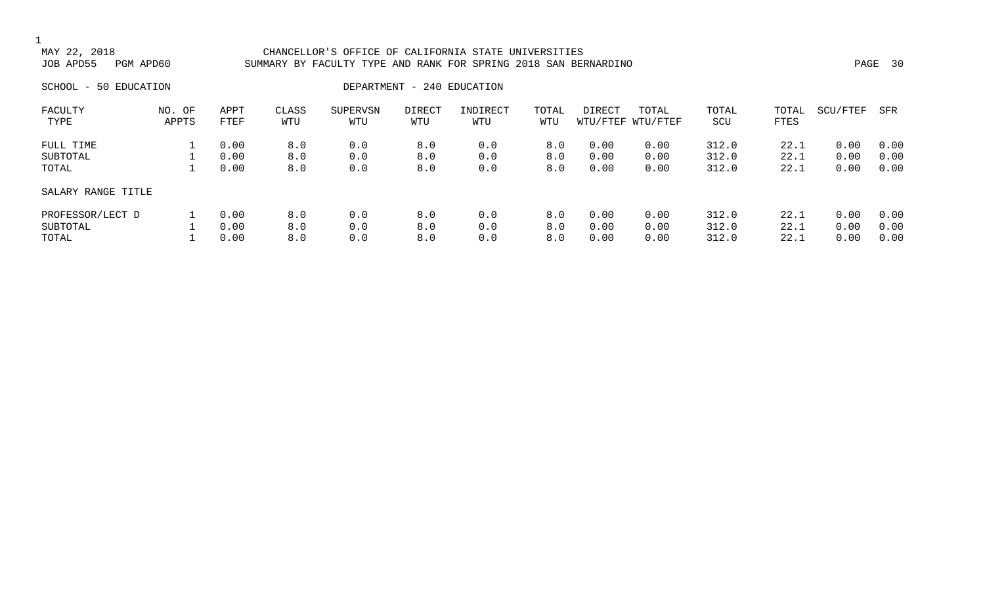### 1<br>MAY 22, 2018 CHANCELLOR'S OFFICE OF CALIFORNIA STATE UNIVERSITIES JOB APD55 PGM APD60 SUMMARY BY FACULTY TYPE AND RANK FOR SPRING 2018 SAN BERNARDINO PAGE 30

SCHOOL - 50 EDUCATION  $\overline{D}$ 

| FACULTY            | NO. OF | APPT | CLASS | SUPERVSN | DIRECT | INDIRECT | TOTAL | DIRECT | TOTAL             | TOTAL | TOTAL | SCU/FTEF | SFR  |
|--------------------|--------|------|-------|----------|--------|----------|-------|--------|-------------------|-------|-------|----------|------|
| TYPE               | APPTS  | FTEF | WTU   | WTU      | WTU    | WTU      | WTU   |        | WTU/FTEF WTU/FTEF | SCU   | FTES  |          |      |
| FULL TIME          |        | 0.00 | 8.0   | 0.0      | 8.0    | 0.0      | 8.0   | 0.00   | 0.00              | 312.0 | 22.1  | 0.00     | 0.00 |
| SUBTOTAL           |        | 0.00 | 8.0   | 0.0      | 8.0    | 0.0      | 8.0   | 0.00   | 0.00              | 312.0 | 22.1  | 0.00     | 0.00 |
| TOTAL              |        | 0.00 | 8.0   | 0.0      | 8.0    | 0.0      | 8.0   | 0.00   | 0.00              | 312.0 | 22.1  | 0.00     | 0.00 |
| SALARY RANGE TITLE |        |      |       |          |        |          |       |        |                   |       |       |          |      |
| PROFESSOR/LECT D   |        | 0.00 | 8.0   | 0.0      | 8.0    | 0.0      | 8.0   | 0.00   | 0.00              | 312.0 | 22.1  | 0.00     | 0.00 |
| SUBTOTAL           |        | 0.00 | 8.0   | 0.0      | 8.0    | 0.0      | 8.0   | 0.00   | 0.00              | 312.0 | 22.1  | 0.00     | 0.00 |
| TOTAL              |        | 0.00 | 8.0   | 0.0      | 8.0    | 0.0      | 8.0   | 0.00   | 0.00              | 312.0 | 22.1  | 0.00     | 0.00 |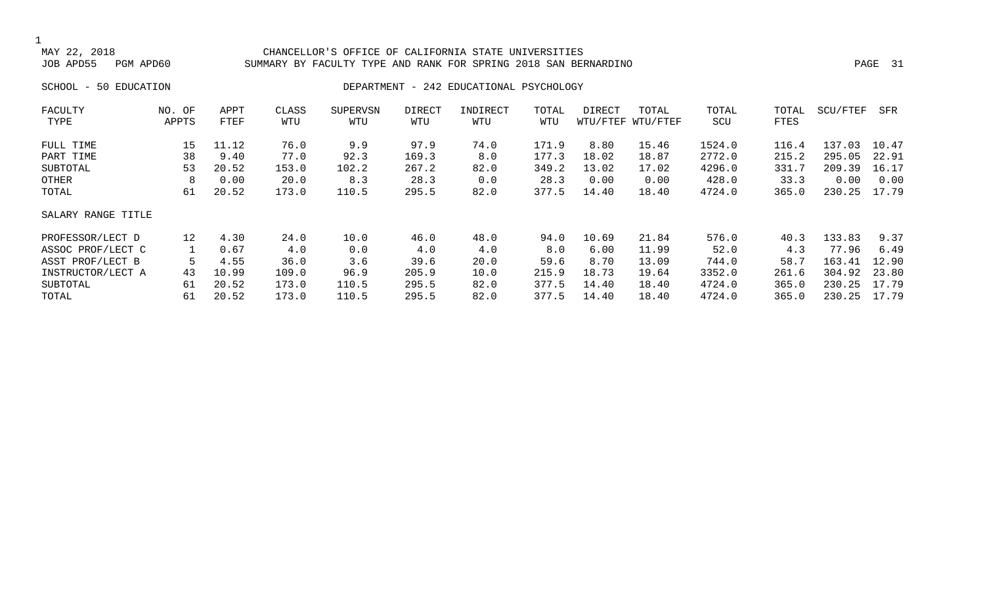#### CHANCELLOR'S OFFICE OF CALIFORNIA STATE UNIVERSITIES JOB APD55 PGM APD60 SUMMARY BY FACULTY TYPE AND RANK FOR SPRING 2018 SAN BERNARDINO PAGE 31

### SCHOOL - 50 EDUCATION **DEPARTMENT - 242 EDUCATIONAL PSYCHOLOGY**

| FACULTY            | NO. OF          | APPT  | CLASS | <b>SUPERVSN</b> | <b>DIRECT</b> | INDIRECT | TOTAL | DIRECT | TOTAL             | TOTAL  | TOTAL | SCU/FTEF | SFR   |
|--------------------|-----------------|-------|-------|-----------------|---------------|----------|-------|--------|-------------------|--------|-------|----------|-------|
| TYPE               | APPTS           | FTEF  | WTU   | WTU             | WTU           | WTU      | WTU   |        | WTU/FTEF WTU/FTEF | SCU    | FTES  |          |       |
| FULL TIME          | 15              | 11.12 | 76.0  | 9.9             | 97.9          | 74.0     | 171.9 | 8.80   | 15.46             | 1524.0 | 116.4 | 137.03   | 10.47 |
| PART TIME          | 38              | 9.40  | 77.0  | 92.3            | 169.3         | 8.0      | 177.3 | 18.02  | 18.87             | 2772.0 | 215.2 | 295.05   | 22.91 |
| SUBTOTAL           | 53              | 20.52 | 153.0 | 102.2           | 267.2         | 82.0     | 349.2 | 13.02  | 17.02             | 4296.0 | 331.7 | 209.39   | 16.17 |
| OTHER              | 8               | 0.00  | 20.0  | 8.3             | 28.3          | 0.0      | 28.3  | 0.00   | 0.00              | 428.0  | 33.3  | 0.00     | 0.00  |
| TOTAL              | 61              | 20.52 | 173.0 | 110.5           | 295.5         | 82.0     | 377.5 | 14.40  | 18.40             | 4724.0 | 365.0 | 230.25   | 17.79 |
| SALARY RANGE TITLE |                 |       |       |                 |               |          |       |        |                   |        |       |          |       |
| PROFESSOR/LECT D   | 12 <sup>°</sup> | 4.30  | 24.0  | 10.0            | 46.0          | 48.0     | 94.0  | 10.69  | 21.84             | 576.0  | 40.3  | 133.83   | 9.37  |
| ASSOC PROF/LECT C  |                 | 0.67  | 4.0   | 0.0             | 4.0           | 4.0      | 8.0   | 6.00   | 11.99             | 52.0   | 4.3   | 77.96    | 6.49  |
| ASST PROF/LECT B   | 5               | 4.55  | 36.0  | 3.6             | 39.6          | 20.0     | 59.6  | 8.70   | 13.09             | 744.0  | 58.7  | 163.41   | 12.90 |
| INSTRUCTOR/LECT A  | 43              | 10.99 | 109.0 | 96.9            | 205.9         | 10.0     | 215.9 | 18.73  | 19.64             | 3352.0 | 261.6 | 304.92   | 23.80 |
| SUBTOTAL           | 61              | 20.52 | 173.0 | 110.5           | 295.5         | 82.0     | 377.5 | 14.40  | 18.40             | 4724.0 | 365.0 | 230.25   | 17.79 |
| TOTAL              | 61              | 20.52 | 173.0 | 110.5           | 295.5         | 82.0     | 377.5 | 14.40  | 18.40             | 4724.0 | 365.0 | 230.25   | 17.79 |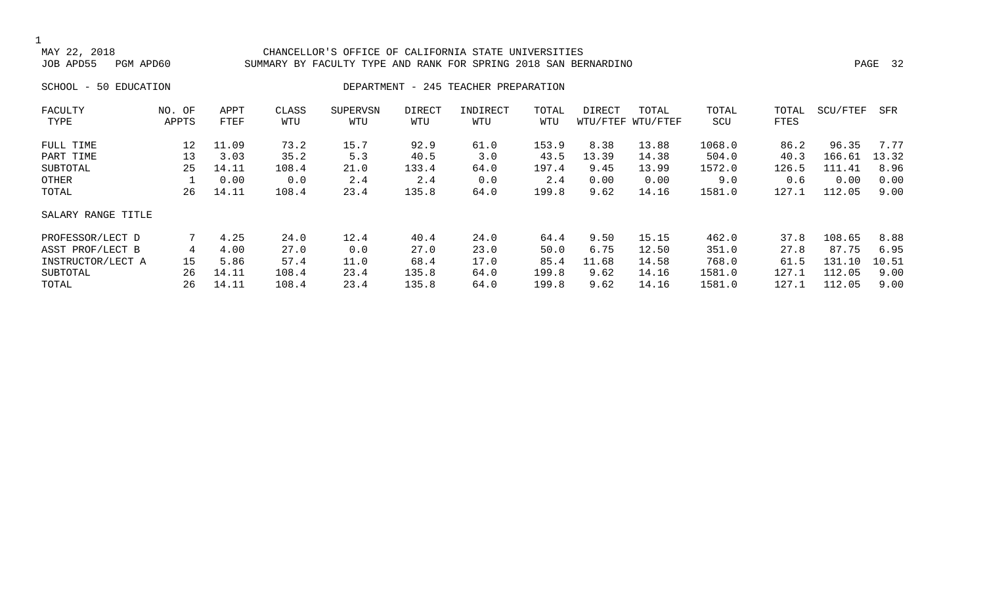#### CHANCELLOR'S OFFICE OF CALIFORNIA STATE UNIVERSITIES JOB APD55 PGM APD60 SUMMARY BY FACULTY TYPE AND RANK FOR SPRING 2018 SAN BERNARDINO PAGE 32

### SCHOOL - 50 EDUCATION **DEPARTMENT - 245 TEACHER PREPARATION**

| FACULTY<br>TYPE    | NO. OF<br>APPTS | APPT<br>FTEF | CLASS<br>WTU | SUPERVSN<br>WTU | DIRECT<br>WTU | INDIRECT<br>WTU | TOTAL<br>WTU | DIRECT | TOTAL<br>WTU/FTEF WTU/FTEF | TOTAL<br>SCU | TOTAL<br>FTES | SCU/FTEF | SFR   |
|--------------------|-----------------|--------------|--------------|-----------------|---------------|-----------------|--------------|--------|----------------------------|--------------|---------------|----------|-------|
|                    |                 |              |              |                 |               |                 |              |        |                            |              |               |          |       |
| FULL TIME          | 12              | 11.09        | 73.2         | 15.7            | 92.9          | 61.0            | 153.9        | 8.38   | 13.88                      | 1068.0       | 86.2          | 96.35    | 7.77  |
| PART TIME          | 13              | 3.03         | 35.2         | 5.3             | 40.5          | 3.0             | 43.5         | 13.39  | 14.38                      | 504.0        | 40.3          | 166.61   | 13.32 |
| SUBTOTAL           | 25              | 14.11        | 108.4        | 21.0            | 133.4         | 64.0            | 197.4        | 9.45   | 13.99                      | 1572.0       | 126.5         | 111.41   | 8.96  |
| OTHER              |                 | 0.00         | 0.0          | 2.4             | 2.4           | 0.0             | 2.4          | 0.00   | 0.00                       | 9.0          | 0.6           | 0.00     | 0.00  |
| TOTAL              | 26              | 14.11        | 108.4        | 23.4            | 135.8         | 64.0            | 199.8        | 9.62   | 14.16                      | 1581.0       | 127.1         | 112.05   | 9.00  |
| SALARY RANGE TITLE |                 |              |              |                 |               |                 |              |        |                            |              |               |          |       |
| PROFESSOR/LECT D   |                 | 4.25         | 24.0         | 12.4            | 40.4          | 24.0            | 64.4         | 9.50   | 15.15                      | 462.0        | 37.8          | 108.65   | 8.88  |
| ASST PROF/LECT B   | 4               | 4.00         | 27.0         | 0.0             | 27.0          | 23.0            | 50.0         | 6.75   | 12.50                      | 351.0        | 27.8          | 87.75    | 6.95  |
| INSTRUCTOR/LECT A  | 15              | 5.86         | 57.4         | 11.0            | 68.4          | 17.0            | 85.4         | 11.68  | 14.58                      | 768.0        | 61.5          | 131.10   | 10.51 |
| SUBTOTAL           | 26              | 14.11        | 108.4        | 23.4            | 135.8         | 64.0            | 199.8        | 9.62   | 14.16                      | 1581.0       | 127.1         | 112.05   | 9.00  |
| TOTAL              | 26              | 14.11        | 108.4        | 23.4            | 135.8         | 64.0            | 199.8        | 9.62   | 14.16                      | 1581.0       | 127.1         | 112.05   | 9.00  |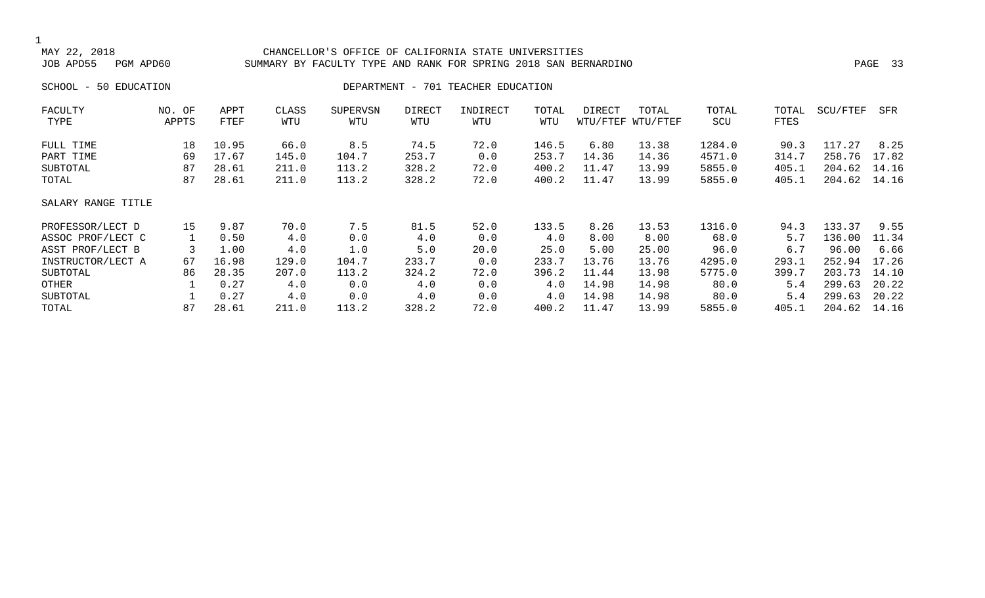### 1<br>MAY 22, 2018 MAY 22, 2018 CHANCELLOR'S OFFICE OF CALIFORNIA STATE UNIVERSITIES SUMMARY BY FACULTY TYPE AND RANK FOR SPRING 2018 SAN BERNARDINO PAGE 2018 SAN BERNARDINO SCHOOL - 50 EDUCATION **DEPARTMENT - 701 TEACHER EDUCATION** FACULTY NO. OF APPT CLASS SUPERVSN DIRECT INDIRECT TOTAL DIRECT TOTAL TOTAL TOTAL SCU/FTEF SFR TYPE APPTS FTEF WTU WTU WTU WTU WTU WTU/FTEF WTU/FTEF SCU FTES FULL TIME 18 10.95 66.0 8.5 74.5 72.0 146.5 6.80 13.38 1284.0 90.3 117.27 8.25 PART TIME 69 17.67 145.0 104.7 253.7 0.0 253.7 14.36 14.36 4571.0 314.7 258.76 17.82 SUBTOTAL 87 28.61 211.0 113.2 328.2 72.0 400.2 11.47 13.99 5855.0 405.1 204.62 14.16 TOTAL 87 28.61 211.0 113.2 328.2 72.0 400.2 11.47 13.99 5855.0 405.1 204.62 14.16 SALARY RANGE TITLE PROFESSOR/LECT D 15 9.87 70.0 7.5 81.5 52.0 133.5 8.26 13.53 1316.0 94.3 133.37 9.55 ASSOC PROF/LECT C  $1$  0.50 4.0 0.0 4.0 0.0 4.0 4.0 8.00 8.00 68.0 5.7 136.00 11.34 ASST PROF/LECT B 3 1.00 4.0 1.0 5.0 20.0 25.0 5.00 25.00 96.0 6.7 96.00 6.66 INSTRUCTOR/LECT A 67 16.98 129.0 104.7 233.7 0.0 233.7 13.76 13.76 4295.0 293.1 252.94 17.26

SUBTOTAL 86 28.35 207.0 113.2 324.2 72.0 396.2 11.44 13.98 5775.0 399.7 203.73 14.10 OTHER 1 0.27 4.0 0.0 4.0 0.0 4.0 14.98 14.98 80.0 5.4 299.63 20.22 SUBTOTAL 1 0.27 4.0 0.0 4.0 0.0 4.0 14.98 14.98 80.0 5.4 299.63 20.22 TOTAL 87 28.61 211.0 113.2 328.2 72.0 400.2 11.47 13.99 5855.0 405.1 204.62 14.16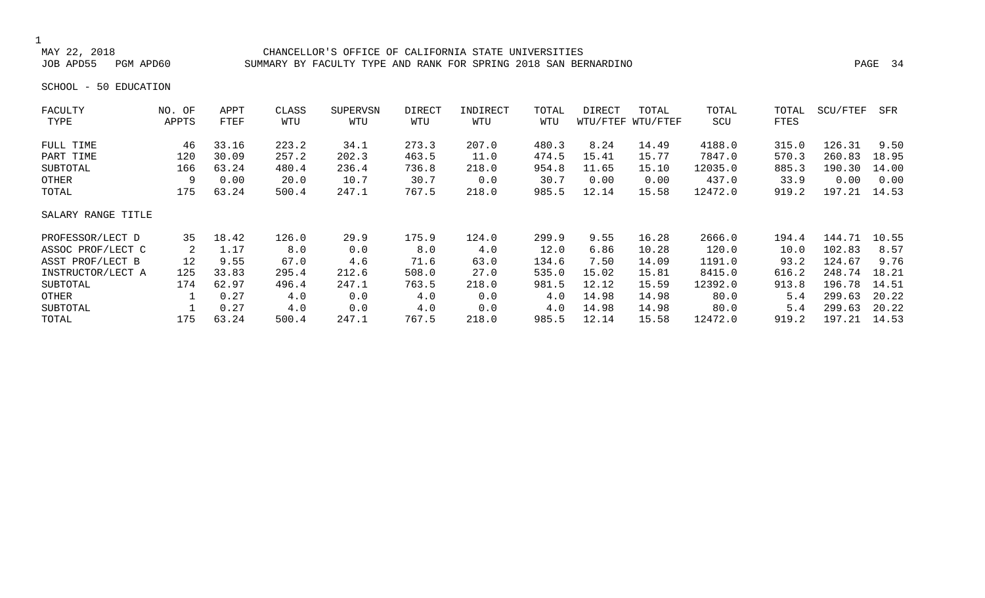#### MAY 22, 2018 CHANCELLOR'S OFFICE OF CALIFORNIA STATE UNIVERSITIES SUMMARY BY FACULTY TYPE AND RANK FOR SPRING 2018 SAN BERNARDINO PART AND RANK 24

SCHOOL - 50 EDUCATION

| FACULTY            | NO. OF | APPT  | CLASS | <b>SUPERVSN</b> | DIRECT | INDIRECT | TOTAL | DIRECT | TOTAL             | TOTAL   | TOTAL | SCU/FTEF | SFR   |
|--------------------|--------|-------|-------|-----------------|--------|----------|-------|--------|-------------------|---------|-------|----------|-------|
| TYPE               | APPTS  | FTEF  | WTU   | WTU             | WTU    | WTU      | WTU   |        | WTU/FTEF WTU/FTEF | SCU     | FTES  |          |       |
| FULL TIME          | 46     | 33.16 | 223.2 | 34.1            | 273.3  | 207.0    | 480.3 | 8.24   | 14.49             | 4188.0  | 315.0 | 126.31   | 9.50  |
| PART TIME          | 120    | 30.09 | 257.2 | 202.3           | 463.5  | 11.0     | 474.5 | 15.41  | 15.77             | 7847.0  | 570.3 | 260.83   | 18.95 |
| SUBTOTAL           | 166    | 63.24 | 480.4 | 236.4           | 736.8  | 218.0    | 954.8 | 11.65  | 15.10             | 12035.0 | 885.3 | 190.30   | 14.00 |
| OTHER              | 9      | 0.00  | 20.0  | 10.7            | 30.7   | 0.0      | 30.7  | 0.00   | 0.00              | 437.0   | 33.9  | 0.00     | 0.00  |
| TOTAL              | 175    | 63.24 | 500.4 | 247.1           | 767.5  | 218.0    | 985.5 | 12.14  | 15.58             | 12472.0 | 919.2 | 197.21   | 14.53 |
| SALARY RANGE TITLE |        |       |       |                 |        |          |       |        |                   |         |       |          |       |
| PROFESSOR/LECT D   | 35     | 18.42 | 126.0 | 29.9            | 175.9  | 124.0    | 299.9 | 9.55   | 16.28             | 2666.0  | 194.4 | 144.71   | 10.55 |
| ASSOC PROF/LECT C  | 2      | 1.17  | 8.0   | 0.0             | 8.0    | 4.0      | 12.0  | 6.86   | 10.28             | 120.0   | 10.0  | 102.83   | 8.57  |
| ASST PROF/LECT B   | 12     | 9.55  | 67.0  | 4.6             | 71.6   | 63.0     | 134.6 | 7.50   | 14.09             | 1191.0  | 93.2  | 124.67   | 9.76  |
| INSTRUCTOR/LECT A  | 125    | 33.83 | 295.4 | 212.6           | 508.0  | 27.0     | 535.0 | 15.02  | 15.81             | 8415.0  | 616.2 | 248.74   | 18.21 |
| SUBTOTAL           | 174    | 62.97 | 496.4 | 247.1           | 763.5  | 218.0    | 981.5 | 12.12  | 15.59             | 12392.0 | 913.8 | 196.78   | 14.51 |
| OTHER              |        | 0.27  | 4.0   | 0.0             | 4.0    | 0.0      | 4.0   | 14.98  | 14.98             | 80.0    | 5.4   | 299.63   | 20.22 |
| SUBTOTAL           |        | 0.27  | 4.0   | 0.0             | 4.0    | 0.0      | 4.0   | 14.98  | 14.98             | 80.0    | 5.4   | 299.63   | 20.22 |
| TOTAL              | 175    | 63.24 | 500.4 | 247.1           | 767.5  | 218.0    | 985.5 | 12.14  | 15.58             | 12472.0 | 919.2 | 197.21   | 14.53 |
|                    |        |       |       |                 |        |          |       |        |                   |         |       |          |       |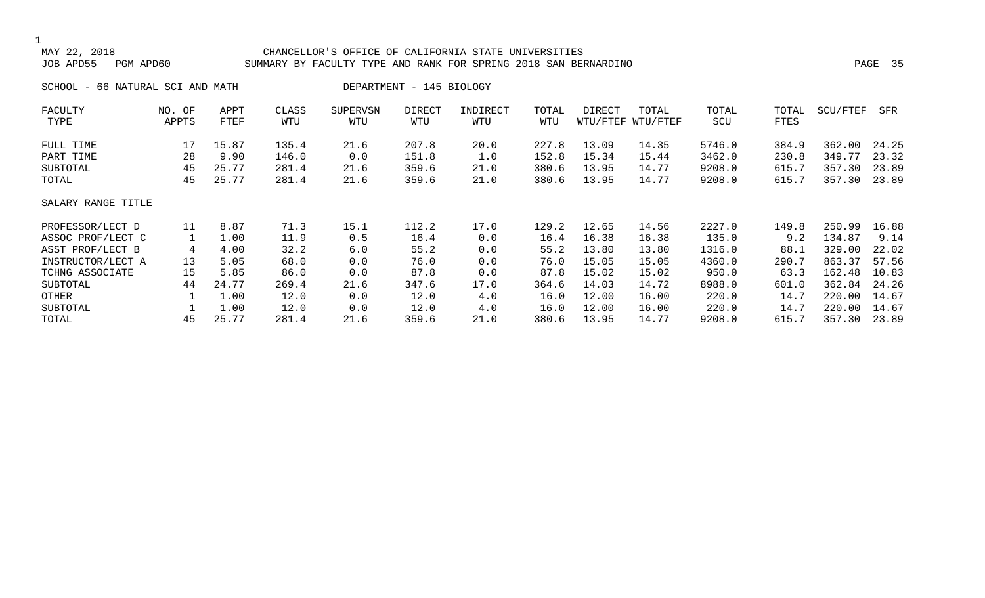#### 1<br>MAY 22, 2018 CHANCELLOR'S OFFICE OF CALIFORNIA STATE UNIVERSITIES JOB APD55 PGM APD60 SUMMARY BY FACULTY TYPE AND RANK FOR SPRING 2018 SAN BERNARDINO PAGE 35

SCHOOL - 66 NATURAL SCI AND MATH DEPARTMENT - 145 BIOLOGY

| FACULTY            | NO. OF | APPT  | CLASS | <b>SUPERVSN</b> | DIRECT | INDIRECT | TOTAL | DIRECT | TOTAL             | TOTAL  | TOTAL | SCU/FTEF | SFR   |
|--------------------|--------|-------|-------|-----------------|--------|----------|-------|--------|-------------------|--------|-------|----------|-------|
| TYPE               | APPTS  | FTEF  | WTU   | WTU             | WTU    | WTU      | WTU   |        | WTU/FTEF WTU/FTEF | SCU    | FTES  |          |       |
| FULL TIME          | 17     | 15.87 | 135.4 | 21.6            | 207.8  | 20.0     | 227.8 | 13.09  | 14.35             | 5746.0 | 384.9 | 362.00   | 24.25 |
| PART TIME          | 28     | 9.90  | 146.0 | 0.0             | 151.8  | 1.0      | 152.8 | 15.34  | 15.44             | 3462.0 | 230.8 | 349.77   | 23.32 |
| SUBTOTAL           | 45     | 25.77 | 281.4 | 21.6            | 359.6  | 21.0     | 380.6 | 13.95  | 14.77             | 9208.0 | 615.7 | 357.30   | 23.89 |
| TOTAL              | 45     | 25.77 | 281.4 | 21.6            | 359.6  | 21.0     | 380.6 | 13.95  | 14.77             | 9208.0 | 615.7 | 357.30   | 23.89 |
| SALARY RANGE TITLE |        |       |       |                 |        |          |       |        |                   |        |       |          |       |
| PROFESSOR/LECT D   | 11     | 8.87  | 71.3  | 15.1            | 112.2  | 17.0     | 129.2 | 12.65  | 14.56             | 2227.0 | 149.8 | 250.99   | 16.88 |
| ASSOC PROF/LECT C  |        | 1.00  | 11.9  | 0.5             | 16.4   | 0.0      | 16.4  | 16.38  | 16.38             | 135.0  | 9.2   | 134.87   | 9.14  |
| ASST PROF/LECT B   | 4      | 4.00  | 32.2  | 6.0             | 55.2   | 0.0      | 55.2  | 13.80  | 13.80             | 1316.0 | 88.1  | 329.00   | 22.02 |
| INSTRUCTOR/LECT A  | 13     | 5.05  | 68.0  | 0.0             | 76.0   | 0.0      | 76.0  | 15.05  | 15.05             | 4360.0 | 290.7 | 863.37   | 57.56 |
| TCHNG ASSOCIATE    | 15     | 5.85  | 86.0  | 0.0             | 87.8   | 0.0      | 87.8  | 15.02  | 15.02             | 950.0  | 63.3  | 162.48   | 10.83 |
| SUBTOTAL           | 44     | 24.77 | 269.4 | 21.6            | 347.6  | 17.0     | 364.6 | 14.03  | 14.72             | 8988.0 | 601.0 | 362.84   | 24.26 |
| OTHER              |        | 1.00  | 12.0  | 0.0             | 12.0   | 4.0      | 16.0  | 12.00  | 16.00             | 220.0  | 14.7  | 220.00   | 14.67 |
| SUBTOTAL           |        | 1.00  | 12.0  | 0.0             | 12.0   | 4.0      | 16.0  | 12.00  | 16.00             | 220.0  | 14.7  | 220.00   | 14.67 |
| TOTAL              | 45     | 25.77 | 281.4 | 21.6            | 359.6  | 21.0     | 380.6 | 13.95  | 14.77             | 9208.0 | 615.7 | 357.30   | 23.89 |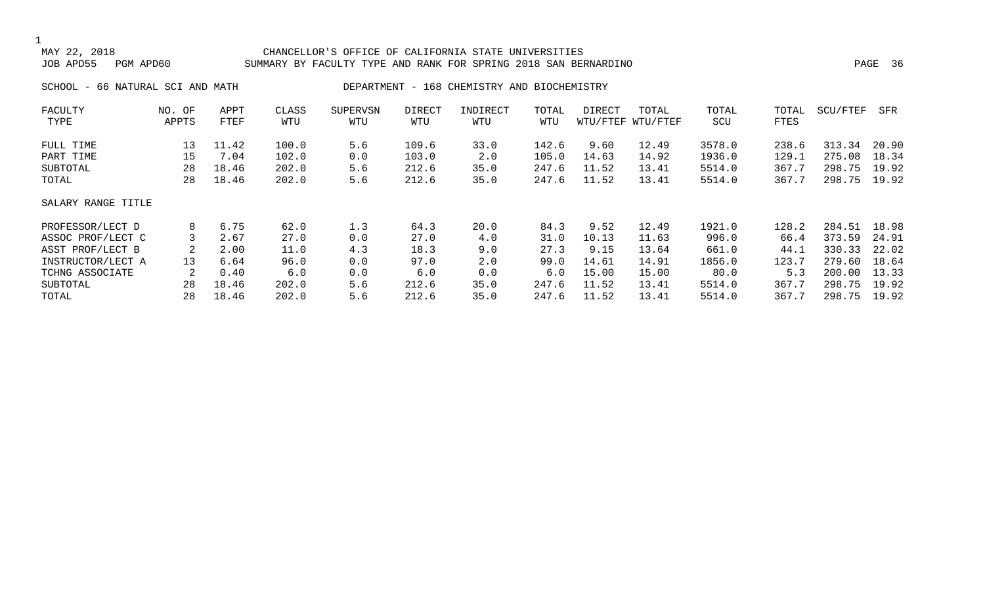#### CHANCELLOR'S OFFICE OF CALIFORNIA STATE UNIVERSITIES JOB APD55 PGM APD60 SUMMARY BY FACULTY TYPE AND RANK FOR SPRING 2018 SAN BERNARDINO PAGE 36

SCHOOL - 66 NATURAL SCI AND MATH DEPARTMENT - 168 CHEMISTRY AND BIOCHEMISTRY

| FACULTY            | NO. OF | APPT  | CLASS | <b>SUPERVSN</b> | <b>DIRECT</b> | INDIRECT | TOTAL | DIRECT | TOTAL             | TOTAL  | TOTAL | SCU/FTEF | SFR   |
|--------------------|--------|-------|-------|-----------------|---------------|----------|-------|--------|-------------------|--------|-------|----------|-------|
| TYPE               | APPTS  | FTEF  | WTU   | WTU             | WTU           | WTU      | WTU   |        | WTU/FTEF WTU/FTEF | SCU    | FTES  |          |       |
| FULL TIME          | 13     | 11.42 | 100.0 | 5.6             | 109.6         | 33.0     | 142.6 | 9.60   | 12.49             | 3578.0 | 238.6 | 313.34   | 20.90 |
| PART TIME          | 15     | 7.04  | 102.0 | 0.0             | 103.0         | 2.0      | 105.0 | 14.63  | 14.92             | 1936.0 | 129.1 | 275.08   | 18.34 |
| SUBTOTAL           | 28     | 18.46 | 202.0 | 5.6             | 212.6         | 35.0     | 247.6 | 11.52  | 13.41             | 5514.0 | 367.7 | 298.75   | 19.92 |
| TOTAL              | 28     | 18.46 | 202.0 | 5.6             | 212.6         | 35.0     | 247.6 | 11.52  | 13.41             | 5514.0 | 367.7 | 298.75   | 19.92 |
| SALARY RANGE TITLE |        |       |       |                 |               |          |       |        |                   |        |       |          |       |
| PROFESSOR/LECT D   | 8      | 6.75  | 62.0  | 1.3             | 64.3          | 20.0     | 84.3  | 9.52   | 12.49             | 1921.0 | 128.2 | 284.51   | 18.98 |
| ASSOC PROF/LECT C  |        | 2.67  | 27.0  | 0.0             | 27.0          | 4.0      | 31.0  | 10.13  | 11.63             | 996.0  | 66.4  | 373.59   | 24.91 |
| ASST PROF/LECT B   |        | 2.00  | 11.0  | 4.3             | 18.3          | 9.0      | 27.3  | 9.15   | 13.64             | 661.0  | 44.1  | 330.33   | 22.02 |
| INSTRUCTOR/LECT A  | 13     | 6.64  | 96.0  | 0.0             | 97.0          | 2.0      | 99.0  | 14.61  | 14.91             | 1856.0 | 123.7 | 279.60   | 18.64 |
| TCHNG ASSOCIATE    | 2      | 0.40  | 6.0   | 0.0             | 6.0           | 0.0      | 6.0   | 15.00  | 15.00             | 80.0   | 5.3   | 200.00   | 13.33 |
| SUBTOTAL           | 28     | 18.46 | 202.0 | 5.6             | 212.6         | 35.0     | 247.6 | 11.52  | 13.41             | 5514.0 | 367.7 | 298.75   | 19.92 |
| TOTAL              | 28     | 18.46 | 202.0 | 5.6             | 212.6         | 35.0     | 247.6 | 11.52  | 13.41             | 5514.0 | 367.7 | 298.75   | 19.92 |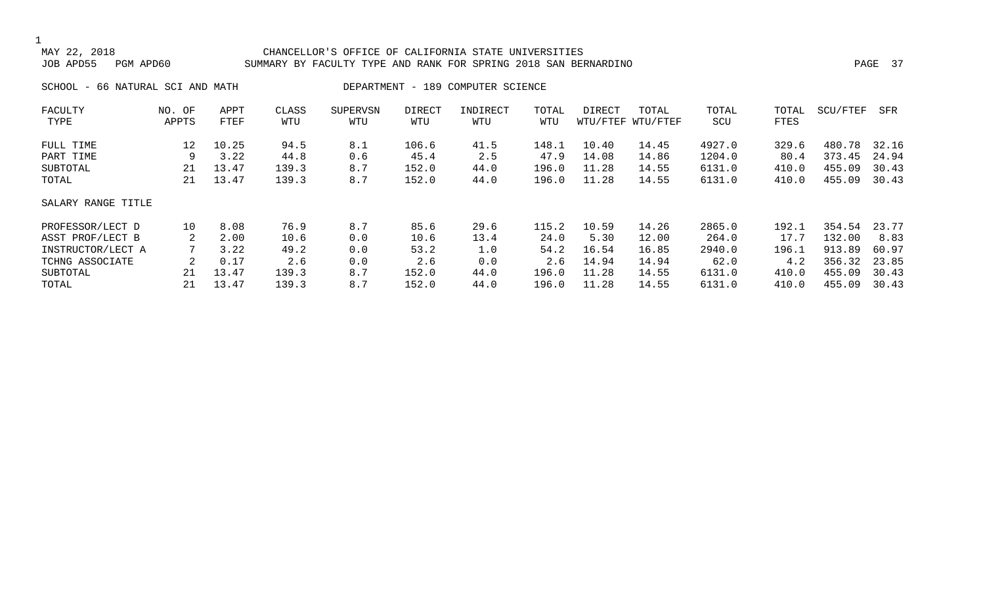#### CHANCELLOR'S OFFICE OF CALIFORNIA STATE UNIVERSITIES JOB APD55 PGM APD60 SUMMARY BY FACULTY TYPE AND RANK FOR SPRING 2018 SAN BERNARDINO PAGE 37

SCHOOL - 66 NATURAL SCI AND MATH DEPARTMENT - 189 COMPUTER SCIENCE

| FACULTY            | NO. OF | APPT  | CLASS | <b>SUPERVSN</b> | DIRECT | INDIRECT | TOTAL | DIRECT | TOTAL             | TOTAL  | TOTAL | SCU/FTEF | SFR   |
|--------------------|--------|-------|-------|-----------------|--------|----------|-------|--------|-------------------|--------|-------|----------|-------|
| TYPE               | APPTS  | FTEF  | WTU   | WTU             | WTU    | WTU      | WTU   |        | WTU/FTEF WTU/FTEF | SCU    | FTES  |          |       |
| FULL TIME          | 12     | 10.25 | 94.5  | 8.1             | 106.6  | 41.5     | 148.1 | 10.40  | 14.45             | 4927.0 | 329.6 | 480.78   | 32.16 |
| PART TIME          | 9      | 3.22  | 44.8  | 0.6             | 45.4   | 2.5      | 47.9  | 14.08  | 14.86             | 1204.0 | 80.4  | 373.45   | 24.94 |
| SUBTOTAL           | 21     | 13.47 | 139.3 | 8.7             | 152.0  | 44.0     | 196.0 | 11.28  | 14.55             | 6131.0 | 410.0 | 455.09   | 30.43 |
| TOTAL              | 21     | 13.47 | 139.3 | 8.7             | 152.0  | 44.0     | 196.0 | 11.28  | 14.55             | 6131.0 | 410.0 | 455.09   | 30.43 |
| SALARY RANGE TITLE |        |       |       |                 |        |          |       |        |                   |        |       |          |       |
| PROFESSOR/LECT D   | 10     | 8.08  | 76.9  | 8.7             | 85.6   | 29.6     | 115.2 | 10.59  | 14.26             | 2865.0 | 192.1 | 354.54   | 23.77 |
| ASST PROF/LECT B   |        | 2.00  | 10.6  | 0.0             | 10.6   | 13.4     | 24.0  | 5.30   | 12.00             | 264.0  | 17.7  | 132.00   | 8.83  |
| INSTRUCTOR/LECT A  |        | 3.22  | 49.2  | 0.0             | 53.2   | 1.0      | 54.2  | 16.54  | 16.85             | 2940.0 | 196.1 | 913.89   | 60.97 |
| TCHNG ASSOCIATE    |        | 0.17  | 2.6   | 0.0             | 2.6    | 0.0      | 2.6   | 14.94  | 14.94             | 62.0   | 4.2   | 356.32   | 23.85 |
| SUBTOTAL           | 21     | 13.47 | 139.3 | 8.7             | 152.0  | 44.0     | 196.0 | 11.28  | 14.55             | 6131.0 | 410.0 | 455.09   | 30.43 |
| TOTAL              | 21     | 13.47 | 139.3 | 8.7             | 152.0  | 44.0     | 196.0 | 11.28  | 14.55             | 6131.0 | 410.0 | 455.09   | 30.43 |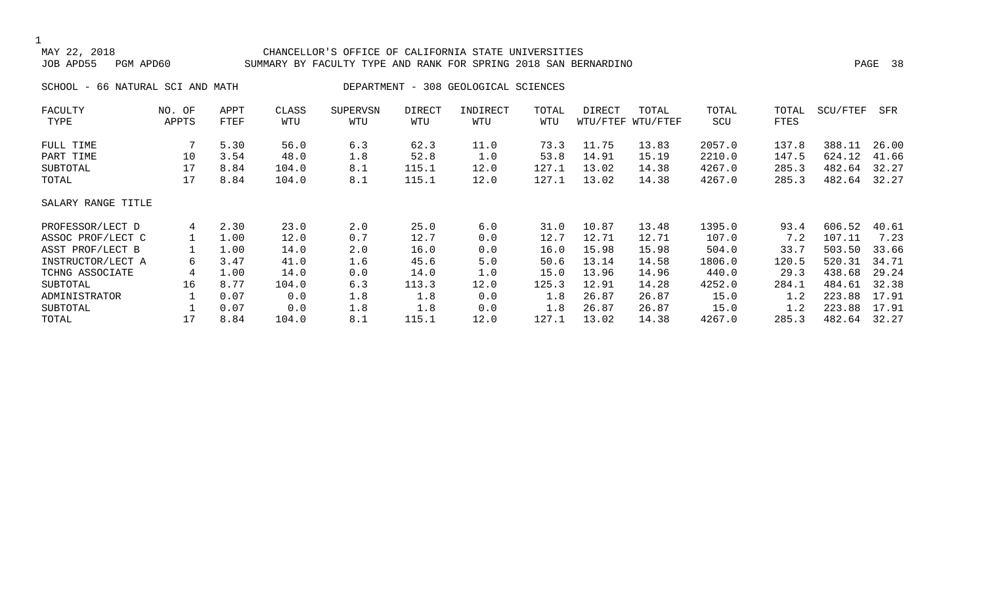1

### MAY 22, 2018 CHANCELLOR'S OFFICE OF CALIFORNIA STATE UNIVERSITIES JOB APD55 PGM APD60 SUMMARY BY FACULTY TYPE AND RANK FOR SPRING 2018 SAN BERNARDINO PAGE 38 SCHOOL - 66 NATURAL SCI AND MATH DEPARTMENT - 308 GEOLOGICAL SCIENCES

| FACULTY            | NO.<br>OF | APPT | CLASS | SUPERVSN | DIRECT | INDIRECT | TOTAL | DIRECT | TOTAL             | TOTAL  | TOTAL | SCU/FTEF | SFR   |
|--------------------|-----------|------|-------|----------|--------|----------|-------|--------|-------------------|--------|-------|----------|-------|
| TYPE               | APPTS     | FTEF | WTU   | WTU      | WTU    | WTU      | WTU   |        | WTU/FTEF WTU/FTEF | SCU    | FTES  |          |       |
| FULL TIME          |           | 5.30 | 56.0  | 6.3      | 62.3   | 11.0     | 73.3  | 11.75  | 13.83             | 2057.0 | 137.8 | 388.11   | 26.00 |
| PART TIME          | 10        | 3.54 | 48.0  | 1.8      | 52.8   | 1.0      | 53.8  | 14.91  | 15.19             | 2210.0 | 147.5 | 624.12   | 41.66 |
| SUBTOTAL           | 17        | 8.84 | 104.0 | 8.1      | 115.1  | 12.0     | 127.1 | 13.02  | 14.38             | 4267.0 | 285.3 | 482.64   | 32.27 |
| TOTAL              | 17        | 8.84 | 104.0 | 8.1      | 115.1  | 12.0     | 127.1 | 13.02  | 14.38             | 4267.0 | 285.3 | 482.64   | 32.27 |
| SALARY RANGE TITLE |           |      |       |          |        |          |       |        |                   |        |       |          |       |
| PROFESSOR/LECT D   | 4         | 2.30 | 23.0  | 2.0      | 25.0   | 6.0      | 31.0  | 10.87  | 13.48             | 1395.0 | 93.4  | 606.52   | 40.61 |
| ASSOC PROF/LECT C  |           | 1.00 | 12.0  | 0.7      | 12.7   | 0.0      | 12.7  | 12.71  | 12.71             | 107.0  | 7.2   | 107.11   | 7.23  |
| ASST PROF/LECT B   |           | 1.00 | 14.0  | 2.0      | 16.0   | 0.0      | 16.0  | 15.98  | 15.98             | 504.0  | 33.7  | 503.50   | 33.66 |
| INSTRUCTOR/LECT A  | 6         | 3.47 | 41.0  | 1.6      | 45.6   | 5.0      | 50.6  | 13.14  | 14.58             | 1806.0 | 120.5 | 520.31   | 34.71 |
| TCHNG ASSOCIATE    | 4         | 1.00 | 14.0  | 0.0      | 14.0   | 1.0      | 15.0  | 13.96  | 14.96             | 440.0  | 29.3  | 438.68   | 29.24 |
| SUBTOTAL           | 16        | 8.77 | 104.0 | 6.3      | 113.3  | 12.0     | 125.3 | 12.91  | 14.28             | 4252.0 | 284.1 | 484.61   | 32.38 |
| ADMINISTRATOR      |           | 0.07 | 0.0   | 1.8      | 1.8    | 0.0      | 1.8   | 26.87  | 26.87             | 15.0   | 1.2   | 223.88   | 17.91 |
| SUBTOTAL           |           | 0.07 | 0.0   | 1.8      | 1.8    | 0.0      | 1.8   | 26.87  | 26.87             | 15.0   | 1.2   | 223.88   | 17.91 |
| TOTAL              | 17        | 8.84 | 104.0 | 8.1      | 115.1  | 12.0     | 127.1 | 13.02  | 14.38             | 4267.0 | 285.3 | 482.64   | 32.27 |
|                    |           |      |       |          |        |          |       |        |                   |        |       |          |       |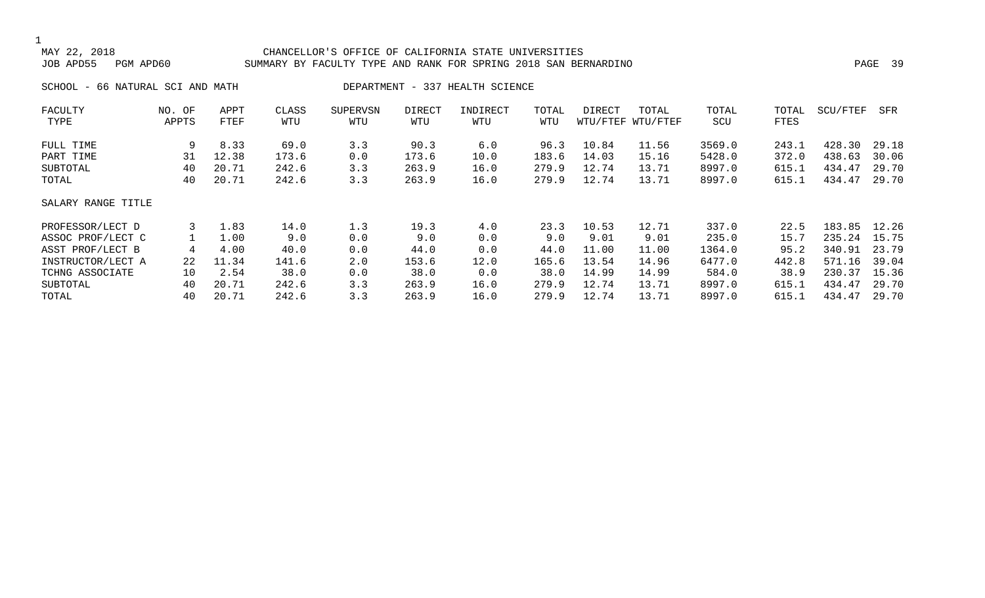#### CHANCELLOR'S OFFICE OF CALIFORNIA STATE UNIVERSITIES JOB APD55 PGM APD60 SUMMARY BY FACULTY TYPE AND RANK FOR SPRING 2018 SAN BERNARDINO PAGE 39

SCHOOL - 66 NATURAL SCI AND MATH DEPARTMENT - 337 HEALTH SCIENCE

| FACULTY            | NO. OF | APPT  | CLASS | <b>SUPERVSN</b> | <b>DIRECT</b> | INDIRECT | TOTAL | DIRECT | TOTAL             | TOTAL  | TOTAL | SCU/FTEF | SFR   |
|--------------------|--------|-------|-------|-----------------|---------------|----------|-------|--------|-------------------|--------|-------|----------|-------|
| TYPE               | APPTS  | FTEF  | WTU   | WTU             | WTU           | WTU      | WTU   |        | WTU/FTEF WTU/FTEF | SCU    | FTES  |          |       |
| FULL TIME          | 9      | 8.33  | 69.0  | 3.3             | 90.3          | 6.0      | 96.3  | 10.84  | 11.56             | 3569.0 | 243.1 | 428.30   | 29.18 |
| PART TIME          | 31     | 12.38 | 173.6 | 0.0             | 173.6         | 10.0     | 183.6 | 14.03  | 15.16             | 5428.0 | 372.0 | 438.63   | 30.06 |
| SUBTOTAL           | 40     | 20.71 | 242.6 | 3.3             | 263.9         | 16.0     | 279.9 | 12.74  | 13.71             | 8997.0 | 615.1 | 434.47   | 29.70 |
| TOTAL              | 40     | 20.71 | 242.6 | 3.3             | 263.9         | 16.0     | 279.9 | 12.74  | 13.71             | 8997.0 | 615.1 | 434.47   | 29.70 |
| SALARY RANGE TITLE |        |       |       |                 |               |          |       |        |                   |        |       |          |       |
| PROFESSOR/LECT D   | 3      | 1.83  | 14.0  | 1.3             | 19.3          | 4.0      | 23.3  | 10.53  | 12.71             | 337.0  | 22.5  | 183.85   | 12.26 |
| ASSOC PROF/LECT C  |        | 1.00  | 9.0   | 0.0             | 9.0           | 0.0      | 9.0   | 9.01   | 9.01              | 235.0  | 15.7  | 235.24   | 15.75 |
| ASST PROF/LECT B   | 4      | 4.00  | 40.0  | 0.0             | 44.0          | 0.0      | 44.0  | 11.00  | 11.00             | 1364.0 | 95.2  | 340.91   | 23.79 |
| INSTRUCTOR/LECT A  | 22     | 11.34 | 141.6 | 2.0             | 153.6         | 12.0     | 165.6 | 13.54  | 14.96             | 6477.0 | 442.8 | 571.16   | 39.04 |
| TCHNG ASSOCIATE    | 10     | 2.54  | 38.0  | 0.0             | 38.0          | 0.0      | 38.0  | 14.99  | 14.99             | 584.0  | 38.9  | 230.37   | 15.36 |
| SUBTOTAL           | 40     | 20.71 | 242.6 | 3.3             | 263.9         | 16.0     | 279.9 | 12.74  | 13.71             | 8997.0 | 615.1 | 434.47   | 29.70 |
| TOTAL              | 40     | 20.71 | 242.6 | 3.3             | 263.9         | 16.0     | 279.9 | 12.74  | 13.71             | 8997.0 | 615.1 | 434.47   | 29.70 |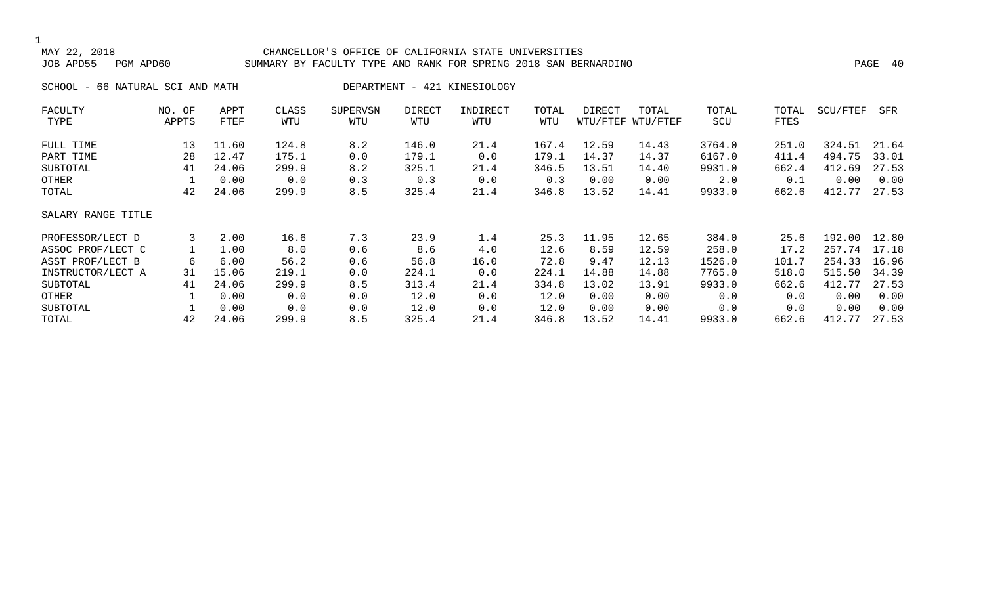#### CHANCELLOR'S OFFICE OF CALIFORNIA STATE UNIVERSITIES JOB APD55 PGM APD60 SUMMARY BY FACULTY TYPE AND RANK FOR SPRING 2018 SAN BERNARDINO PAGE 40

SCHOOL - 66 NATURAL SCI AND MATH DEPARTMENT - 421 KINESIOLOGY

| FACULTY            | NO. OF | APPT  | CLASS | <b>SUPERVSN</b> | DIRECT | INDIRECT | TOTAL | DIRECT | TOTAL             | TOTAL  | TOTAL | SCU/FTEF | SFR   |
|--------------------|--------|-------|-------|-----------------|--------|----------|-------|--------|-------------------|--------|-------|----------|-------|
| TYPE               | APPTS  | FTEF  | WTU   | WTU             | WTU    | WTU      | WTU   |        | WTU/FTEF WTU/FTEF | SCU    | FTES  |          |       |
| FULL TIME          | 13     | 11.60 | 124.8 | 8.2             | 146.0  | 21.4     | 167.4 | 12.59  | 14.43             | 3764.0 | 251.0 | 324.51   | 21.64 |
| PART TIME          | 28     | 12.47 | 175.1 | 0.0             | 179.1  | 0.0      | 179.1 | 14.37  | 14.37             | 6167.0 | 411.4 | 494.75   | 33.01 |
| SUBTOTAL           | 41     | 24.06 | 299.9 | 8.2             | 325.1  | 21.4     | 346.5 | 13.51  | 14.40             | 9931.0 | 662.4 | 412.69   | 27.53 |
| OTHER              |        | 0.00  | 0.0   | 0.3             | 0.3    | 0.0      | 0.3   | 0.00   | 0.00              | 2.0    | 0.1   | 0.00     | 0.00  |
| TOTAL              | 42     | 24.06 | 299.9 | 8.5             | 325.4  | 21.4     | 346.8 | 13.52  | 14.41             | 9933.0 | 662.6 | 412.77   | 27.53 |
| SALARY RANGE TITLE |        |       |       |                 |        |          |       |        |                   |        |       |          |       |
| PROFESSOR/LECT D   | 3      | 2.00  | 16.6  | 7.3             | 23.9   | 1.4      | 25.3  | 11.95  | 12.65             | 384.0  | 25.6  | 192.00   | 12.80 |
| ASSOC PROF/LECT C  |        | 1.00  | 8.0   | 0.6             | 8.6    | 4.0      | 12.6  | 8.59   | 12.59             | 258.0  | 17.2  | 257.74   | 17.18 |
| ASST PROF/LECT B   | 6      | 6.00  | 56.2  | 0.6             | 56.8   | 16.0     | 72.8  | 9.47   | 12.13             | 1526.0 | 101.7 | 254.33   | 16.96 |
| INSTRUCTOR/LECT A  | 31     | 15.06 | 219.1 | 0.0             | 224.1  | 0.0      | 224.1 | 14.88  | 14.88             | 7765.0 | 518.0 | 515.50   | 34.39 |
| SUBTOTAL           | 41     | 24.06 | 299.9 | 8.5             | 313.4  | 21.4     | 334.8 | 13.02  | 13.91             | 9933.0 | 662.6 | 412.77   | 27.53 |
| OTHER              |        | 0.00  | 0.0   | 0.0             | 12.0   | 0.0      | 12.0  | 0.00   | 0.00              | 0.0    | 0.0   | 0.00     | 0.00  |
| SUBTOTAL           |        | 0.00  | 0.0   | 0.0             | 12.0   | 0.0      | 12.0  | 0.00   | 0.00              | 0.0    | 0.0   | 0.00     | 0.00  |
| TOTAL              | 42     | 24.06 | 299.9 | 8.5             | 325.4  | 21.4     | 346.8 | 13.52  | 14.41             | 9933.0 | 662.6 | 412.77   | 27.53 |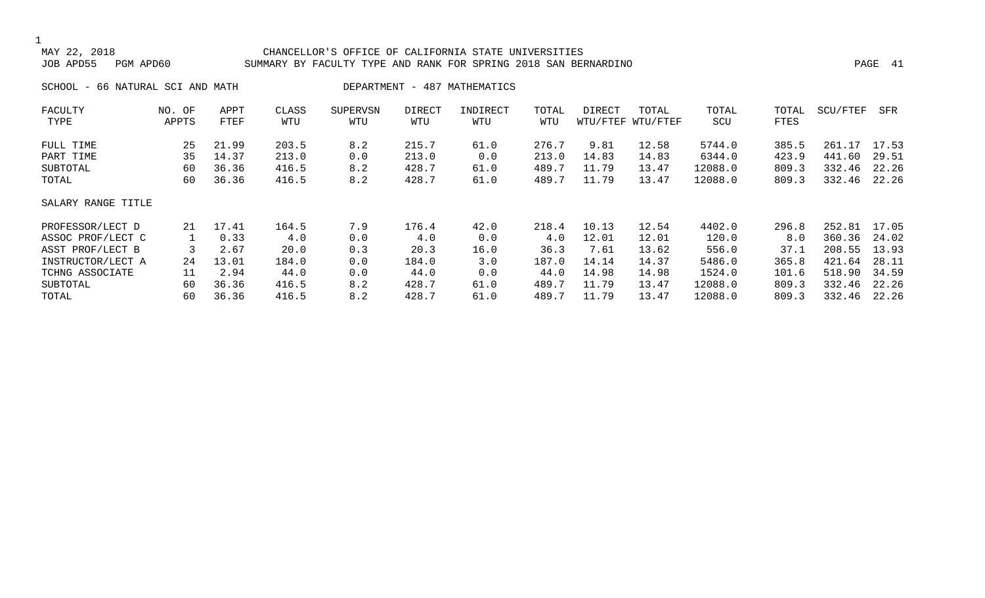#### CHANCELLOR'S OFFICE OF CALIFORNIA STATE UNIVERSITIES JOB APD55 PGM APD60 SUMMARY BY FACULTY TYPE AND RANK FOR SPRING 2018 SAN BERNARDINO PAGE 41

SCHOOL - 66 NATURAL SCI AND MATH DEPARTMENT - 487 MATHEMATICS

| FACULTY            | NO. OF | APPT  | CLASS | <b>SUPERVSN</b> | DIRECT | INDIRECT | TOTAL | DIRECT | TOTAL             | TOTAL   | TOTAL | SCU/FTEF   | SFR   |
|--------------------|--------|-------|-------|-----------------|--------|----------|-------|--------|-------------------|---------|-------|------------|-------|
| TYPE               | APPTS  | FTEF  | WTU   | WTU             | WTU    | WTU      | WTU   |        | WTU/FTEF WTU/FTEF | SCU     | FTES  |            |       |
| FULL TIME          | 25     | 21.99 | 203.5 | 8.2             | 215.7  | 61.0     | 276.7 | 9.81   | 12.58             | 5744.0  | 385.5 | 261<br>.17 | 17.53 |
| PART TIME          | 35     | 14.37 | 213.0 | 0.0             | 213.0  | 0.0      | 213.0 | 14.83  | 14.83             | 6344.0  | 423.9 | 441.60     | 29.51 |
| SUBTOTAL           | 60     | 36.36 | 416.5 | 8.2             | 428.7  | 61.0     | 489.7 | 11.79  | 13.47             | 12088.0 | 809.3 | 332.46     | 22.26 |
| TOTAL              | 60     | 36.36 | 416.5 | 8.2             | 428.7  | 61.0     | 489.7 | 11.79  | 13.47             | 12088.0 | 809.3 | 332.46     | 22.26 |
| SALARY RANGE TITLE |        |       |       |                 |        |          |       |        |                   |         |       |            |       |
| PROFESSOR/LECT D   | 2.1    | 17.41 | 164.5 | 7.9             | 176.4  | 42.0     | 218.4 | 10.13  | 12.54             | 4402.0  | 296.8 | 252.81     | 17.05 |
| ASSOC PROF/LECT C  |        | 0.33  | 4.0   | 0.0             | 4.0    | 0.0      | 4.0   | 12.01  | 12.01             | 120.0   | 8.0   | 360.36     | 24.02 |
| ASST PROF/LECT B   |        | 2.67  | 20.0  | 0.3             | 20.3   | 16.0     | 36.3  | 7.61   | 13.62             | 556.0   | 37.1  | 208.55     | 13.93 |
| INSTRUCTOR/LECT A  | 24     | 13.01 | 184.0 | 0.0             | 184.0  | 3.0      | 187.0 | 14.14  | 14.37             | 5486.0  | 365.8 | 421.64     | 28.11 |
| TCHNG ASSOCIATE    | 11     | 2.94  | 44.0  | 0.0             | 44.0   | 0.0      | 44.0  | 14.98  | 14.98             | 1524.0  | 101.6 | 518.90     | 34.59 |
| SUBTOTAL           | 60     | 36.36 | 416.5 | 8.2             | 428.7  | 61.0     | 489.7 | 11.79  | 13.47             | 12088.0 | 809.3 | 332.46     | 22.26 |
| TOTAL              | 60     | 36.36 | 416.5 | 8.2             | 428.7  | 61.0     | 489.7 | 11.79  | 13.47             | 12088.0 | 809.3 | 332.46     | 22.26 |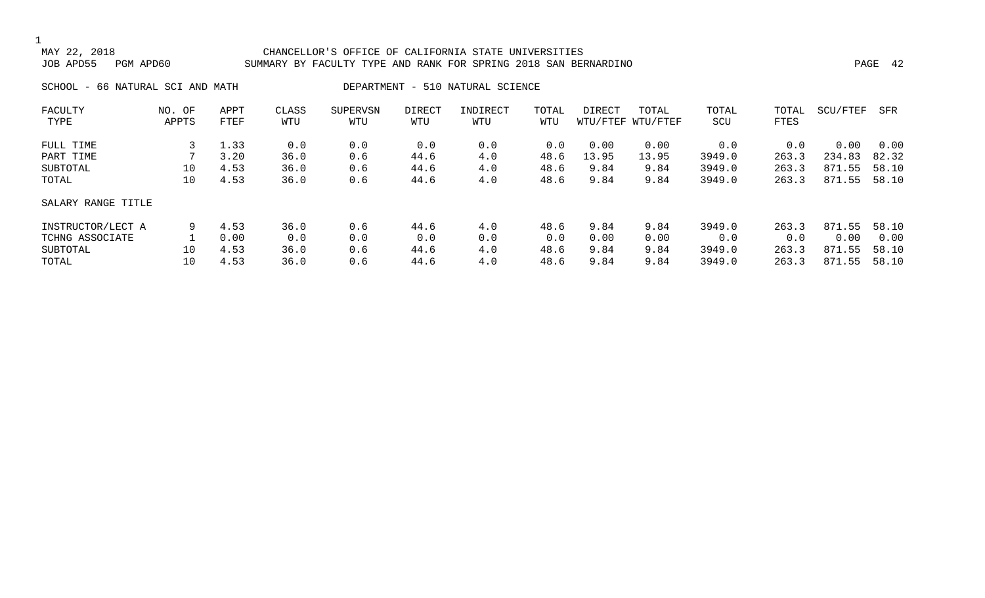#### CHANCELLOR'S OFFICE OF CALIFORNIA STATE UNIVERSITIES JOB APD55 PGM APD60 SUMMARY BY FACULTY TYPE AND RANK FOR SPRING 2018 SAN BERNARDINO PAGE 42

SCHOOL - 66 NATURAL SCI AND MATH DEPARTMENT - 510 NATURAL SCIENCE

| FACULTY            | OF<br>NO. | APPT | CLASS | <b>SUPERVSN</b> | <b>DIRECT</b> | INDIRECT | TOTAL | DIRECT | TOTAL             | TOTAL  | TOTAL | SCU/FTEF      | SFR   |
|--------------------|-----------|------|-------|-----------------|---------------|----------|-------|--------|-------------------|--------|-------|---------------|-------|
| TYPE               | APPTS     | FTEF | WTU   | WTU             | WTU           | WTU      | WTU   |        | WTU/FTEF WTU/FTEF | SCU    | FTES  |               |       |
| FULL TIME          |           | 1.33 | 0.0   | 0.0             | 0.0           | 0.0      | 0.0   | 0.00   | 0.00              | 0.0    | 0.0   | 0.00          | 0.00  |
| PART TIME          |           | 3.20 | 36.0  | 0.6             | 44.6          | 4.0      | 48.6  | 13.95  | 13.95             | 3949.0 | 263.3 | 234.83        | 82.32 |
| SUBTOTAL           | 10        | 4.53 | 36.0  | 0.6             | 44.6          | 4.0      | 48.6  | 9.84   | 9.84              | 3949.0 | 263.3 | 871.55        | 58.10 |
| TOTAL              | 10        | 4.53 | 36.0  | 0.6             | 44.6          | 4.0      | 48.6  | 9.84   | 9.84              | 3949.0 | 263.3 | 871<br>. . 55 | 58.10 |
| SALARY RANGE TITLE |           |      |       |                 |               |          |       |        |                   |        |       |               |       |
| INSTRUCTOR/LECT A  | 9         | 4.53 | 36.0  | 0.6             | 44.6          | 4.0      | 48.6  | 9.84   | 9.84              | 3949.0 | 263.3 | 871.55        | 58.10 |
| TCHNG ASSOCIATE    |           | 0.00 | 0.0   | 0.0             | 0.0           | 0.0      | 0.0   | 0.00   | 0.00              | 0.0    | 0.0   | 0.00          | 0.00  |
| SUBTOTAL           | 10        | 4.53 | 36.0  | 0.6             | 44.6          | 4.0      | 48.6  | 9.84   | 9.84              | 3949.0 | 263.3 | 871<br>.55    | 58.10 |
| TOTAL              | 10        | 4.53 | 36.0  | 0.6             | 44.6          | 4.0      | 48.6  | 9.84   | 9.84              | 3949.0 | 263.3 | 871<br>. 55   | 58.10 |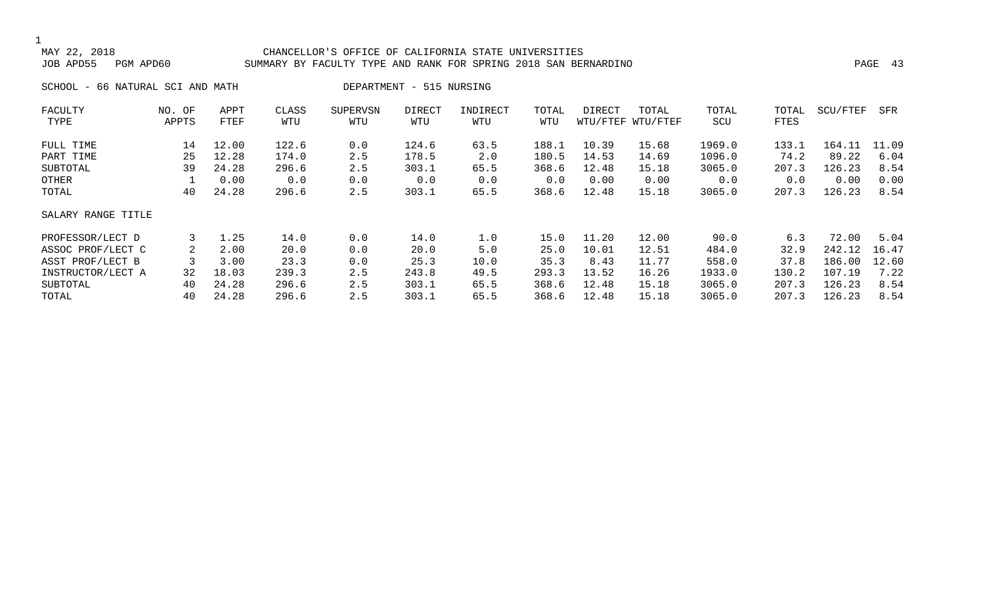#### CHANCELLOR'S OFFICE OF CALIFORNIA STATE UNIVERSITIES JOB APD55 PGM APD60 SUMMARY BY FACULTY TYPE AND RANK FOR SPRING 2018 SAN BERNARDINO PAGE 43

SCHOOL - 66 NATURAL SCI AND MATH DEPARTMENT - 515 NURSING

| FACULTY            | NO. OF | APPT  | CLASS | <b>SUPERVSN</b> | <b>DIRECT</b> | INDIRECT | TOTAL | DIRECT | TOTAL             | TOTAL  | TOTAL | SCU/FTEF | SFR   |
|--------------------|--------|-------|-------|-----------------|---------------|----------|-------|--------|-------------------|--------|-------|----------|-------|
| TYPE               | APPTS  | FTEF  | WTU   | WTU             | WTU           | WTU      | WTU   |        | WTU/FTEF WTU/FTEF | SCU    | FTES  |          |       |
| FULL TIME          | 14     | 12.00 | 122.6 | 0.0             | 124.6         | 63.5     | 188.1 | 10.39  | 15.68             | 1969.0 | 133.1 | 164.11   | 11.09 |
| PART TIME          | 25     | 12.28 | 174.0 | 2.5             | 178.5         | 2.0      | 180.5 | 14.53  | 14.69             | 1096.0 | 74.2  | 89.22    | 6.04  |
| SUBTOTAL           | 39     | 24.28 | 296.6 | 2.5             | 303.1         | 65.5     | 368.6 | 12.48  | 15.18             | 3065.0 | 207.3 | 126.23   | 8.54  |
| OTHER              |        | 0.00  | 0.0   | 0.0             | 0.0           | 0.0      | 0.0   | 0.00   | 0.00              | 0.0    | 0.0   | 0.00     | 0.00  |
| TOTAL              | 40     | 24.28 | 296.6 | 2.5             | 303.1         | 65.5     | 368.6 | 12.48  | 15.18             | 3065.0 | 207.3 | 126.23   | 8.54  |
| SALARY RANGE TITLE |        |       |       |                 |               |          |       |        |                   |        |       |          |       |
| PROFESSOR/LECT D   | 3      | 1.25  | 14.0  | 0.0             | 14.0          | 1.0      | 15.0  | 11.20  | 12.00             | 90.0   | 6.3   | 72.00    | 5.04  |
| ASSOC PROF/LECT C  |        | 2.00  | 20.0  | 0.0             | 20.0          | 5.0      | 25.0  | 10.01  | 12.51             | 484.0  | 32.9  | 242.12   | 16.47 |
| ASST PROF/LECT B   |        | 3.00  | 23.3  | 0.0             | 25.3          | 10.0     | 35.3  | 8.43   | 11.77             | 558.0  | 37.8  | 186.00   | 12.60 |
| INSTRUCTOR/LECT A  | 32     | 18.03 | 239.3 | 2.5             | 243.8         | 49.5     | 293.3 | 13.52  | 16.26             | 1933.0 | 130.2 | 107.19   | 7.22  |
| SUBTOTAL           | 40     | 24.28 | 296.6 | 2.5             | 303.1         | 65.5     | 368.6 | 12.48  | 15.18             | 3065.0 | 207.3 | 126.23   | 8.54  |
| TOTAL              | 40     | 24.28 | 296.6 | 2.5             | 303.1         | 65.5     | 368.6 | 12.48  | 15.18             | 3065.0 | 207.3 | 126.23   | 8.54  |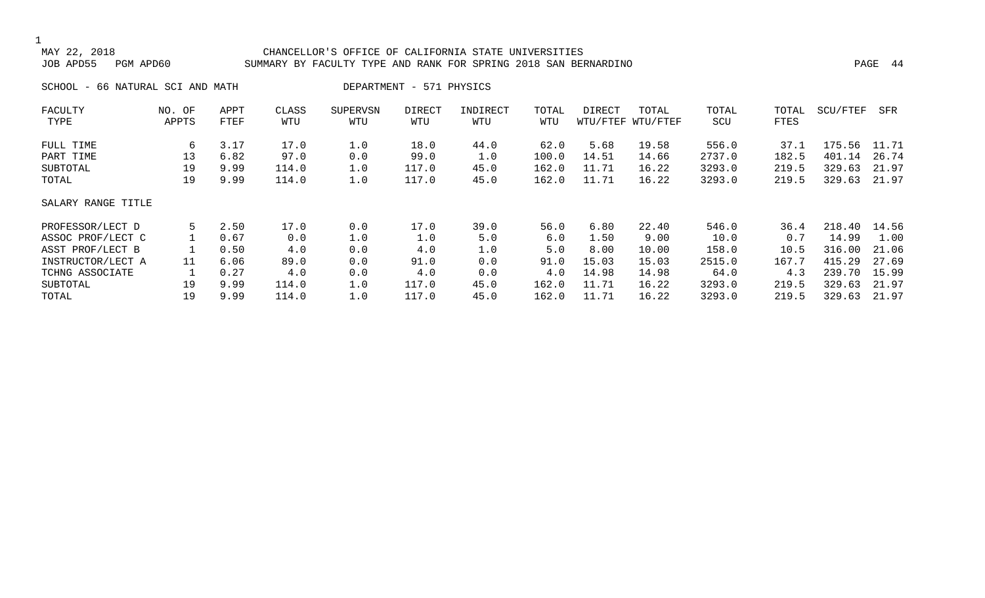#### CHANCELLOR'S OFFICE OF CALIFORNIA STATE UNIVERSITIES JOB APD55 PGM APD60 SUMMARY BY FACULTY TYPE AND RANK FOR SPRING 2018 SAN BERNARDINO PAGE 44

SCHOOL - 66 NATURAL SCI AND MATH DEPARTMENT - 571 PHYSICS

| FACULTY            | NO. OF | APPT | CLASS | <b>SUPERVSN</b> | <b>DIRECT</b> | INDIRECT | TOTAL | DIRECT | TOTAL             | TOTAL  | TOTAL | SCU/FTEF | SFR   |
|--------------------|--------|------|-------|-----------------|---------------|----------|-------|--------|-------------------|--------|-------|----------|-------|
| TYPE               | APPTS  | FTEF | WTU   | WTU             | WTU           | WTU      | WTU   |        | WTU/FTEF WTU/FTEF | SCU    | FTES  |          |       |
| FULL TIME          | 6      | 3.17 | 17.0  | 1.0             | 18.0          | 44.0     | 62.0  | 5.68   | 19.58             | 556.0  | 37.1  | 175.56   | 11.71 |
| PART TIME          | 13     | 6.82 | 97.0  | 0.0             | 99.0          | 1.0      | 100.0 | 14.51  | 14.66             | 2737.0 | 182.5 | 401.14   | 26.74 |
| SUBTOTAL           | 19     | 9.99 | 114.0 | 1.0             | 117.0         | 45.0     | 162.0 | 11.71  | 16.22             | 3293.0 | 219.5 | 329.63   | 21.97 |
| TOTAL              | 19     | 9.99 | 114.0 | 1.0             | 117.0         | 45.0     | 162.0 | 11.71  | 16.22             | 3293.0 | 219.5 | 329.63   | 21.97 |
| SALARY RANGE TITLE |        |      |       |                 |               |          |       |        |                   |        |       |          |       |
| PROFESSOR/LECT D   | 5      | 2.50 | 17.0  | 0.0             | 17.0          | 39.0     | 56.0  | 6.80   | 22.40             | 546.0  | 36.4  | 218.40   | 14.56 |
| ASSOC PROF/LECT C  |        | 0.67 | 0.0   | 1.0             | 1.0           | 5.0      | 6.0   | 1.50   | 9.00              | 10.0   | 0.7   | 14.99    | 1.00  |
| ASST PROF/LECT B   |        | 0.50 | 4.0   | 0.0             | 4.0           | 1.0      | 5.0   | 8.00   | 10.00             | 158.0  | 10.5  | 316.00   | 21.06 |
| INSTRUCTOR/LECT A  | 11     | 6.06 | 89.0  | 0.0             | 91.0          | 0.0      | 91.0  | 15.03  | 15.03             | 2515.0 | 167.7 | 415.29   | 27.69 |
| TCHNG ASSOCIATE    |        | 0.27 | 4.0   | 0.0             | 4.0           | 0.0      | 4.0   | 14.98  | 14.98             | 64.0   | 4.3   | 239.70   | 15.99 |
| SUBTOTAL           | 19     | 9.99 | 114.0 | 1.0             | 117.0         | 45.0     | 162.0 | 11.71  | 16.22             | 3293.0 | 219.5 | 329.63   | 21.97 |
| TOTAL              | 19     | 9.99 | 114.0 | 1.0             | 117.0         | 45.0     | 162.0 | 11.71  | 16.22             | 3293.0 | 219.5 | 329.63   | 21.97 |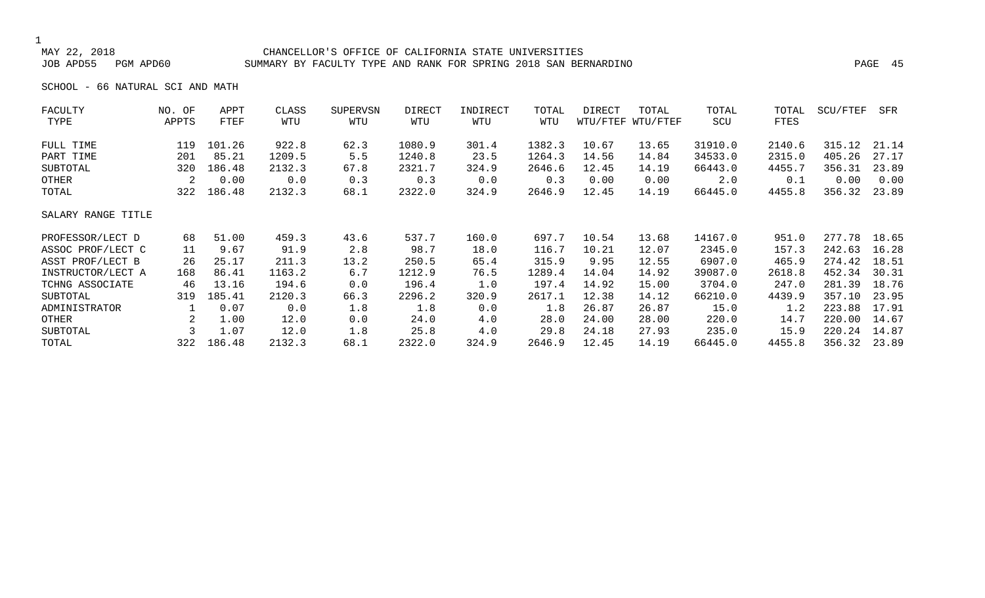#### CHANCELLOR'S OFFICE OF CALIFORNIA STATE UNIVERSITIES JOB APD55 PGM APD60 SUMMARY BY FACULTY TYPE AND RANK FOR SPRING 2018 SAN BERNARDINO PAGE 45

SCHOOL - 66 NATURAL SCI AND MATH

| FACULTY            | NO. OF | APPT   | CLASS  | <b>SUPERVSN</b> | DIRECT | INDIRECT | TOTAL  | DIRECT | TOTAL             | TOTAL   | TOTAL  | SCU/FTEF | SFR   |
|--------------------|--------|--------|--------|-----------------|--------|----------|--------|--------|-------------------|---------|--------|----------|-------|
| TYPE               | APPTS  | FTEF   | WTU    | WTU             | WTU    | WTU      | WTU    |        | WTU/FTEF WTU/FTEF | SCU     | FTES   |          |       |
| FULL TIME          | 119    | 101.26 | 922.8  | 62.3            | 1080.9 | 301.4    | 1382.3 | 10.67  | 13.65             | 31910.0 | 2140.6 | 315.12   | 21.14 |
| PART TIME          | 201    | 85.21  | 1209.5 | 5.5             | 1240.8 | 23.5     | 1264.3 | 14.56  | 14.84             | 34533.0 | 2315.0 | 405.26   | 27.17 |
| SUBTOTAL           | 320    | 186.48 | 2132.3 | 67.8            | 2321.7 | 324.9    | 2646.6 | 12.45  | 14.19             | 66443.0 | 4455.7 | 356.31   | 23.89 |
| OTHER              | 2      | 0.00   | 0.0    | 0.3             | 0.3    | 0.0      | 0.3    | 0.00   | 0.00              | 2.0     | 0.1    | 0.00     | 0.00  |
| TOTAL              | 322    | 186.48 | 2132.3 | 68.1            | 2322.0 | 324.9    | 2646.9 | 12.45  | 14.19             | 66445.0 | 4455.8 | 356.32   | 23.89 |
| SALARY RANGE TITLE |        |        |        |                 |        |          |        |        |                   |         |        |          |       |
| PROFESSOR/LECT D   | 68     | 51.00  | 459.3  | 43.6            | 537.7  | 160.0    | 697.7  | 10.54  | 13.68             | 14167.0 | 951.0  | 277.78   | 18.65 |
| ASSOC PROF/LECT C  | 11     | 9.67   | 91.9   | 2.8             | 98.7   | 18.0     | 116.7  | 10.21  | 12.07             | 2345.0  | 157.3  | 242.63   | 16.28 |
| ASST PROF/LECT B   | 26     | 25.17  | 211.3  | 13.2            | 250.5  | 65.4     | 315.9  | 9.95   | 12.55             | 6907.0  | 465.9  | 274.42   | 18.51 |
| INSTRUCTOR/LECT A  | 168    | 86.41  | 1163.2 | 6.7             | 1212.9 | 76.5     | 1289.4 | 14.04  | 14.92             | 39087.0 | 2618.8 | 452.34   | 30.31 |
| TCHNG ASSOCIATE    | 46     | 13.16  | 194.6  | 0.0             | 196.4  | 1.0      | 197.4  | 14.92  | 15.00             | 3704.0  | 247.0  | 281.39   | 18.76 |
| SUBTOTAL           | 319    | 185.41 | 2120.3 | 66.3            | 2296.2 | 320.9    | 2617.1 | 12.38  | 14.12             | 66210.0 | 4439.9 | 357.10   | 23.95 |
| ADMINISTRATOR      | 1      | 0.07   | 0.0    | 1.8             | 1.8    | 0.0      | 1.8    | 26.87  | 26.87             | 15.0    | 1.2    | 223.88   | 17.91 |
| OTHER              | 2      | 1.00   | 12.0   | 0.0             | 24.0   | 4.0      | 28.0   | 24.00  | 28.00             | 220.0   | 14.7   | 220.00   | 14.67 |
| SUBTOTAL           | 3      | 1.07   | 12.0   | 1.8             | 25.8   | 4.0      | 29.8   | 24.18  | 27.93             | 235.0   | 15.9   | 220.24   | 14.87 |
| TOTAL              | 322    | 186.48 | 2132.3 | 68.1            | 2322.0 | 324.9    | 2646.9 | 12.45  | 14.19             | 66445.0 | 4455.8 | 356.32   | 23.89 |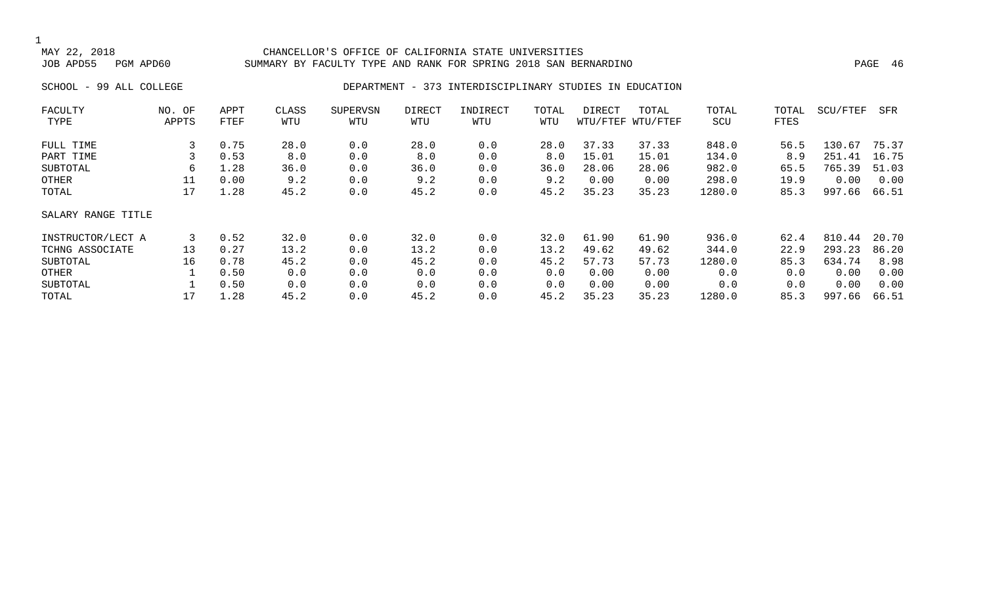#### MAY 22, 2018 CHANCELLOR'S OFFICE OF CALIFORNIA STATE UNIVERSITIES SUMMARY BY FACULTY TYPE AND RANK FOR SPRING 2018 SAN BERNARDINO PAGE 16 PAGE 46

#### SCHOOL - 99 ALL COLLEGE **DEPARTMENT - 373 INTERDISCIPLINARY STUDIES IN EDUCATION**

| FACULTY            | NO. OF | APPT | CLASS | <b>SUPERVSN</b> | DIRECT | INDIRECT | TOTAL | DIRECT | TOTAL             | TOTAL  | TOTAL | SCU/FTEF | SFR   |
|--------------------|--------|------|-------|-----------------|--------|----------|-------|--------|-------------------|--------|-------|----------|-------|
| TYPE               | APPTS  | FTEF | WTU   | WTU             | WTU    | WTU      | WTU   |        | WTU/FTEF WTU/FTEF | SCU    | FTES  |          |       |
| FULL TIME          | 3      | 0.75 | 28.0  | 0.0             | 28.0   | 0.0      | 28.0  | 37.33  | 37.33             | 848.0  | 56.5  | 130.67   | 75.37 |
| PART TIME          |        | 0.53 | 8.0   | 0.0             | 8.0    | 0.0      | 8.0   | 15.01  | 15.01             | 134.0  | 8.9   | 251.41   | 16.75 |
| SUBTOTAL           | 6      | 1.28 | 36.0  | 0.0             | 36.0   | 0.0      | 36.0  | 28.06  | 28.06             | 982.0  | 65.5  | 765.39   | 51.03 |
| OTHER              | 11     | 0.00 | 9.2   | 0.0             | 9.2    | 0.0      | 9.2   | 0.00   | 0.00              | 298.0  | 19.9  | 0.00     | 0.00  |
| TOTAL              | 17     | 1.28 | 45.2  | 0.0             | 45.2   | 0.0      | 45.2  | 35.23  | 35.23             | 1280.0 | 85.3  | 997.66   | 66.51 |
| SALARY RANGE TITLE |        |      |       |                 |        |          |       |        |                   |        |       |          |       |
| INSTRUCTOR/LECT A  | 3      | 0.52 | 32.0  | 0.0             | 32.0   | 0.0      | 32.0  | 61.90  | 61.90             | 936.0  | 62.4  | 810.44   | 20.70 |
| TCHNG ASSOCIATE    | 13     | 0.27 | 13.2  | 0.0             | 13.2   | 0.0      | 13.2  | 49.62  | 49.62             | 344.0  | 22.9  | 293.23   | 86.20 |
| SUBTOTAL           | 16     | 0.78 | 45.2  | 0.0             | 45.2   | 0.0      | 45.2  | 57.73  | 57.73             | 1280.0 | 85.3  | 634.74   | 8.98  |
| OTHER              |        | 0.50 | 0.0   | 0.0             | 0.0    | 0.0      | 0.0   | 0.00   | 0.00              | 0.0    | 0.0   | 0.00     | 0.00  |
| SUBTOTAL           |        | 0.50 | 0.0   | 0.0             | 0.0    | 0.0      | 0.0   | 0.00   | 0.00              | 0.0    | 0.0   | 0.00     | 0.00  |
| TOTAL              | 17     | 1.28 | 45.2  | 0.0             | 45.2   | 0.0      | 45.2  | 35.23  | 35.23             | 1280.0 | 85.3  | 997.66   | 66.51 |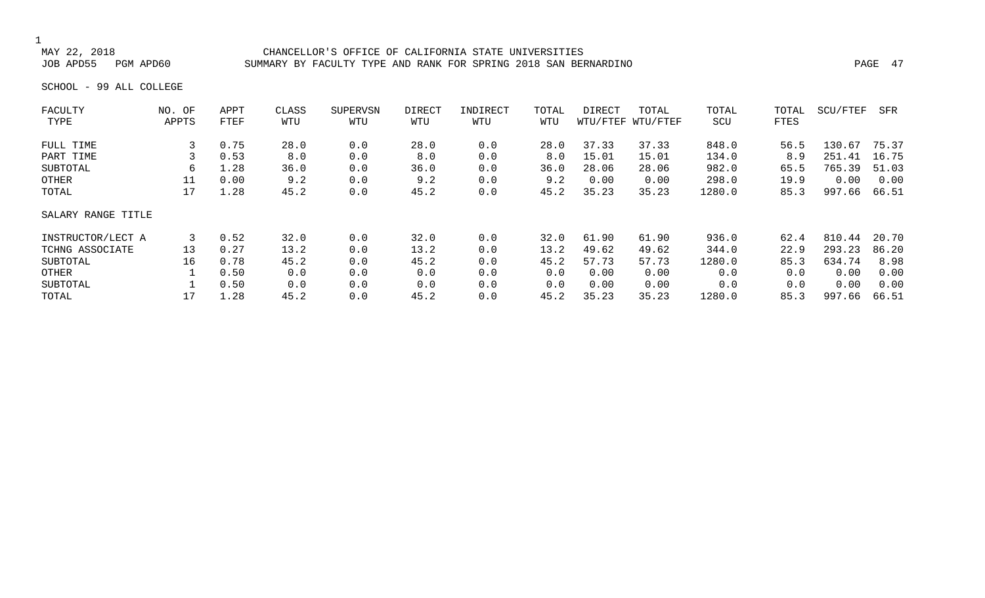#### MAY 22, 2018 CHANCELLOR'S OFFICE OF CALIFORNIA STATE UNIVERSITIES SUMMARY BY FACULTY TYPE AND RANK FOR SPRING 2018 SAN BERNARDINO **PAGE 47**

SCHOOL - 99 ALL COLLEGE

| NO. OF             | APPT | CLASS | SUPERVSN | DIRECT | INDIRECT | TOTAL | DIRECT | TOTAL | TOTAL             | TOTAL | SCU/FTEF | SFR   |
|--------------------|------|-------|----------|--------|----------|-------|--------|-------|-------------------|-------|----------|-------|
| APPTS              | FTEF | WTU   | WTU      | WTU    | WTU      | WTU   |        |       | SCU               | FTES  |          |       |
|                    | 0.75 | 28.0  | 0.0      | 28.0   | 0.0      | 28.0  | 37.33  | 37.33 | 848.0             | 56.5  | 130.67   | 75.37 |
|                    | 0.53 | 8.0   | 0.0      | 8.0    | 0.0      | 8.0   | 15.01  | 15.01 | 134.0             | 8.9   | 251.41   | 16.75 |
| 6                  | 1.28 | 36.0  | 0.0      | 36.0   | 0.0      | 36.0  | 28.06  | 28.06 | 982.0             | 65.5  | 765.39   | 51.03 |
| 11                 | 0.00 | 9.2   | 0.0      | 9.2    | 0.0      | 9.2   | 0.00   | 0.00  | 298.0             | 19.9  | 0.00     | 0.00  |
| 17                 | 1.28 | 45.2  | 0.0      | 45.2   | 0.0      | 45.2  | 35.23  | 35.23 | 1280.0            | 85.3  | 997.66   | 66.51 |
| SALARY RANGE TITLE |      |       |          |        |          |       |        |       |                   |       |          |       |
| 3                  | 0.52 | 32.0  | 0.0      | 32.0   | 0.0      | 32.0  | 61.90  | 61.90 | 936.0             | 62.4  | 810.44   | 20.70 |
| 13                 | 0.27 | 13.2  | 0.0      | 13.2   | 0.0      | 13.2  | 49.62  | 49.62 | 344.0             | 22.9  | 293.23   | 86.20 |
| 16                 | 0.78 | 45.2  | 0.0      | 45.2   | 0.0      | 45.2  | 57.73  | 57.73 | 1280.0            | 85.3  | 634.74   | 8.98  |
|                    | 0.50 | 0.0   | 0.0      | 0.0    | 0.0      | 0.0   | 0.00   | 0.00  | 0.0               | 0.0   | 0.00     | 0.00  |
|                    | 0.50 | 0.0   | 0.0      | 0.0    | 0.0      | 0.0   | 0.00   | 0.00  | 0.0               | 0.0   | 0.00     | 0.00  |
| 17                 | 1.28 | 45.2  | 0.0      | 45.2   | 0.0      | 45.2  | 35.23  | 35.23 | 1280.0            | 85.3  | 997.66   | 66.51 |
|                    |      |       |          |        |          |       |        |       | WTU/FTEF WTU/FTEF |       |          |       |